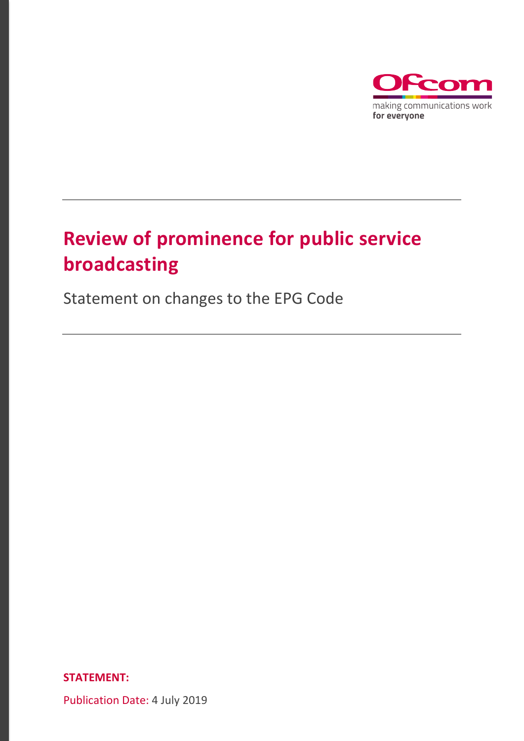

# **Review of prominence for public service broadcasting**

Statement on changes to the EPG Code

**STATEMENT:**

Publication Date: 4 July 2019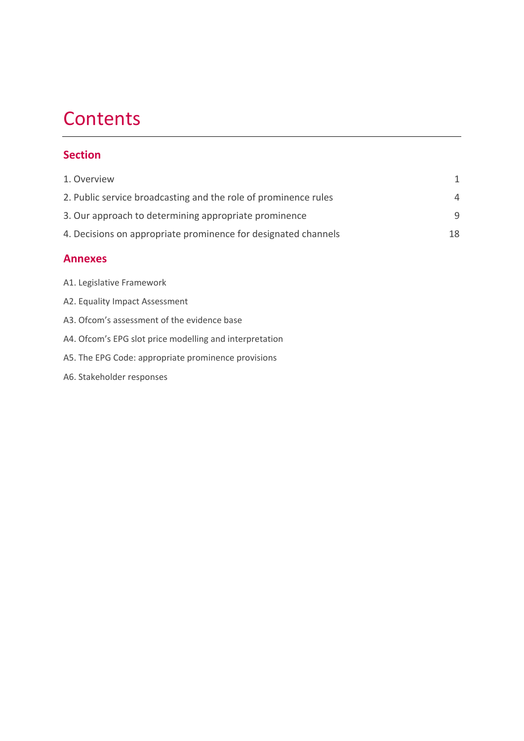# **Contents**

## **Section**

| 1. Overview                                                     |                |
|-----------------------------------------------------------------|----------------|
| 2. Public service broadcasting and the role of prominence rules | $\overline{4}$ |
| 3. Our approach to determining appropriate prominence           | q              |
| 4. Decisions on appropriate prominence for designated channels  | 18             |

## **Annexes**

| A1. Legislative Framework |  |  |  |  |
|---------------------------|--|--|--|--|
|---------------------------|--|--|--|--|

- A2. Equality Impact Assessment
- A3. Ofcom's assessment of the evidence base
- A4. Ofcom's EPG slot price modelling and interpretation
- A5. The EPG Code: appropriate prominence provisions
- A6. Stakeholder responses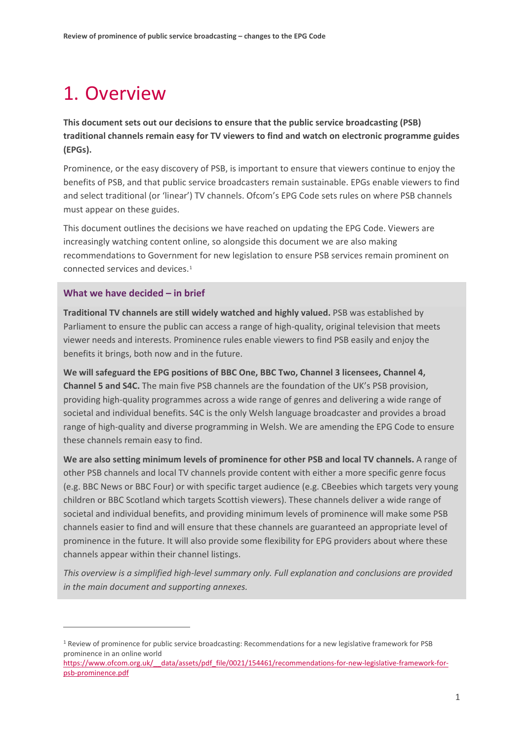# <span id="page-2-0"></span>1. Overview

**This document sets out our decisions to ensure that the public service broadcasting (PSB) traditional channels remain easy for TV viewers to find and watch on electronic programme guides (EPGs).**

Prominence, or the easy discovery of PSB, is important to ensure that viewers continue to enjoy the benefits of PSB, and that public service broadcasters remain sustainable. EPGs enable viewers to find and select traditional (or 'linear') TV channels. Ofcom's EPG Code sets rules on where PSB channels must appear on these guides.

This document outlines the decisions we have reached on updating the EPG Code. Viewers are increasingly watching content online, so alongside this document we are also making recommendations to Government for new legislation to ensure PSB services remain prominent on connected services and devices.[1](#page-2-1)

## **What we have decided – in brief**

**.** 

**Traditional TV channels are still widely watched and highly valued.** PSB was established by Parliament to ensure the public can access a range of high-quality, original television that meets viewer needs and interests. Prominence rules enable viewers to find PSB easily and enjoy the benefits it brings, both now and in the future.

**We will safeguard the EPG positions of BBC One, BBC Two, Channel 3 licensees, Channel 4, Channel 5 and S4C.** The main five PSB channels are the foundation of the UK's PSB provision, providing high-quality programmes across a wide range of genres and delivering a wide range of societal and individual benefits. S4C is the only Welsh language broadcaster and provides a broad range of high-quality and diverse programming in Welsh. We are amending the EPG Code to ensure these channels remain easy to find.

**We are also setting minimum levels of prominence for other PSB and local TV channels.** A range of other PSB channels and local TV channels provide content with either a more specific genre focus (e.g. BBC News or BBC Four) or with specific target audience (e.g. CBeebies which targets very young children or BBC Scotland which targets Scottish viewers). These channels deliver a wide range of societal and individual benefits, and providing minimum levels of prominence will make some PSB channels easier to find and will ensure that these channels are guaranteed an appropriate level of prominence in the future. It will also provide some flexibility for EPG providers about where these channels appear within their channel listings.

*This overview is a simplified high-level summary only. Full explanation and conclusions are provided in the main document and supporting annexes.*

<span id="page-2-1"></span><sup>&</sup>lt;sup>1</sup> Review of prominence for public service broadcasting: Recommendations for a new legislative framework for PSB prominence in an online world

[https://www.ofcom.org.uk/\\_\\_data/assets/pdf\\_file/0021/154461/recommendations-for-new-legislative-framework-for](https://www.ofcom.org.uk/__data/assets/pdf_file/0021/154461/recommendations-for-new-legislative-framework-for-psb-prominence.pdf)[psb-prominence.pdf](https://www.ofcom.org.uk/__data/assets/pdf_file/0021/154461/recommendations-for-new-legislative-framework-for-psb-prominence.pdf)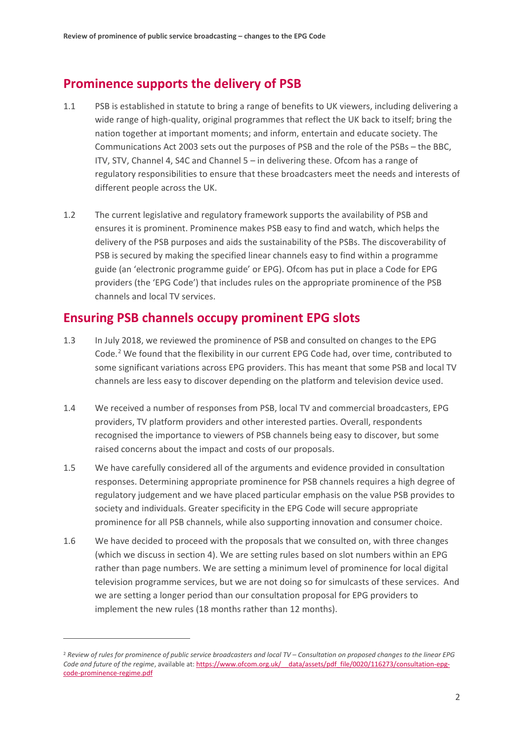# **Prominence supports the delivery of PSB**

- 1.1 PSB is established in statute to bring a range of benefits to UK viewers, including delivering a wide range of high-quality, original programmes that reflect the UK back to itself; bring the nation together at important moments; and inform, entertain and educate society. The Communications Act 2003 sets out the purposes of PSB and the role of the PSBs – the BBC, ITV, STV, Channel 4, S4C and Channel 5 – in delivering these. Ofcom has a range of regulatory responsibilities to ensure that these broadcasters meet the needs and interests of different people across the UK.
- 1.2 The current legislative and regulatory framework supports the availability of PSB and ensures it is prominent. Prominence makes PSB easy to find and watch, which helps the delivery of the PSB purposes and aids the sustainability of the PSBs. The discoverability of PSB is secured by making the specified linear channels easy to find within a programme guide (an 'electronic programme guide' or EPG). Ofcom has put in place a Code for EPG providers (the 'EPG Code') that includes rules on the appropriate prominence of the PSB channels and local TV services.

# **Ensuring PSB channels occupy prominent EPG slots**

- 1.3 In July 2018, we reviewed the prominence of PSB and consulted on changes to the EPG Code.<sup>[2](#page-3-0)</sup> We found that the flexibility in our current EPG Code had, over time, contributed to some significant variations across EPG providers. This has meant that some PSB and local TV channels are less easy to discover depending on the platform and television device used.
- 1.4 We received a number of responses from PSB, local TV and commercial broadcasters, EPG providers, TV platform providers and other interested parties. Overall, respondents recognised the importance to viewers of PSB channels being easy to discover, but some raised concerns about the impact and costs of our proposals.
- 1.5 We have carefully considered all of the arguments and evidence provided in consultation responses. Determining appropriate prominence for PSB channels requires a high degree of regulatory judgement and we have placed particular emphasis on the value PSB provides to society and individuals. Greater specificity in the EPG Code will secure appropriate prominence for all PSB channels, while also supporting innovation and consumer choice.
- 1.6 We have decided to proceed with the proposals that we consulted on, with three changes (which we discuss in section 4). We are setting rules based on slot numbers within an EPG rather than page numbers. We are setting a minimum level of prominence for local digital television programme services, but we are not doing so for simulcasts of these services. And we are setting a longer period than our consultation proposal for EPG providers to implement the new rules (18 months rather than 12 months).

**.** 

<span id="page-3-0"></span><sup>2</sup> *Review of rules for prominence of public service broadcasters and local TV – Consultation on proposed changes to the linear EPG Code and future of the regime*, available at: https://www.ofcom.org.uk/ data/assets/pdf file/0020/116273/consultation-epg[code-prominence-regime.pdf](https://www.ofcom.org.uk/__data/assets/pdf_file/0020/116273/consultation-epg-code-prominence-regime.pdf)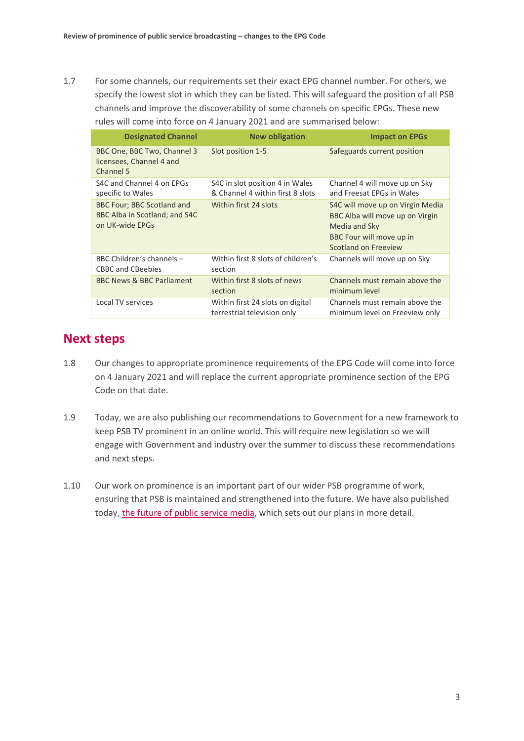1.7 For some channels, our requirements set their exact EPG channel number. For others, we specify the lowest slot in which they can be listed. This will safeguard the position of all PSB channels and improve the discoverability of some channels on specific EPGs. These new rules will come into force on 4 January 2021 and are summarised below:

| <b>Designated Channel</b>                                                             | <b>New obligation</b>                                               | <b>Impact on EPGs</b>                                                                                                                    |
|---------------------------------------------------------------------------------------|---------------------------------------------------------------------|------------------------------------------------------------------------------------------------------------------------------------------|
| BBC One, BBC Two, Channel 3<br>licensees, Channel 4 and<br>Channel 5                  | Slot position 1-5                                                   | Safeguards current position                                                                                                              |
| S4C and Channel 4 on EPGs<br>specific to Wales                                        | S4C in slot position 4 in Wales<br>& Channel 4 within first 8 slots | Channel 4 will move up on Sky<br>and Freesat EPGs in Wales                                                                               |
| <b>BBC Four; BBC Scotland and</b><br>BBC Alba in Scotland; and S4C<br>on UK-wide EPGs | Within first 24 slots                                               | S4C will move up on Virgin Media<br>BBC Alba will move up on Virgin<br>Media and Sky<br>BBC Four will move up in<br>Scotland on Freeview |
| BBC Children's channels -<br><b>CBBC and CBeebies</b>                                 | Within first 8 slots of children's<br>section                       | Channels will move up on Sky                                                                                                             |
| BBC News & BBC Parliament                                                             | Within first 8 slots of news<br>section                             | Channels must remain above the<br>minimum level                                                                                          |
| Local TV services                                                                     | Within first 24 slots on digital<br>terrestrial television only     | Channels must remain above the<br>minimum level on Freeview only                                                                         |

## **Next steps**

- 1.8 Our changes to appropriate prominence requirements of the EPG Code will come into force on 4 January 2021 and will replace the current appropriate prominence section of the EPG Code on that date.
- 1.9 Today, we are also publishing our recommendations to Government for a new framework to keep PSB TV prominent in an online world. This will require new legislation so we will engage with Government and industry over the summer to discuss these recommendations and next steps.
- 1.10 Our work on prominence is an important part of our wider PSB programme of work, ensuring that PSB is maintained and strengthened into the future. We have also published today[, the future of public service media,](https://www.ofcom.org.uk/__data/assets/pdf_file/0022/155155/future-public-service-media.pdf) which sets out our plans in more detail.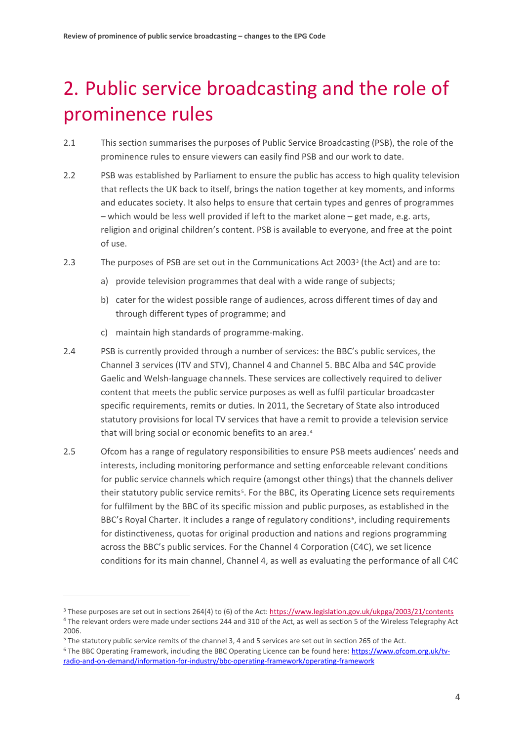# <span id="page-5-0"></span>2. Public service broadcasting and the role of prominence rules

- 2.1 This section summarises the purposes of Public Service Broadcasting (PSB), the role of the prominence rules to ensure viewers can easily find PSB and our work to date.
- 2.2 PSB was established by Parliament to ensure the public has access to high quality television that reflects the UK back to itself, brings the nation together at key moments, and informs and educates society. It also helps to ensure that certain types and genres of programmes – which would be less well provided if left to the market alone – get made, e.g. arts, religion and original children's content. PSB is available to everyone, and free at the point of use.
- 2.3 The purposes of PSB are set out in the Communications Act 2003[3](#page-5-1) (the Act) and are to:
	- a) provide television programmes that deal with a wide range of subjects;
	- b) cater for the widest possible range of audiences, across different times of day and through different types of programme; and
	- c) maintain high standards of programme-making.
- 2.4 PSB is currently provided through a number of services: the BBC's public services, the Channel 3 services (ITV and STV), Channel 4 and Channel 5. BBC Alba and S4C provide Gaelic and Welsh-language channels. These services are collectively required to deliver content that meets the public service purposes as well as fulfil particular broadcaster specific requirements, remits or duties. In 2011, the Secretary of State also introduced statutory provisions for local TV services that have a remit to provide a television service that will bring social or economic benefits to an area.<sup>[4](#page-5-2)</sup>
- 2.5 Ofcom has a range of regulatory responsibilities to ensure PSB meets audiences' needs and interests, including monitoring performance and setting enforceable relevant conditions for public service channels which require (amongst other things) that the channels deliver their statutory public service remits[5](#page-5-3). For the BBC, its Operating Licence sets requirements for fulfilment by the BBC of its specific mission and public purposes, as established in the BBC's Royal Charter. It includes a range of regulatory conditions<sup>6</sup>, including requirements for distinctiveness, quotas for original production and nations and regions programming across the BBC's public services. For the Channel 4 Corporation (C4C), we set licence conditions for its main channel, Channel 4, as well as evaluating the performance of all C4C

**.** 

<span id="page-5-1"></span><sup>3</sup> These purposes are set out in sections 264(4) to (6) of the Act[: https://www.legislation.gov.uk/ukpga/2003/21/contents](https://www.legislation.gov.uk/ukpga/2003/21/contents)

<span id="page-5-2"></span><sup>&</sup>lt;sup>4</sup> The relevant orders were made under sections 244 and 310 of the Act, as well as section 5 of the Wireless Telegraphy Act 2006.

<span id="page-5-3"></span><sup>&</sup>lt;sup>5</sup> The statutory public service remits of the channel 3, 4 and 5 services are set out in section 265 of the Act.

<span id="page-5-4"></span><sup>&</sup>lt;sup>6</sup> The BBC Operating Framework, including the BBC Operating Licence can be found here[: https://www.ofcom.org.uk/tv](https://www.ofcom.org.uk/tv-radio-and-on-demand/information-for-industry/bbc-operating-framework/operating-framework)[radio-and-on-demand/information-for-industry/bbc-operating-framework/operating-framework](https://www.ofcom.org.uk/tv-radio-and-on-demand/information-for-industry/bbc-operating-framework/operating-framework)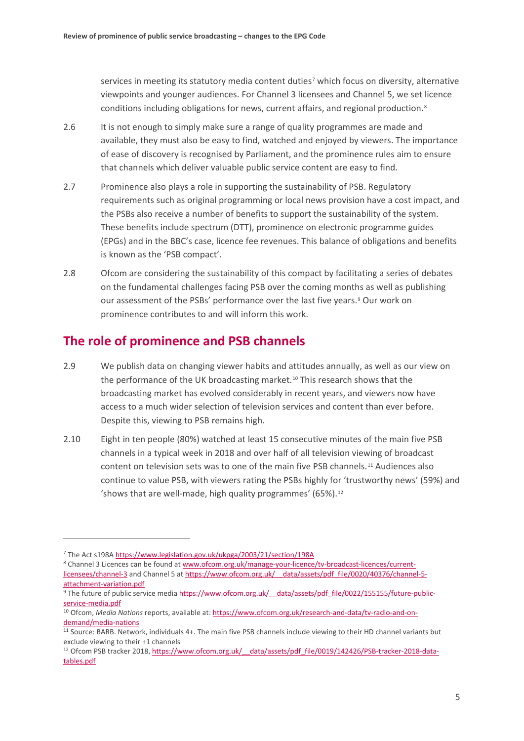services in meeting its statutory media content duties<sup>[7](#page-6-0)</sup> which focus on diversity, alternative viewpoints and younger audiences. For Channel 3 licensees and Channel 5, we set licence conditions including obligations for news, current affairs, and regional production.[8](#page-6-1)

- 2.6 It is not enough to simply make sure a range of quality programmes are made and available, they must also be easy to find, watched and enjoyed by viewers. The importance of ease of discovery is recognised by Parliament, and the prominence rules aim to ensure that channels which deliver valuable public service content are easy to find.
- 2.7 Prominence also plays a role in supporting the sustainability of PSB. Regulatory requirements such as original programming or local news provision have a cost impact, and the PSBs also receive a number of benefits to support the sustainability of the system. These benefits include spectrum (DTT), prominence on electronic programme guides (EPGs) and in the BBC's case, licence fee revenues. This balance of obligations and benefits is known as the 'PSB compact'.
- 2.8 Ofcom are considering the sustainability of this compact by facilitating a series of debates on the fundamental challenges facing PSB over the coming months as well as publishing our assessment of the PSBs' performance over the last five years.<sup>[9](#page-6-2)</sup> Our work on prominence contributes to and will inform this work.

# **The role of prominence and PSB channels**

- 2.9 We publish data on changing viewer habits and attitudes annually, as well as our view on the performance of the UK broadcasting market.<sup>[10](#page-6-3)</sup> This research shows that the broadcasting market has evolved considerably in recent years, and viewers now have access to a much wider selection of television services and content than ever before. Despite this, viewing to PSB remains high.
- 2.10 Eight in ten people (80%) watched at least 15 consecutive minutes of the main five PSB channels in a typical week in 2018 and over half of all television viewing of broadcast content on television sets was to one of the main five PSB channels.[11](#page-6-4) Audiences also continue to value PSB, with viewers rating the PSBs highly for 'trustworthy news' (59%) and 'shows that are well-made, high quality programmes' (65%).[12](#page-6-5)

 $\overline{a}$ 

<span id="page-6-1"></span><sup>8</sup> Channel 3 Licences can be found a[t www.ofcom.org.uk/manage-your-licence/tv-broadcast-licences/current](http://www.ofcom.org.uk/manage-your-licence/tv-broadcast-licences/current-licensees/channel-3)[licensees/channel-3](http://www.ofcom.org.uk/manage-your-licence/tv-broadcast-licences/current-licensees/channel-3) and Channel 5 at https://www.ofcom.org.uk/ data/assets/pdf file/0020/40376/channel-5attachment-variation.pdf<br><sup>9</sup> The future of public service media https://www.ofcom.org.uk/ data/assets/pdf\_file/0022/155155/future-public-

<span id="page-6-0"></span><sup>7</sup> The Act s198[A https://www.legislation.gov.uk/ukpga/2003/21/section/198A](https://www.legislation.gov.uk/ukpga/2003/21/section/198A)

<span id="page-6-2"></span>[service-media.pdf](https://www.ofcom.org.uk/__data/assets/pdf_file/0022/155155/future-public-service-media.pdf)

<span id="page-6-3"></span><sup>10</sup> Ofcom, *Media Nations* reports, available at[: https://www.ofcom.org.uk/research-and-data/tv-radio-and-on](https://www.ofcom.org.uk/research-and-data/tv-radio-and-on-demand/media-nations)[demand/media-nations](https://www.ofcom.org.uk/research-and-data/tv-radio-and-on-demand/media-nations)

<span id="page-6-4"></span><sup>11</sup> Source: BARB. Network, individuals 4+. The main five PSB channels include viewing to their HD channel variants but exclude viewing to their +1 channels

<span id="page-6-5"></span><sup>&</sup>lt;sup>12</sup> Ofcom PSB tracker 2018, https://www.ofcom.org.uk/ data/assets/pdf file/0019/142426/PSB-tracker-2018-data[tables.pdf](https://www.ofcom.org.uk/__data/assets/pdf_file/0019/142426/PSB-tracker-2018-data-tables.pdf)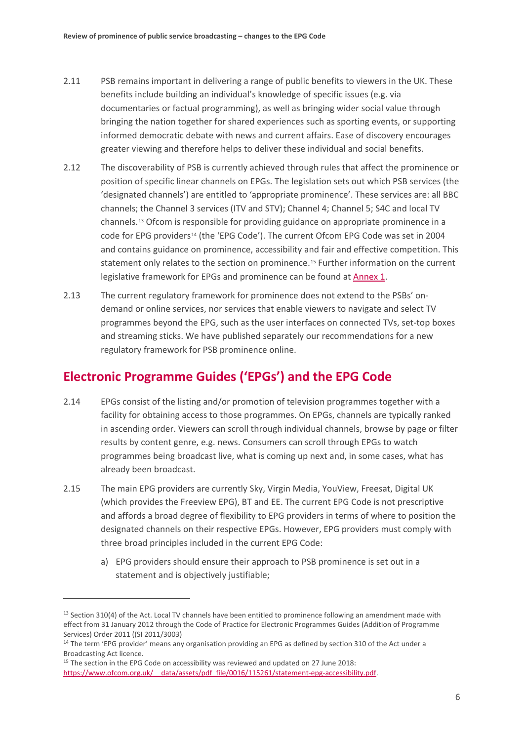- 2.11 PSB remains important in delivering a range of public benefits to viewers in the UK. These benefits include building an individual's knowledge of specific issues (e.g. via documentaries or factual programming), as well as bringing wider social value through bringing the nation together for shared experiences such as sporting events, or supporting informed democratic debate with news and current affairs. Ease of discovery encourages greater viewing and therefore helps to deliver these individual and social benefits.
- 2.12 The discoverability of PSB is currently achieved through rules that affect the prominence or position of specific linear channels on EPGs. The legislation sets out which PSB services (the 'designated channels') are entitled to 'appropriate prominence'. These services are: all BBC channels; the Channel 3 services (ITV and STV); Channel 4; Channel 5; S4C and local TV channels.[13](#page-7-0) Ofcom is responsible for providing guidance on appropriate prominence in a code for EPG providers<sup>[14](#page-7-1)</sup> (the 'EPG Code'). The current Ofcom EPG Code was set in 2004 and contains guidance on prominence, accessibility and fair and effective competition. This statement only relates to the section on prominence.[15](#page-7-2) Further information on the current legislative framework for EPGs and prominence can be found at [Annex 1.](https://www.ofcom.org.uk/__data/assets/pdf_file/0026/154376/annex-1-legislative-framework.pdf)
- 2.13 The current regulatory framework for prominence does not extend to the PSBs' ondemand or online services, nor services that enable viewers to navigate and select TV programmes beyond the EPG, such as the user interfaces on connected TVs, set-top boxes and streaming sticks. We have published separately our recommendations for a new regulatory framework for PSB prominence online.

# **Electronic Programme Guides ('EPGs') and the EPG Code**

- 2.14 EPGs consist of the listing and/or promotion of television programmes together with a facility for obtaining access to those programmes. On EPGs, channels are typically ranked in ascending order. Viewers can scroll through individual channels, browse by page or filter results by content genre, e.g. news. Consumers can scroll through EPGs to watch programmes being broadcast live, what is coming up next and, in some cases, what has already been broadcast.
- 2.15 The main EPG providers are currently Sky, Virgin Media, YouView, Freesat, Digital UK (which provides the Freeview EPG), BT and EE. The current EPG Code is not prescriptive and affords a broad degree of flexibility to EPG providers in terms of where to position the designated channels on their respective EPGs. However, EPG providers must comply with three broad principles included in the current EPG Code:
	- a) EPG providers should ensure their approach to PSB prominence is set out in a statement and is objectively justifiable;

**.** 

<span id="page-7-0"></span> $13$  Section 310(4) of the Act. Local TV channels have been entitled to prominence following an amendment made with effect from 31 January 2012 through the Code of Practice for Electronic Programmes Guides (Addition of Programme Services) Order 2011 ((SI 2011/3003)

<span id="page-7-1"></span><sup>&</sup>lt;sup>14</sup> The term 'EPG provider' means any organisation providing an EPG as defined by section 310 of the Act under a Broadcasting Act licence.

<span id="page-7-2"></span><sup>&</sup>lt;sup>15</sup> The section in the EPG Code on accessibility was reviewed and updated on 27 June 2018: https://www.ofcom.org.uk/ data/assets/pdf file/0016/115261/statement-epg-accessibility.pdf.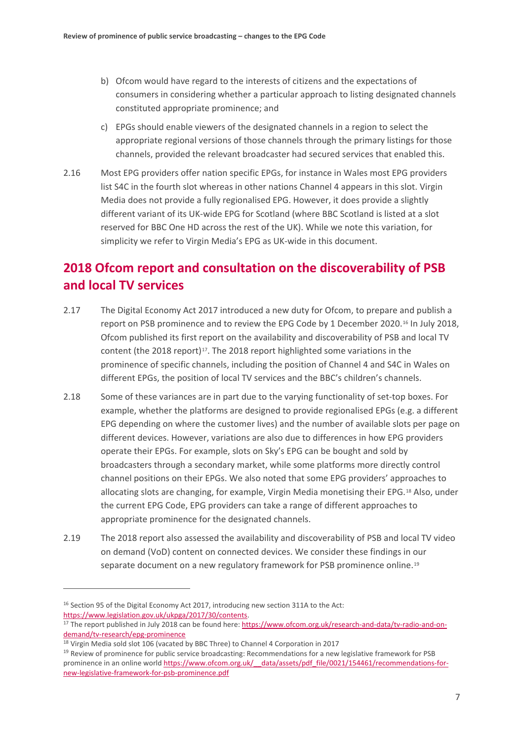- b) Ofcom would have regard to the interests of citizens and the expectations of consumers in considering whether a particular approach to listing designated channels constituted appropriate prominence; and
- c) EPGs should enable viewers of the designated channels in a region to select the appropriate regional versions of those channels through the primary listings for those channels, provided the relevant broadcaster had secured services that enabled this.
- 2.16 Most EPG providers offer nation specific EPGs, for instance in Wales most EPG providers list S4C in the fourth slot whereas in other nations Channel 4 appears in this slot. Virgin Media does not provide a fully regionalised EPG. However, it does provide a slightly different variant of its UK-wide EPG for Scotland (where BBC Scotland is listed at a slot reserved for BBC One HD across the rest of the UK). While we note this variation, for simplicity we refer to Virgin Media's EPG as UK-wide in this document.

# **2018 Ofcom report and consultation on the discoverability of PSB and local TV services**

- 2.17 The Digital Economy Act 2017 introduced a new duty for Ofcom, to prepare and publish a report on PSB prominence and to review the EPG Code by 1 December 2020.[16](#page-8-0) In July 2018, Ofcom published its first report on the availability and discoverability of PSB and local TV content (the 2018 report) $17$ . The 2018 report highlighted some variations in the prominence of specific channels, including the position of Channel 4 and S4C in Wales on different EPGs, the position of local TV services and the BBC's children's channels.
- 2.18 Some of these variances are in part due to the varying functionality of set-top boxes. For example, whether the platforms are designed to provide regionalised EPGs (e.g. a different EPG depending on where the customer lives) and the number of available slots per page on different devices. However, variations are also due to differences in how EPG providers operate their EPGs. For example, slots on Sky's EPG can be bought and sold by broadcasters through a secondary market, while some platforms more directly control channel positions on their EPGs. We also noted that some EPG providers' approaches to allocating slots are changing, for example, Virgin Media monetising their EPG.[18](#page-8-2) Also, under the current EPG Code, EPG providers can take a range of different approaches to appropriate prominence for the designated channels.
- 2.19 The 2018 report also assessed the availability and discoverability of PSB and local TV video on demand (VoD) content on connected devices. We consider these findings in our separate document on a new regulatory framework for PSB prominence online.[19](#page-8-3)

<span id="page-8-0"></span><sup>&</sup>lt;sup>16</sup> Section 95 of the Digital Economy Act 2017, introducing new section 311A to the Act:

<span id="page-8-1"></span>[https://www.legislation.gov.uk/ukpga/2017/30/contents.](https://www.legislation.gov.uk/ukpga/2017/30/contents)<br><sup>17</sup> The report published in July 2018 can be found here: [https://www.ofcom.org.uk/research-and-data/tv-radio-and-on](https://www.ofcom.org.uk/research-and-data/tv-radio-and-on-demand/tv-research/epg-prominence)[demand/tv-research/epg-prominence](https://www.ofcom.org.uk/research-and-data/tv-radio-and-on-demand/tv-research/epg-prominence)

<span id="page-8-2"></span><sup>&</sup>lt;sup>18</sup> Virgin Media sold slot 106 (vacated by BBC Three) to Channel 4 Corporation in 2017

<span id="page-8-3"></span><sup>&</sup>lt;sup>19</sup> Review of prominence for public service broadcasting: Recommendations for a new legislative framework for PSB prominence in an online world https://www.ofcom.org.uk/ data/assets/pdf file/0021/154461/recommendations-for[new-legislative-framework-for-psb-prominence.pdf](https://www.ofcom.org.uk/__data/assets/pdf_file/0021/154461/recommendations-for-new-legislative-framework-for-psb-prominence.pdf)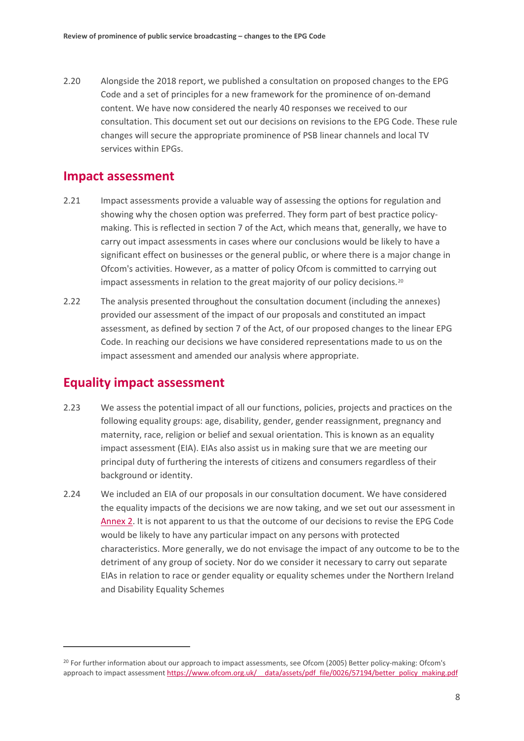2.20 Alongside the 2018 report, we published a consultation on proposed changes to the EPG Code and a set of principles for a new framework for the prominence of on-demand content. We have now considered the nearly 40 responses we received to our consultation. This document set out our decisions on revisions to the EPG Code. These rule changes will secure the appropriate prominence of PSB linear channels and local TV services within EPGs.

## **Impact assessment**

- 2.21 Impact assessments provide a valuable way of assessing the options for regulation and showing why the chosen option was preferred. They form part of best practice policymaking. This is reflected in section 7 of the Act, which means that, generally, we have to carry out impact assessments in cases where our conclusions would be likely to have a significant effect on businesses or the general public, or where there is a major change in Ofcom's activities. However, as a matter of policy Ofcom is committed to carrying out impact assessments in relation to the great majority of our policy decisions.<sup>[20](#page-9-0)</sup>
- 2.22 The analysis presented throughout the consultation document (including the annexes) provided our assessment of the impact of our proposals and constituted an impact assessment, as defined by section 7 of the Act, of our proposed changes to the linear EPG Code. In reaching our decisions we have considered representations made to us on the impact assessment and amended our analysis where appropriate.

## **Equality impact assessment**

- 2.23 We assess the potential impact of all our functions, policies, projects and practices on the following equality groups: age, disability, gender, gender reassignment, pregnancy and maternity, race, religion or belief and sexual orientation. This is known as an equality impact assessment (EIA). EIAs also assist us in making sure that we are meeting our principal duty of furthering the interests of citizens and consumers regardless of their background or identity.
- 2.24 We included an EIA of our proposals in our consultation document. We have considered the equality impacts of the decisions we are now taking, and we set out our assessment in [Annex 2.](https://www.ofcom.org.uk/__data/assets/pdf_file/0028/154378/annex-2-equality-impact-assessment-.pdf) It is not apparent to us that the outcome of our decisions to revise the EPG Code would be likely to have any particular impact on any persons with protected characteristics. More generally, we do not envisage the impact of any outcome to be to the detriment of any group of society. Nor do we consider it necessary to carry out separate EIAs in relation to race or gender equality or equality schemes under the Northern Ireland and Disability Equality Schemes

<span id="page-9-0"></span><sup>&</sup>lt;sup>20</sup> For further information about our approach to impact assessments, see Ofcom (2005) Better policy-making: Ofcom's approach to impact assessment https://www.ofcom.org.uk/ data/assets/pdf\_file/0026/57194/better\_policy\_making.pdf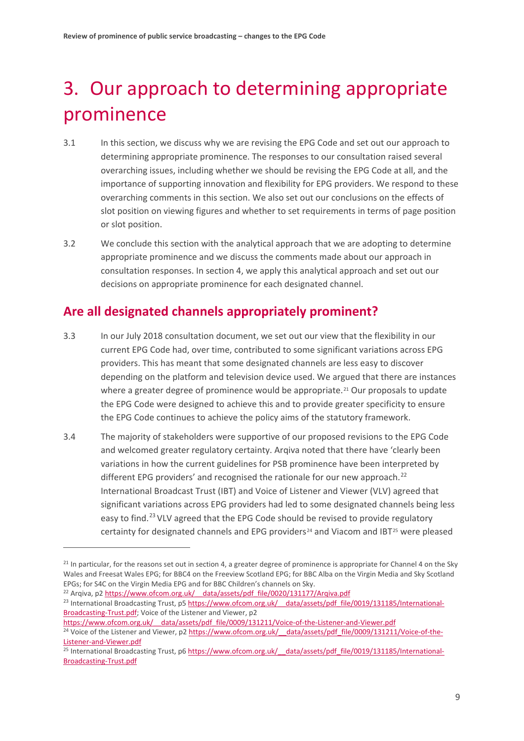# <span id="page-10-0"></span>3. Our approach to determining appropriate prominence

- 3.1 In this section, we discuss why we are revising the EPG Code and set out our approach to determining appropriate prominence. The responses to our consultation raised several overarching issues, including whether we should be revising the EPG Code at all, and the importance of supporting innovation and flexibility for EPG providers. We respond to these overarching comments in this section. We also set out our conclusions on the effects of slot position on viewing figures and whether to set requirements in terms of page position or slot position.
- 3.2 We conclude this section with the analytical approach that we are adopting to determine appropriate prominence and we discuss the comments made about our approach in consultation responses. In section [4,](#page-19-0) we apply this analytical approach and set out our decisions on appropriate prominence for each designated channel.

# **Are all designated channels appropriately prominent?**

- <span id="page-10-6"></span>3.3 In our July 2018 consultation document, we set out our view that the flexibility in our current EPG Code had, over time, contributed to some significant variations across EPG providers. This has meant that some designated channels are less easy to discover depending on the platform and television device used. We argued that there are instances where a greater degree of prominence would be appropriate.<sup>[21](#page-10-1)</sup> Our proposals to update the EPG Code were designed to achieve this and to provide greater specificity to ensure the EPG Code continues to achieve the policy aims of the statutory framework.
- 3.4 The majority of stakeholders were supportive of our proposed revisions to the EPG Code and welcomed greater regulatory certainty. Arqiva noted that there have 'clearly been variations in how the current guidelines for PSB prominence have been interpreted by different EPG providers' and recognised the rationale for our new approach.<sup>[22](#page-10-2)</sup> International Broadcast Trust (IBT) and Voice of Listener and Viewer (VLV) agreed that significant variations across EPG providers had led to some designated channels being less easy to find.<sup>[23](#page-10-3)</sup> VLV agreed that the EPG Code should be revised to provide regulatory certainty for designated channels and EPG providers<sup>[24](#page-10-4)</sup> and Viacom and IBT<sup>[25](#page-10-5)</sup> were pleased

<span id="page-10-2"></span><sup>22</sup> Arqiva, p2 https://www.ofcom.org.uk/ data/assets/pdf file/0020/131177/Arqiva.pdf

**.** 

[https://www.ofcom.org.uk/\\_\\_data/assets/pdf\\_file/0009/131211/Voice-of-the-Listener-and-Viewer.pdf](https://www.ofcom.org.uk/__data/assets/pdf_file/0009/131211/Voice-of-the-Listener-and-Viewer.pdf)

<span id="page-10-1"></span><sup>&</sup>lt;sup>21</sup> In particular, for the reasons set out in section [4,](#page-19-0) a greater degree of prominence is appropriate for Channel 4 on the Sky Wales and Freesat Wales EPG; for BBC4 on the Freeview Scotland EPG; for BBC Alba on the Virgin Media and Sky Scotland EPGs; for S4C on the Virgin Media EPG and for BBC Children's channels on Sky.

<span id="page-10-3"></span><sup>&</sup>lt;sup>23</sup> International Broadcasting Trust, p5 https://www.ofcom.org.uk/ data/assets/pdf\_file/0019/131185/International-[Broadcasting-Trust.pdf;](https://www.ofcom.org.uk/__data/assets/pdf_file/0019/131185/International-Broadcasting-Trust.pdf) Voice of the Listener and Viewer, p2

<span id="page-10-4"></span><sup>&</sup>lt;sup>24</sup> Voice of the Listener and Viewer, p2 https://www.ofcom.org.uk/ data/assets/pdf\_file/0009/131211/Voice-of-the-[Listener-and-Viewer.pdf](https://www.ofcom.org.uk/__data/assets/pdf_file/0009/131211/Voice-of-the-Listener-and-Viewer.pdf)

<span id="page-10-5"></span> $25$  International Broadcasting Trust, p6 https://www.ofcom.org.uk/ data/assets/pdf\_file/0019/131185/International-[Broadcasting-Trust.pdf](https://www.ofcom.org.uk/__data/assets/pdf_file/0019/131185/International-Broadcasting-Trust.pdf)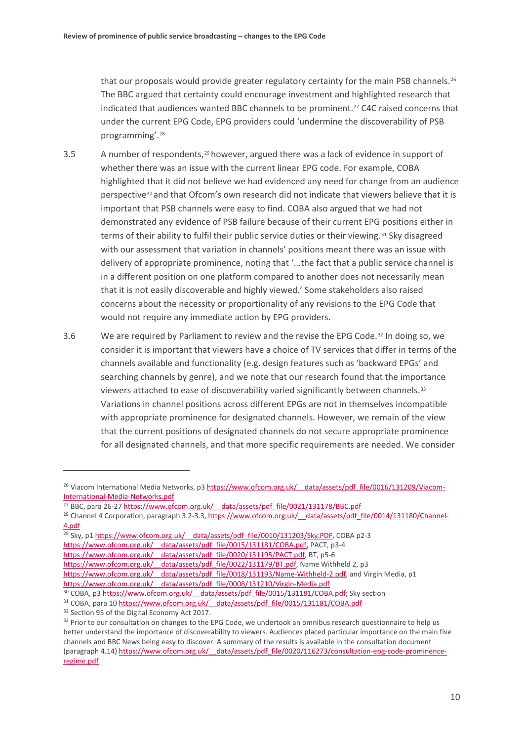that our proposals would provide greater regulatory certainty for the main PSB channels.<sup>[26](#page-11-0)</sup> The BBC argued that certainty could encourage investment and highlighted research that indicated that audiences wanted BBC channels to be prominent.[27](#page-11-1) C4C raised concerns that under the current EPG Code, EPG providers could 'undermine the discoverability of PSB programming'.[28](#page-11-2)

- <span id="page-11-8"></span>3.5 A number of respondents,[29](#page-11-3)however, argued there was a lack of evidence in support of whether there was an issue with the current linear EPG code. For example, COBA highlighted that it did not believe we had evidenced any need for change from an audience perspective<sup>[30](#page-11-4)</sup> and that Ofcom's own research did not indicate that viewers believe that it is important that PSB channels were easy to find. COBA also argued that we had not demonstrated any evidence of PSB failure because of their current EPG positions either in terms of their ability to fulfil their public service duties or their viewing.<sup>[31](#page-11-5)</sup> Sky disagreed with our assessment that variation in channels' positions meant there was an issue with delivery of appropriate prominence, noting that '...the fact that a public service channel is in a different position on one platform compared to another does not necessarily mean that it is not easily discoverable and highly viewed.' Some stakeholders also raised concerns about the necessity or proportionality of any revisions to the EPG Code that would not require any immediate action by EPG providers.
- 3.6 We are required by Parliament to review and the revise the EPG Code.[32](#page-11-6) In doing so, we consider it is important that viewers have a choice of TV services that differ in terms of the channels available and functionality (e.g. design features such as 'backward EPGs' and searching channels by genre), and we note that our research found that the importance viewers attached to ease of discoverability varied significantly between channels.<sup>[33](#page-11-7)</sup> Variations in channel positions across different EPGs are not in themselves incompatible with appropriate prominence for designated channels. However, we remain of the view that the current positions of designated channels do not secure appropriate prominence for all designated channels, and that more specific requirements are needed. We consider

https://www.ofcom.org.uk/ data/assets/pdf\_file/0015/131181/COBA.pdf, PACT, p3-4

<span id="page-11-5"></span><sup>31</sup> COBA, para 10 https://www.ofcom.org.uk/ data/assets/pdf\_file/0015/131181/COBA.pdf

<span id="page-11-0"></span><sup>&</sup>lt;sup>26</sup> Viacom International Media Networks, p3 https://www.ofcom.org.uk/ data/assets/pdf\_file/0016/131209/Viacom-[International-Media-Networks.pdf](https://www.ofcom.org.uk/__data/assets/pdf_file/0016/131209/Viacom-International-Media-Networks.pdf)

<span id="page-11-1"></span><sup>&</sup>lt;sup>27</sup> BBC, para 26-27 https://www.ofcom.org.uk/ data/assets/pdf\_file/0021/131178/BBC.pdf

<span id="page-11-2"></span><sup>&</sup>lt;sup>28</sup> Channel 4 Corporation, paragraph 3.2-3.3, https://www.ofcom.org.uk/ data/assets/pdf\_file/0014/131180/Channel-[4.pdf](https://www.ofcom.org.uk/__data/assets/pdf_file/0014/131180/Channel-4.pdf)

<span id="page-11-3"></span> $\frac{29}{29}$  Sky, p1 https://www.ofcom.org.uk/ data/assets/pdf file/0010/131203/Sky.PDF, COBA p2-3

https://www.ofcom.org.uk/ data/assets/pdf\_file/0020/131195/PACT.pdf, BT, p5-6

https://www.ofcom.org.uk/ data/assets/pdf\_file/0022/131179/BT.pdf, Name Withheld 2, p3

https://www.ofcom.org.uk/ data/assets/pdf file/0018/131193/Name-Withheld-2.pdf, and Virgin Media, p1 https://www.ofcom.org.uk/ data/assets/pdf file/0008/131210/Virgin-Media.pdf

<span id="page-11-4"></span><sup>&</sup>lt;sup>30</sup> COBA, p3 https://www.ofcom.org.uk/ data/assets/pdf\_file/0015/131181/COBA.pdf; Sky section

<span id="page-11-6"></span><sup>&</sup>lt;sup>32</sup> Section 95 of the Digital Economy Act 2017.

<span id="page-11-7"></span><sup>&</sup>lt;sup>33</sup> Prior to our consultation on changes to the EPG Code, we undertook an omnibus research questionnaire to help us better understand the importance of discoverability to viewers. Audiences placed particular importance on the main five channels and BBC News being easy to discover. A summary of the results is available in the consultation document (paragraph 4.14[\) https://www.ofcom.org.uk/\\_\\_data/assets/pdf\\_file/0020/116273/consultation-epg-code-prominence](https://www.ofcom.org.uk/__data/assets/pdf_file/0020/116273/consultation-epg-code-prominence-regime.pdf)[regime.pdf](https://www.ofcom.org.uk/__data/assets/pdf_file/0020/116273/consultation-epg-code-prominence-regime.pdf)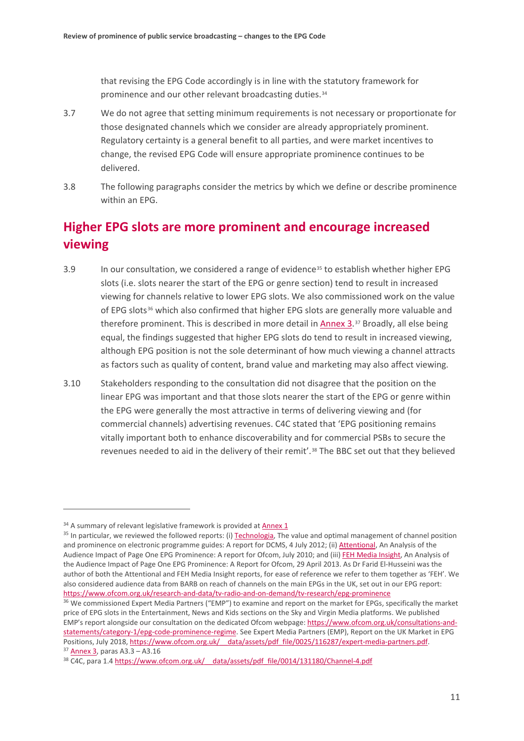that revising the EPG Code accordingly is in line with the statutory framework for prominence and our other relevant broadcasting duties.<sup>34</sup>

- 3.7 We do not agree that setting minimum requirements is not necessary or proportionate for those designated channels which we consider are already appropriately prominent. Regulatory certainty is a general benefit to all parties, and were market incentives to change, the revised EPG Code will ensure appropriate prominence continues to be delivered.
- <span id="page-12-5"></span>3.8 The following paragraphs consider the metrics by which we define or describe prominence within an EPG.

# **Higher EPG slots are more prominent and encourage increased viewing**

- <span id="page-12-6"></span>3.9 In our consultation, we considered a range of evidence<sup>[35](#page-12-1)</sup> to establish whether higher EPG slots (i.e. slots nearer the start of the EPG or genre section) tend to result in increased viewing for channels relative to lower EPG slots. We also commissioned work on the value of EPG slots<sup>[36](#page-12-2)</sup> which also confirmed that higher EPG slots are generally more valuable and therefore prominent. This is described in more detail in [Annex 3.](https://www.ofcom.org.uk/__data/assets/pdf_file/0021/154380/annex-3-ofcoms-assessment-of-evidence-base.pdf)[37](#page-12-3) Broadly, all else being equal, the findings suggested that higher EPG slots do tend to result in increased viewing, although EPG position is not the sole determinant of how much viewing a channel attracts as factors such as quality of content, brand value and marketing may also affect viewing.
- 3.10 Stakeholders responding to the consultation did not disagree that the position on the linear EPG was important and that those slots nearer the start of the EPG or genre within the EPG were generally the most attractive in terms of delivering viewing and (for commercial channels) advertising revenues. C4C stated that 'EPG positioning remains vitally important both to enhance discoverability and for commercial PSBs to secure the revenues needed to aid in the delivery of their remit'.[38](#page-12-4) The BBC set out that they believed

**.** 

<span id="page-12-0"></span><sup>&</sup>lt;sup>34</sup> A summary of relevant legislative framework is provided at [Annex 1](https://www.ofcom.org.uk/__data/assets/pdf_file/0026/154376/annex-1-legislative-framework.pdf)

<span id="page-12-1"></span><sup>&</sup>lt;sup>35</sup> In particular, we reviewed the followed reports: (i) Technologia. The value and optimal management of channel position and prominence on electronic programme guides: A report for DCMS, 4 July 2012; (ii[\) Attentional,](https://www.ofcom.org.uk/__data/assets/pdf_file/0033/68793/attentionalreport.pdf) An Analysis of the Audience Impact of Page One EPG Prominence: A report for Ofcom, July 2010; and (iii[\) FEH Media Insight,](https://www.ofcom.org.uk/__data/assets/pdf_file/0015/57201/impact_of_epg_prominence.pdf) An Analysis of the Audience Impact of Page One EPG Prominence: A Report for Ofcom, 29 April 2013. As Dr Farid El-Husseini was the author of both the Attentional and FEH Media Insight reports, for ease of reference we refer to them together as 'FEH'. We also considered audience data from BARB on reach of channels on the main EPGs in the UK, set out in our EPG report: <https://www.ofcom.org.uk/research-and-data/tv-radio-and-on-demand/tv-research/epg-prominence>

<span id="page-12-2"></span><sup>&</sup>lt;sup>36</sup> We commissioned Expert Media Partners ("EMP") to examine and report on the market for EPGs, specifically the market price of EPG slots in the Entertainment, News and Kids sections on the Sky and Virgin Media platforms. We published EMP's report alongside our consultation on the dedicated Ofcom webpage[: https://www.ofcom.org.uk/consultations-and](https://www.ofcom.org.uk/consultations-and-statements/category-1/epg-code-prominence-regime)[statements/category-1/epg-code-prominence-regime.](https://www.ofcom.org.uk/consultations-and-statements/category-1/epg-code-prominence-regime) See Expert Media Partners (EMP), Report on the UK Market in EPG Positions, July 2018[, https://www.ofcom.org.uk/\\_\\_data/assets/pdf\\_file/0025/116287/expert-media-partners.pdf.](https://www.ofcom.org.uk/__data/assets/pdf_file/0025/116287/expert-media-partners.pdf)  $37$  Annex 3, paras A3.3 – A3.16<br> $38$  C4C, para 1.4 https://www.ofcom.org.uk/ data/assets/pdf\_file/0014/131180/Channel-4.pdf

<span id="page-12-4"></span><span id="page-12-3"></span>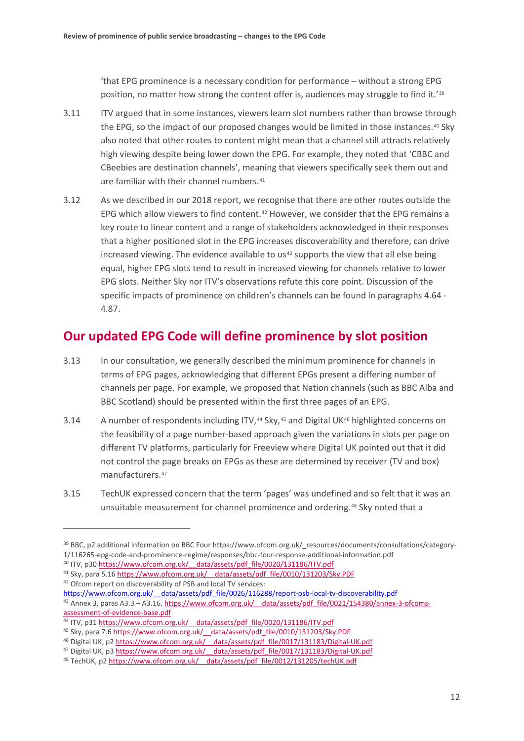'that EPG prominence is a necessary condition for performance – without a strong EPG position, no matter how strong the content offer is, audiences may struggle to find it.'[39](#page-13-0)

- 3.11 ITV argued that in some instances, viewers learn slot numbers rather than browse through the EPG, so the impact of our proposed changes would be limited in those instances.<sup>[40](#page-13-1)</sup> Sky also noted that other routes to content might mean that a channel still attracts relatively high viewing despite being lower down the EPG. For example, they noted that 'CBBC and CBeebies are destination channels', meaning that viewers specifically seek them out and are familiar with their channel numbers.<sup>[41](#page-13-2)</sup>
- 3.12 As we described in our 2018 report, we recognise that there are other routes outside the EPG which allow viewers to find content.<sup>[42](#page-13-3)</sup> However, we consider that the EPG remains a key route to linear content and a range of stakeholders acknowledged in their responses that a higher positioned slot in the EPG increases discoverability and therefore, can drive increased viewing. The evidence available to us<sup>[43](#page-13-4)</sup> supports the view that all else being equal, higher EPG slots tend to result in increased viewing for channels relative to lower EPG slots. Neither Sky nor ITV's observations refute this core point. Discussion of the specific impacts of prominence on children's channels can be found in paragraphs [4.64](#page-32-0) - [4.87.](#page-37-0)

# **Our updated EPG Code will define prominence by slot position**

- <span id="page-13-10"></span>3.13 In our consultation, we generally described the minimum prominence for channels in terms of EPG pages, acknowledging that different EPGs present a differing number of channels per page. For example, we proposed that Nation channels (such as BBC Alba and BBC Scotland) should be presented within the first three pages of an EPG.
- 3.14 A number of respondents including ITV,<sup>[44](#page-13-5)</sup> Sky,<sup>[45](#page-13-6)</sup> and Digital UK<sup>[46](#page-13-7)</sup> highlighted concerns on the feasibility of a page number-based approach given the variations in slots per page on different TV platforms, particularly for Freeview where Digital UK pointed out that it did not control the page breaks on EPGs as these are determined by receiver (TV and box) manufacturers.[47](#page-13-8)
- 3.15 TechUK expressed concern that the term 'pages' was undefined and so felt that it was an unsuitable measurement for channel prominence and ordering.<sup>[48](#page-13-9)</sup> Sky noted that a

- <span id="page-13-2"></span><sup>41</sup> Sky, para 5.16 https://www.ofcom.org.uk/ data/assets/pdf\_file/0010/131203/Sky.PDF
- <span id="page-13-3"></span><sup>42</sup> Ofcom report on discoverability of PSB and local TV services: https://www.ofcom.org.uk/ data/assets/pdf file/0026/116288/report-psb-local-tv-discoverability.pdf
- <span id="page-13-4"></span><sup>43</sup> Annex 3, paras A3.3 – A3.16, https://www.ofcom.org.uk/ data/assets/pdf\_file/0021/154380/annex-3-ofcoms-<br>assessment-of-evidence-base.pdf

<span id="page-13-0"></span><sup>&</sup>lt;sup>39</sup> BBC, p2 additional information on BBC Four https://www.ofcom.org.uk/\_resources/documents/consultations/category-1/116265-epg-code-and-prominence-regime/responses/bbc-four-response-additional-information.pdf

<span id="page-13-1"></span><sup>&</sup>lt;sup>40</sup> ITV, p30 https://www.ofcom.org.uk/ data/assets/pdf\_file/0020/131186/ITV.pdf

<span id="page-13-5"></span><sup>44</sup> ITV, p31 https://www.ofcom.org.uk/ data/assets/pdf\_file/0020/131186/ITV.pdf

<span id="page-13-6"></span><sup>45</sup> Sky, para 7.[6 https://www.ofcom.org.uk/\\_\\_data/assets/pdf\\_file/0010/131203/Sky.PDF](https://www.ofcom.org.uk/__data/assets/pdf_file/0010/131203/Sky.PDF)

<span id="page-13-7"></span><sup>&</sup>lt;sup>46</sup> Digital UK, p2 https://www.ofcom.org.uk/ data/assets/pdf file/0017/131183/Digital-UK.pdf

<sup>&</sup>lt;sup>47</sup> Digital UK, p3 https://www.ofcom.org.uk/ data/assets/pdf\_file/0017/131183/Digital-UK.pdf

<span id="page-13-9"></span><span id="page-13-8"></span><sup>48</sup> TechUK, p[2 https://www.ofcom.org.uk/\\_\\_data/assets/pdf\\_file/0012/131205/techUK.pdf](https://www.ofcom.org.uk/__data/assets/pdf_file/0012/131205/techUK.pdf)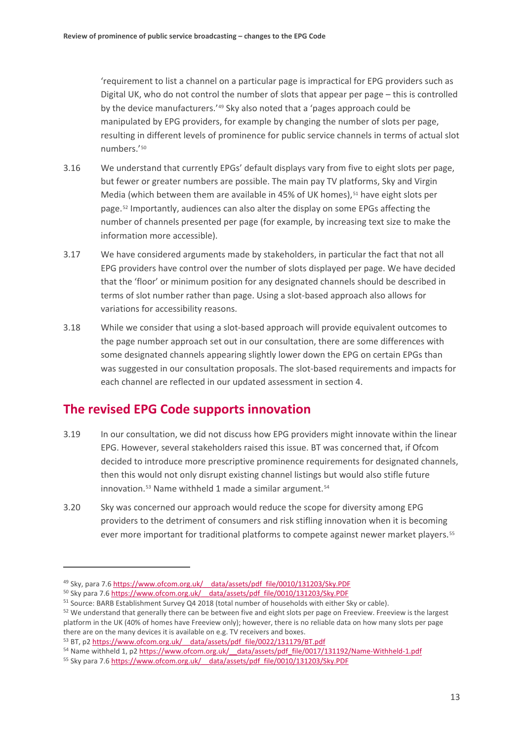'requirement to list a channel on a particular page is impractical for EPG providers such as Digital UK, who do not control the number of slots that appear per page – this is controlled by the device manufacturers.'[49](#page-14-0) Sky also noted that a 'pages approach could be manipulated by EPG providers, for example by changing the number of slots per page, resulting in different levels of prominence for public service channels in terms of actual slot numbers.'[50](#page-14-1)

- 3.16 We understand that currently EPGs' default displays vary from five to eight slots per page, but fewer or greater numbers are possible. The main pay TV platforms, Sky and Virgin Media (which between them are available in 45% of UK homes),  $51$  have eight slots per page.[52](#page-14-3) Importantly, audiences can also alter the display on some EPGs affecting the number of channels presented per page (for example, by increasing text size to make the information more accessible).
- 3.17 We have considered arguments made by stakeholders, in particular the fact that not all EPG providers have control over the number of slots displayed per page. We have decided that the 'floor' or minimum position for any designated channels should be described in terms of slot number rather than page. Using a slot-based approach also allows for variations for accessibility reasons.
- <span id="page-14-7"></span>3.18 While we consider that using a slot-based approach will provide equivalent outcomes to the page number approach set out in our consultation, there are some differences with some designated channels appearing slightly lower down the EPG on certain EPGs than was suggested in our consultation proposals. The slot-based requirements and impacts for each channel are reflected in our updated assessment in section [4.](#page-19-0)

# **The revised EPG Code supports innovation**

- 3.19 In our consultation, we did not discuss how EPG providers might innovate within the linear EPG. However, several stakeholders raised this issue. BT was concerned that, if Ofcom decided to introduce more prescriptive prominence requirements for designated channels, then this would not only disrupt existing channel listings but would also stifle future innovation.<sup>[53](#page-14-4)</sup> Name withheld 1 made a similar argument.<sup>[54](#page-14-5)</sup>
- 3.20 Sky was concerned our approach would reduce the scope for diversity among EPG providers to the detriment of consumers and risk stifling innovation when it is becoming ever more important for traditional platforms to compete against newer market players.<sup>[55](#page-14-6)</sup>

<span id="page-14-0"></span><sup>&</sup>lt;sup>49</sup> Sky, para 7.6 https://www.ofcom.org.uk/ data/assets/pdf\_file/0010/131203/Sky.PDF

<span id="page-14-1"></span><sup>&</sup>lt;sup>50</sup> Sky para 7.6 https://www.ofcom.org.uk/ data/assets/pdf\_file/0010/131203/Sky.PDF

<span id="page-14-2"></span><sup>&</sup>lt;sup>51</sup> Source: BARB Establishment Survey Q4 2018 (total number of households with either Sky or cable).

<span id="page-14-3"></span><sup>&</sup>lt;sup>52</sup> We understand that generally there can be between five and eight slots per page on Freeview. Freeview is the largest platform in the UK (40% of homes have Freeview only); however, there is no reliable data on how many slots per page there are on the many devices it is available on e.g. TV receivers and boxes.

<span id="page-14-4"></span><sup>53</sup> BT, p[2 https://www.ofcom.org.uk/\\_\\_data/assets/pdf\\_file/0022/131179/BT.pdf](https://www.ofcom.org.uk/__data/assets/pdf_file/0022/131179/BT.pdf)

<span id="page-14-5"></span><sup>54</sup> Name withheld 1, p2 https://www.ofcom.org.uk/ data/assets/pdf file/0017/131192/Name-Withheld-1.pdf

<span id="page-14-6"></span><sup>55</sup> Sky para 7.[6 https://www.ofcom.org.uk/\\_\\_data/assets/pdf\\_file/0010/131203/Sky.PDF](https://www.ofcom.org.uk/__data/assets/pdf_file/0010/131203/Sky.PDF)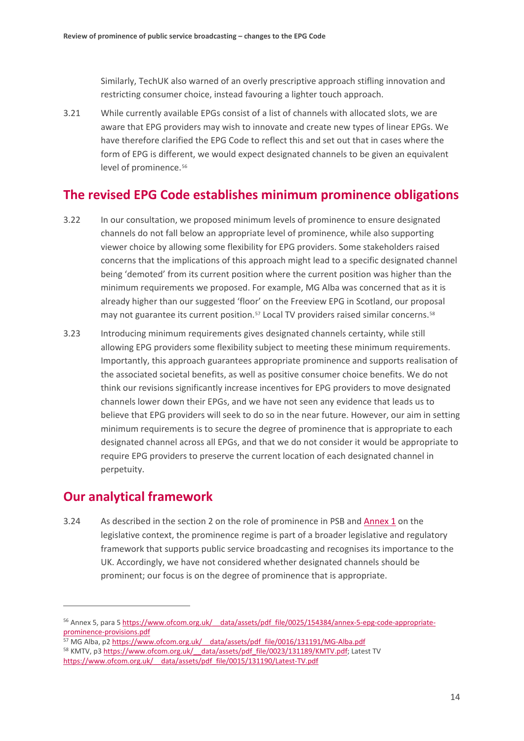Similarly, TechUK also warned of an overly prescriptive approach stifling innovation and restricting consumer choice, instead favouring a lighter touch approach.

3.21 While currently available EPGs consist of a list of channels with allocated slots, we are aware that EPG providers may wish to innovate and create new types of linear EPGs. We have therefore clarified the EPG Code to reflect this and set out that in cases where the form of EPG is different, we would expect designated channels to be given an equivalent level of prominence.<sup>[56](#page-15-0)</sup>

# **The revised EPG Code establishes minimum prominence obligations**

- 3.22 In our consultation, we proposed minimum levels of prominence to ensure designated channels do not fall below an appropriate level of prominence, while also supporting viewer choice by allowing some flexibility for EPG providers. Some stakeholders raised concerns that the implications of this approach might lead to a specific designated channel being 'demoted' from its current position where the current position was higher than the minimum requirements we proposed. For example, MG Alba was concerned that as it is already higher than our suggested 'floor' on the Freeview EPG in Scotland, our proposal may not guarantee its current position.[57](#page-15-1) Local TV providers raised similar concerns.[58](#page-15-2)
- 3.23 Introducing minimum requirements gives designated channels certainty, while still allowing EPG providers some flexibility subject to meeting these minimum requirements. Importantly, this approach guarantees appropriate prominence and supports realisation of the associated societal benefits, as well as positive consumer choice benefits. We do not think our revisions significantly increase incentives for EPG providers to move designated channels lower down their EPGs, and we have not seen any evidence that leads us to believe that EPG providers will seek to do so in the near future. However, our aim in setting minimum requirements is to secure the degree of prominence that is appropriate to each designated channel across all EPGs, and that we do not consider it would be appropriate to require EPG providers to preserve the current location of each designated channel in perpetuity.

## **Our analytical framework**

<u>.</u>

3.[2](#page-5-0)4 As described in the section 2 on the role of prominence in PSB and **Annex 1** on the legislative context, the prominence regime is part of a broader legislative and regulatory framework that supports public service broadcasting and recognises its importance to the UK. Accordingly, we have not considered whether designated channels should be prominent; our focus is on the degree of prominence that is appropriate.

<span id="page-15-0"></span><sup>56</sup> Annex 5, para [5 https://www.ofcom.org.uk/\\_\\_data/assets/pdf\\_file/0025/154384/annex-5-epg-code-appropriate](https://www.ofcom.org.uk/__data/assets/pdf_file/0025/154384/annex-5-epg-code-appropriate-prominence-provisions.pdf)[prominence-provisions.pdf](https://www.ofcom.org.uk/__data/assets/pdf_file/0025/154384/annex-5-epg-code-appropriate-prominence-provisions.pdf)

<span id="page-15-2"></span><span id="page-15-1"></span><sup>&</sup>lt;sup>57</sup> MG Alba, p2 https://www.ofcom.org.uk/ data/assets/pdf file/0016/131191/MG-Alba.pdf <sup>58</sup> KMTV, p[3 https://www.ofcom.org.uk/\\_\\_data/assets/pdf\\_file/0023/131189/KMTV.pdf;](https://www.ofcom.org.uk/__data/assets/pdf_file/0023/131189/KMTV.pdf) Latest TV [https://www.ofcom.org.uk/\\_\\_data/assets/pdf\\_file/0015/131190/Latest-TV.pdf](https://www.ofcom.org.uk/__data/assets/pdf_file/0015/131190/Latest-TV.pdf)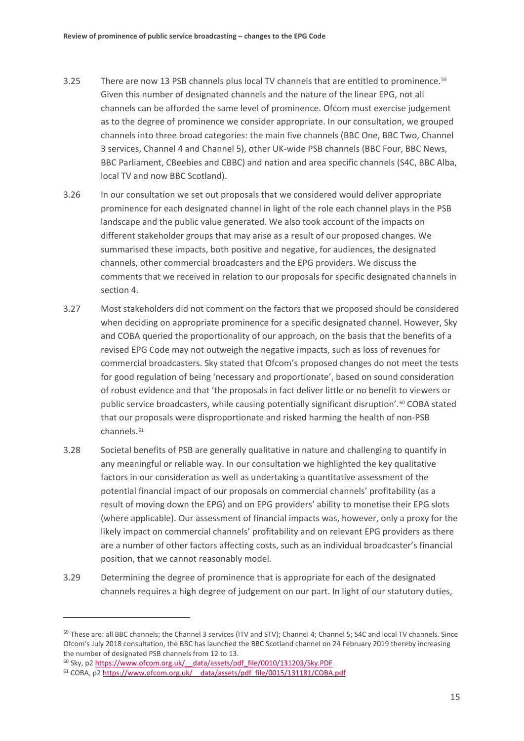- 3.25 There are now 13 PSB channels plus local TV channels that are entitled to prominence.<sup>[59](#page-16-0)</sup> Given this number of designated channels and the nature of the linear EPG, not all channels can be afforded the same level of prominence. Ofcom must exercise judgement as to the degree of prominence we consider appropriate. In our consultation, we grouped channels into three broad categories: the main five channels (BBC One, BBC Two, Channel 3 services, Channel 4 and Channel 5), other UK-wide PSB channels (BBC Four, BBC News, BBC Parliament, CBeebies and CBBC) and nation and area specific channels (S4C, BBC Alba, local TV and now BBC Scotland).
- 3.26 In our consultation we set out proposals that we considered would deliver appropriate prominence for each designated channel in light of the role each channel plays in the PSB landscape and the public value generated. We also took account of the impacts on different stakeholder groups that may arise as a result of our proposed changes. We summarised these impacts, both positive and negative, for audiences, the designated channels, other commercial broadcasters and the EPG providers. We discuss the comments that we received in relation to our proposals for specific designated channels in section [4.](#page-19-0)
- 3.27 Most stakeholders did not comment on the factors that we proposed should be considered when deciding on appropriate prominence for a specific designated channel. However, Sky and COBA queried the proportionality of our approach, on the basis that the benefits of a revised EPG Code may not outweigh the negative impacts, such as loss of revenues for commercial broadcasters. Sky stated that Ofcom's proposed changes do not meet the tests for good regulation of being 'necessary and proportionate', based on sound consideration of robust evidence and that 'the proposals in fact deliver little or no benefit to viewers or public service broadcasters, while causing potentially significant disruption'.<sup>[60](#page-16-1)</sup> COBA stated that our proposals were disproportionate and risked harming the health of non-PSB channels<sup>[61](#page-16-2)</sup>
- 3.28 Societal benefits of PSB are generally qualitative in nature and challenging to quantify in any meaningful or reliable way. In our consultation we highlighted the key qualitative factors in our consideration as well as undertaking a quantitative assessment of the potential financial impact of our proposals on commercial channels' profitability (as a result of moving down the EPG) and on EPG providers' ability to monetise their EPG slots (where applicable). Our assessment of financial impacts was, however, only a proxy for the likely impact on commercial channels' profitability and on relevant EPG providers as there are a number of other factors affecting costs, such as an individual broadcaster's financial position, that we cannot reasonably model.
- <span id="page-16-3"></span>3.29 Determining the degree of prominence that is appropriate for each of the designated channels requires a high degree of judgement on our part. In light of our statutory duties,

<span id="page-16-0"></span><sup>&</sup>lt;sup>59</sup> These are: all BBC channels; the Channel 3 services (ITV and STV); Channel 4; Channel 5; S4C and local TV channels. Since Ofcom's July 2018 consultation, the BBC has launched the BBC Scotland channel on 24 February 2019 thereby increasing the number of designated PSB channels from 12 to 13.

<span id="page-16-1"></span><sup>&</sup>lt;sup>60</sup> Sky, p2 https://www.ofcom.org.uk/ data/assets/pdf file/0010/131203/Sky.PDF

<span id="page-16-2"></span><sup>61</sup> COBA, p[2 https://www.ofcom.org.uk/\\_\\_data/assets/pdf\\_file/0015/131181/COBA.pdf](https://www.ofcom.org.uk/__data/assets/pdf_file/0015/131181/COBA.pdf)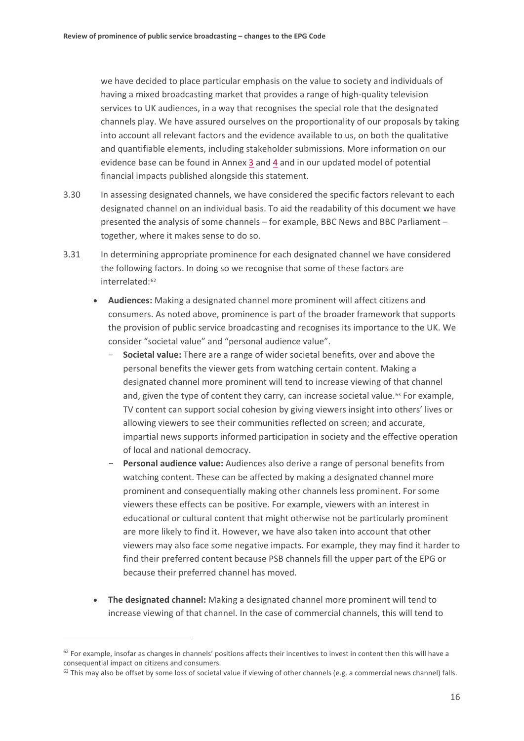we have decided to place particular emphasis on the value to society and individuals of having a mixed broadcasting market that provides a range of high-quality television services to UK audiences, in a way that recognises the special role that the designated channels play. We have assured ourselves on the proportionality of our proposals by taking into account all relevant factors and the evidence available to us, on both the qualitative and quantifiable elements, including stakeholder submissions. More information on our evidence base can be found in Annex [3](https://www.ofcom.org.uk/__data/assets/pdf_file/0021/154380/annex-3-ofcoms-assessment-of-evidence-base.pdf) and [4](https://www.ofcom.org.uk/__data/assets/pdf_file/0023/154382/annex-4-epg-slot-price-modelling-and-interpretation.pdf) and in our updated model of potential financial impacts published alongside this statement.

- 3.30 In assessing designated channels, we have considered the specific factors relevant to each designated channel on an individual basis. To aid the readability of this document we have presented the analysis of some channels – for example, BBC News and BBC Parliament – together, where it makes sense to do so.
- 3.31 In determining appropriate prominence for each designated channel we have considered the following factors. In doing so we recognise that some of these factors are interrelated:<sup>[62](#page-17-0)</sup>
	- **Audiences:** Making a designated channel more prominent will affect citizens and consumers. As noted above, prominence is part of the broader framework that supports the provision of public service broadcasting and recognises its importance to the UK. We consider "societal value" and "personal audience value".
		- **Societal value:** There are a range of wider societal benefits, over and above the personal benefits the viewer gets from watching certain content. Making a designated channel more prominent will tend to increase viewing of that channel and, given the type of content they carry, can increase societal value.<sup>[63](#page-17-1)</sup> For example, TV content can support social cohesion by giving viewers insight into others' lives or allowing viewers to see their communities reflected on screen; and accurate, impartial news supports informed participation in society and the effective operation of local and national democracy.
		- Personal audience value: Audiences also derive a range of personal benefits from watching content. These can be affected by making a designated channel more prominent and consequentially making other channels less prominent. For some viewers these effects can be positive. For example, viewers with an interest in educational or cultural content that might otherwise not be particularly prominent are more likely to find it. However, we have also taken into account that other viewers may also face some negative impacts. For example, they may find it harder to find their preferred content because PSB channels fill the upper part of the EPG or because their preferred channel has moved.
	- **The designated channel:** Making a designated channel more prominent will tend to increase viewing of that channel. In the case of commercial channels, this will tend to

<span id="page-17-0"></span> $62$  For example, insofar as changes in channels' positions affects their incentives to invest in content then this will have a consequential impact on citizens and consumers.<br><sup>63</sup> This may also be offset by some loss of societal value if viewing of other channels (e.g. a commercial news channel) falls.

<span id="page-17-1"></span>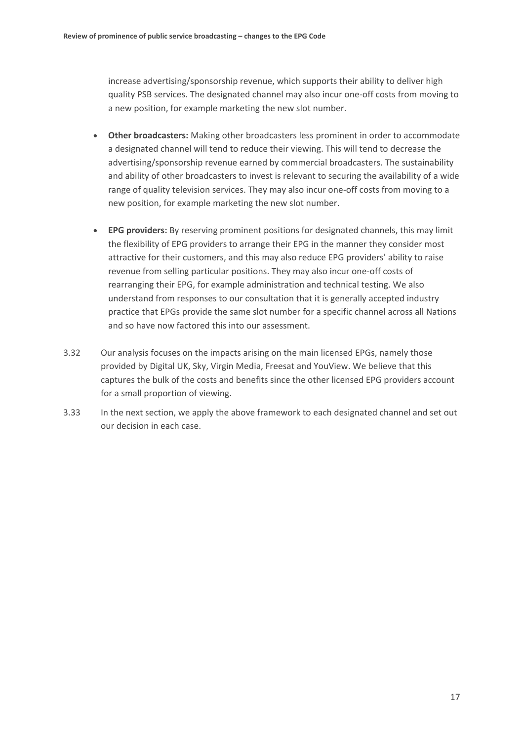increase advertising/sponsorship revenue, which supports their ability to deliver high quality PSB services. The designated channel may also incur one-off costs from moving to a new position, for example marketing the new slot number.

- **Other broadcasters:** Making other broadcasters less prominent in order to accommodate a designated channel will tend to reduce their viewing. This will tend to decrease the advertising/sponsorship revenue earned by commercial broadcasters. The sustainability and ability of other broadcasters to invest is relevant to securing the availability of a wide range of quality television services. They may also incur one-off costs from moving to a new position, for example marketing the new slot number.
- **EPG providers:** By reserving prominent positions for designated channels, this may limit the flexibility of EPG providers to arrange their EPG in the manner they consider most attractive for their customers, and this may also reduce EPG providers' ability to raise revenue from selling particular positions. They may also incur one-off costs of rearranging their EPG, for example administration and technical testing. We also understand from responses to our consultation that it is generally accepted industry practice that EPGs provide the same slot number for a specific channel across all Nations and so have now factored this into our assessment.
- 3.32 Our analysis focuses on the impacts arising on the main licensed EPGs, namely those provided by Digital UK, Sky, Virgin Media, Freesat and YouView. We believe that this captures the bulk of the costs and benefits since the other licensed EPG providers account for a small proportion of viewing.
- 3.33 In the next section, we apply the above framework to each designated channel and set out our decision in each case.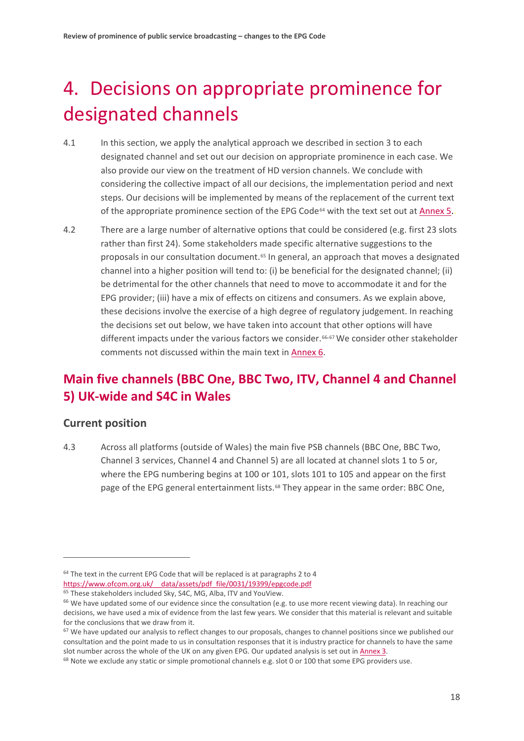# <span id="page-19-0"></span>4. Decisions on appropriate prominence for designated channels

- 4.1 In this section, we apply the analytical approach we described in section [3](#page-10-0) to each designated channel and set out our decision on appropriate prominence in each case. We also provide our view on the treatment of HD version channels. We conclude with considering the collective impact of all our decisions, the implementation period and next steps. Our decisions will be implemented by means of the replacement of the current text of the appropriate prominence section of the EPG Code<sup>[64](#page-19-1)</sup> with the text set out a[t Annex 5.](https://www.ofcom.org.uk/__data/assets/pdf_file/0025/154384/annex-5-epg-code-appropriate-prominence-provisions.pdf)
- 4.2 There are a large number of alternative options that could be considered (e.g. first 23 slots rather than first 24). Some stakeholders made specific alternative suggestions to the proposals in our consultation document.<sup>[65](#page-19-2)</sup> In general, an approach that moves a designated channel into a higher position will tend to: (i) be beneficial for the designated channel; (ii) be detrimental for the other channels that need to move to accommodate it and for the EPG provider; (iii) have a mix of effects on citizens and consumers. As we explain above, these decisions involve the exercise of a high degree of regulatory judgement. In reaching the decisions set out below, we have taken into account that other options will have different impacts under the various factors we consider.<sup>[66](#page-19-3),[67](#page-19-4)</sup> We consider other stakeholder comments not discussed within the main text in [Annex 6.](https://www.ofcom.org.uk/__data/assets/pdf_file/0026/154385/annex-6-stakeholder-responses.pdf)

# **Main five channels (BBC One, BBC Two, ITV, Channel 4 and Channel 5) UK-wide and S4C in Wales**

## **Current position**

 $\overline{a}$ 

<span id="page-19-6"></span>4.3 Across all platforms (outside of Wales) the main five PSB channels (BBC One, BBC Two, Channel 3 services, Channel 4 and Channel 5) are all located at channel slots 1 to 5 or, where the EPG numbering begins at 100 or 101, slots 101 to 105 and appear on the first page of the EPG general entertainment lists.<sup>[68](#page-19-5)</sup> They appear in the same order: BBC One,

<span id="page-19-1"></span> $64$  The text in the current EPG Code that will be replaced is at paragraphs 2 to 4

[https://www.ofcom.org.uk/\\_\\_data/assets/pdf\\_file/0031/19399/epgcode.pdf](https://www.ofcom.org.uk/__data/assets/pdf_file/0031/19399/epgcode.pdf)

<span id="page-19-2"></span><sup>65</sup> These stakeholders included Sky, S4C, MG, Alba, ITV and YouView.

<span id="page-19-3"></span> $66$  We have updated some of our evidence since the consultation (e.g. to use more recent viewing data). In reaching our decisions, we have used a mix of evidence from the last few years. We consider that this material is relevant and suitable for the conclusions that we draw from it.

<span id="page-19-4"></span> $67$  We have updated our analysis to reflect changes to our proposals, changes to channel positions since we published our consultation and the point made to us in consultation responses that it is industry practice for channels to have the same slot number across the whole of the UK on any given EPG. Our updated analysis is set out i[n Annex 3.](https://www.ofcom.org.uk/__data/assets/pdf_file/0021/154380/annex-3-ofcoms-assessment-of-evidence-base.pdf)

<span id="page-19-5"></span><sup>&</sup>lt;sup>68</sup> Note we exclude any static or simple promotional channels e.g. slot 0 or 100 that some EPG providers use.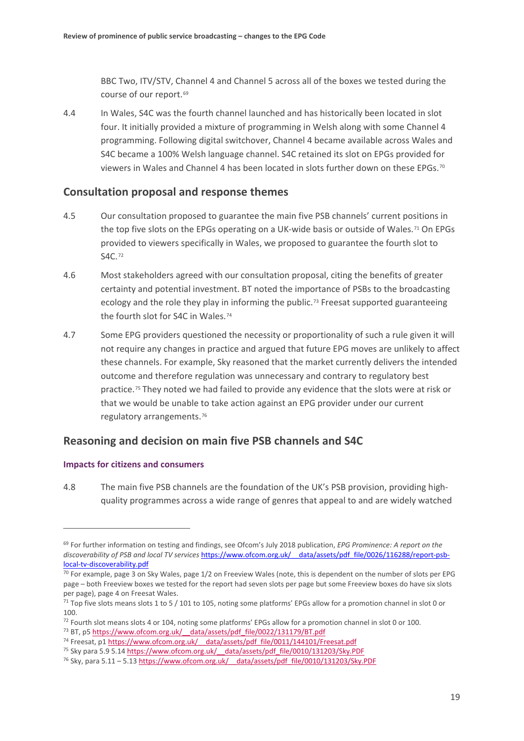BBC Two, ITV/STV, Channel 4 and Channel 5 across all of the boxes we tested during the course of our report.<sup>[69](#page-20-0)</sup>

4.4 In Wales, S4C was the fourth channel launched and has historically been located in slot four. It initially provided a mixture of programming in Welsh along with some Channel 4 programming. Following digital switchover, Channel 4 became available across Wales and S4C became a 100% Welsh language channel. S4C retained its slot on EPGs provided for viewers in Wales and Channel 4 has been located in slots further down on these EPGs.<sup>[70](#page-20-1)</sup>

## **Consultation proposal and response themes**

- 4.5 Our consultation proposed to guarantee the main five PSB channels' current positions in the top five slots on the EPGs operating on a UK-wide basis or outside of Wales.<sup>[71](#page-20-2)</sup> On EPGs provided to viewers specifically in Wales, we proposed to guarantee the fourth slot to S4C.[72](#page-20-3)
- 4.6 Most stakeholders agreed with our consultation proposal, citing the benefits of greater certainty and potential investment. BT noted the importance of PSBs to the broadcasting ecology and the role they play in informing the public.<sup>[73](#page-20-4)</sup> Freesat supported guaranteeing the fourth slot for S4C in Wales.<sup>[74](#page-20-5)</sup>
- 4.7 Some EPG providers questioned the necessity or proportionality of such a rule given it will not require any changes in practice and argued that future EPG moves are unlikely to affect these channels. For example, Sky reasoned that the market currently delivers the intended outcome and therefore regulation was unnecessary and contrary to regulatory best practice.<sup>[75](#page-20-6)</sup> They noted we had failed to provide any evidence that the slots were at risk or that we would be unable to take action against an EPG provider under our current regulatory arrangements.[76](#page-20-7)

## **Reasoning and decision on main five PSB channels and S4C**

#### **Impacts for citizens and consumers**

 $\overline{a}$ 

<span id="page-20-8"></span>4.8 The main five PSB channels are the foundation of the UK's PSB provision, providing highquality programmes across a wide range of genres that appeal to and are widely watched

<span id="page-20-0"></span><sup>69</sup> For further information on testing and findings, see Ofcom's July 2018 publication, *EPG Prominence: A report on the discoverability of PSB and local TV services* [https://www.ofcom.org.uk/\\_\\_data/assets/pdf\\_file/0026/116288/report-psb](https://www.ofcom.org.uk/__data/assets/pdf_file/0026/116288/report-psb-local-tv-discoverability.pdf)[local-tv-discoverability.pdf](https://www.ofcom.org.uk/__data/assets/pdf_file/0026/116288/report-psb-local-tv-discoverability.pdf)

<span id="page-20-1"></span><sup>&</sup>lt;sup>70</sup> For example, page 3 on Sky Wales, page 1/2 on Freeview Wales (note, this is dependent on the number of slots per EPG page – both Freeview boxes we tested for the report had seven slots per page but some Freeview boxes do have six slots per page), page 4 on Freesat Wales.

<span id="page-20-2"></span> $71$  Top five slots means slots 1 to 5 / 101 to 105, noting some platforms' EPGs allow for a promotion channel in slot 0 or 100.

<span id="page-20-3"></span> $72$  Fourth slot means slots 4 or 104, noting some platforms' EPGs allow for a promotion channel in slot 0 or 100.

<span id="page-20-4"></span><sup>73</sup> BT, p[5 https://www.ofcom.org.uk/\\_\\_data/assets/pdf\\_file/0022/131179/BT.pdf](https://www.ofcom.org.uk/__data/assets/pdf_file/0022/131179/BT.pdf)

<span id="page-20-5"></span><sup>&</sup>lt;sup>74</sup> Freesat, p1 https://www.ofcom.org.uk/ data/assets/pdf file/0011/144101/Freesat.pdf

<span id="page-20-6"></span><sup>75</sup> Sky para 5.9 5.1[4 https://www.ofcom.org.uk/\\_\\_data/assets/pdf\\_file/0010/131203/Sky.PDF](https://www.ofcom.org.uk/__data/assets/pdf_file/0010/131203/Sky.PDF)

<span id="page-20-7"></span> $^{76}$  Sky, para 5.11 – 5.13 https://www.ofcom.org.uk/ data/assets/pdf file/0010/131203/Sky.PDF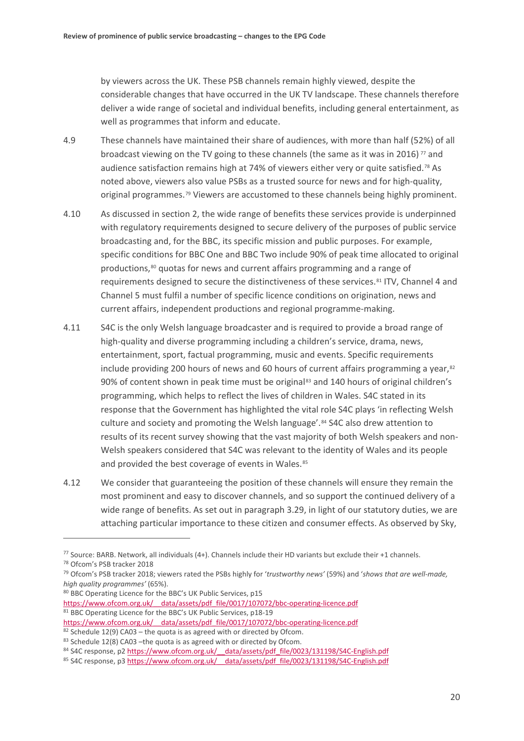by viewers across the UK. These PSB channels remain highly viewed, despite the considerable changes that have occurred in the UK TV landscape. These channels therefore deliver a wide range of societal and individual benefits, including general entertainment, as well as programmes that inform and educate.

- 4.9 These channels have maintained their share of audiences, with more than half (52%) of all broadcast viewing on the TV going to these channels (the same as it was in 2016)  $\frac{7}{7}$  and audience satisfaction remains high at 74% of viewers either very or quite satisfied.<sup>[78](#page-21-1)</sup> As noted above, viewers also value PSBs as a trusted source for news and for high-quality, original programmes.[79](#page-21-2) Viewers are accustomed to these channels being highly prominent.
- 4.10 As discussed in sectio[n 2,](#page-5-0) the wide range of benefits these services provide is underpinned with regulatory requirements designed to secure delivery of the purposes of public service broadcasting and, for the BBC, its specific mission and public purposes. For example, specific conditions for BBC One and BBC Two include 90% of peak time allocated to original productions,<sup>[80](#page-21-3)</sup> quotas for news and current affairs programming and a range of requirements designed to secure the distinctiveness of these services.[81](#page-21-4) ITV, Channel 4 and Channel 5 must fulfil a number of specific licence conditions on origination, news and current affairs, independent productions and regional programme-making.
- <span id="page-21-9"></span>4.11 S4C is the only Welsh language broadcaster and is required to provide a broad range of high-quality and diverse programming including a children's service, drama, news, entertainment, sport, factual programming, music and events. Specific requirements include providing 200 hours of news and 60 hours of current affairs programming a year, $82$ 90% of content shown in peak time must be original<sup>[83](#page-21-6)</sup> and 140 hours of original children's programming, which helps to reflect the lives of children in Wales. S4C stated in its response that the Government has highlighted the vital role S4C plays 'in reflecting Welsh culture and society and promoting the Welsh language'.[84](#page-21-7) S4C also drew attention to results of its recent survey showing that the vast majority of both Welsh speakers and non-Welsh speakers considered that S4C was relevant to the identity of Wales and its people and provided the best coverage of events in Wales.<sup>[85](#page-21-8)</sup>
- 4.12 We consider that guaranteeing the position of these channels will ensure they remain the most prominent and easy to discover channels, and so support the continued delivery of a wide range of benefits. As set out in paragraph [3.29,](#page-16-3) in light of our statutory duties, we are attaching particular importance to these citizen and consumer effects. As observed by Sky,

<span id="page-21-1"></span><span id="page-21-0"></span><sup>&</sup>lt;sup>77</sup> Source: BARB. Network, all individuals (4+). Channels include their HD variants but exclude their +1 channels. <sup>78</sup> Ofcom's PSB tracker 2018

<span id="page-21-2"></span><sup>79</sup> Ofcom's PSB tracker 2018; viewers rated the PSBs highly for '*trustworthy news'* (59%) and '*shows that are well-made, high quality programmes'* (65%).

<span id="page-21-3"></span><sup>80</sup> BBC Operating Licence for the BBC's UK Public Services, p15

<span id="page-21-4"></span>https://www.ofcom.org.uk/ data/assets/pdf file/0017/107072/bbc-operating-licence.pdf <sup>81</sup> BBC Operating Licence for the BBC's UK Public Services, p18-19 [https://www.ofcom.org.uk/\\_\\_data/assets/pdf\\_file/0017/107072/bbc-operating-licence.pdf](https://www.ofcom.org.uk/__data/assets/pdf_file/0017/107072/bbc-operating-licence.pdf)

<span id="page-21-5"></span> $82$  Schedule 12(9) CA03 – the quota is as agreed with or directed by Ofcom.

<span id="page-21-6"></span><sup>83</sup> Schedule 12(8) CA03 -the quota is as agreed with or directed by Ofcom.

<span id="page-21-7"></span><sup>84</sup> S4C response, p2 https://www.ofcom.org.uk/ data/assets/pdf file/0023/131198/S4C-English.pdf

<span id="page-21-8"></span><sup>85</sup> S4C response, p3 https://www.ofcom.org.uk/ data/assets/pdf\_file/0023/131198/S4C-English.pdf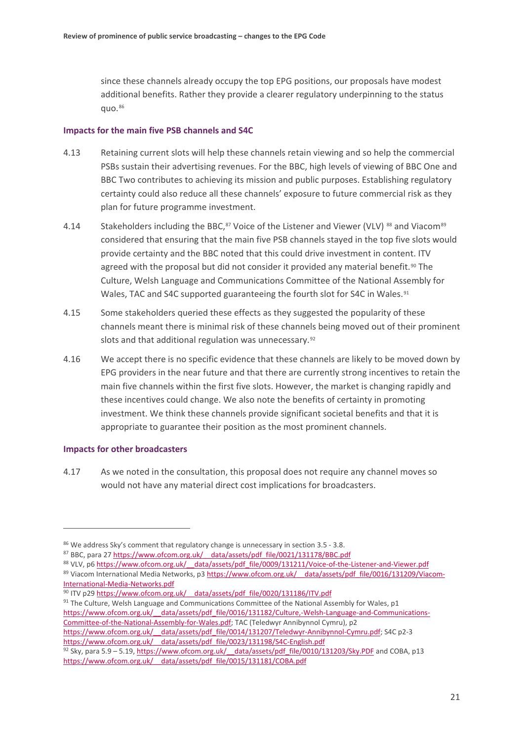since these channels already occupy the top EPG positions, our proposals have modest additional benefits. Rather they provide a clearer regulatory underpinning to the status quo.[86](#page-22-0)

#### **Impacts for the main five PSB channels and S4C**

- 4.13 Retaining current slots will help these channels retain viewing and so help the commercial PSBs sustain their advertising revenues. For the BBC, high levels of viewing of BBC One and BBC Two contributes to achieving its mission and public purposes. Establishing regulatory certainty could also reduce all these channels' exposure to future commercial risk as they plan for future programme investment.
- 4.14 Stakeholders including the BBC,<sup>87</sup> Voice of the Listener and Viewer (VLV) <sup>[88](#page-22-2)</sup> and Viacom<sup>[89](#page-22-3)</sup> considered that ensuring that the main five PSB channels stayed in the top five slots would provide certainty and the BBC noted that this could drive investment in content. ITV agreed with the proposal but did not consider it provided any material benefit.<sup>[90](#page-22-4)</sup> The Culture, Welsh Language and Communications Committee of the National Assembly for Wales, TAC and S4C supported guaranteeing the fourth slot for S4C in Wales.<sup>[91](#page-22-5)</sup>
- 4.15 Some stakeholders queried these effects as they suggested the popularity of these channels meant there is minimal risk of these channels being moved out of their prominent slots and that additional regulation was unnecessary.<sup>[92](#page-22-6)</sup>
- 4.16 We accept there is no specific evidence that these channels are likely to be moved down by EPG providers in the near future and that there are currently strong incentives to retain the main five channels within the first five slots. However, the market is changing rapidly and these incentives could change. We also note the benefits of certainty in promoting investment. We think these channels provide significant societal benefits and that it is appropriate to guarantee their position as the most prominent channels.

#### **Impacts for other broadcasters**

 $\overline{a}$ 

4.17 As we noted in the consultation, this proposal does not require any channel moves so would not have any material direct cost implications for broadcasters.

<span id="page-22-4"></span>90 ITV p29 https://www.ofcom.org.uk/ data/assets/pdf\_file/0020/131186/ITV.pdf

<span id="page-22-5"></span> $91$  The Culture, Welsh Language and Communications Committee of the National Assembly for Wales, p1 https://www.ofcom.org.uk/ data/assets/pdf file/0016/131182/Culture,-Welsh-Language-and-Communications-[Committee-of-the-National-Assembly-for-Wales.pdf;](https://www.ofcom.org.uk/__data/assets/pdf_file/0016/131182/Culture,-Welsh-Language-and-Communications-Committee-of-the-National-Assembly-for-Wales.pdf) TAC (Teledwyr Annibynnol Cymru), p2 [https://www.ofcom.org.uk/\\_\\_data/assets/pdf\\_file/0014/131207/Teledwyr-Annibynnol-Cymru.pdf;](https://www.ofcom.org.uk/__data/assets/pdf_file/0014/131207/Teledwyr-Annibynnol-Cymru.pdf) S4C p2-3 https://www.ofcom.org.uk/ data/assets/pdf file/0023/131198/S4C-English.pdf  $92$  Sky, para 5.9 – 5.19, https://www.ofcom.org.uk/ data/assets/pdf file/0010/131203/Sky.PDF and COBA, p13

<span id="page-22-0"></span><sup>86</sup> We address Sky's comment that regulatory change is unnecessary in sectio[n 3.5](#page-11-8) - [3.8.](#page-12-5)

<span id="page-22-1"></span><sup>87</sup> BBC, para 27 https://www.ofcom.org.uk/ data/assets/pdf\_file/0021/131178/BBC.pdf

<span id="page-22-2"></span><sup>88</sup> VLV, p6 https://www.ofcom.org.uk/ data/assets/pdf file/0009/131211/Voice-of-the-Listener-and-Viewer.pdf

<span id="page-22-3"></span><sup>89</sup> Viacom International Media Networks, p3 https://www.ofcom.org.uk/ data/assets/pdf file/0016/131209/Viacom-[International-Media-Networks.pdf](https://www.ofcom.org.uk/__data/assets/pdf_file/0016/131209/Viacom-International-Media-Networks.pdf)

<span id="page-22-6"></span>https://www.ofcom.org.uk/ data/assets/pdf\_file/0015/131181/COBA.pdf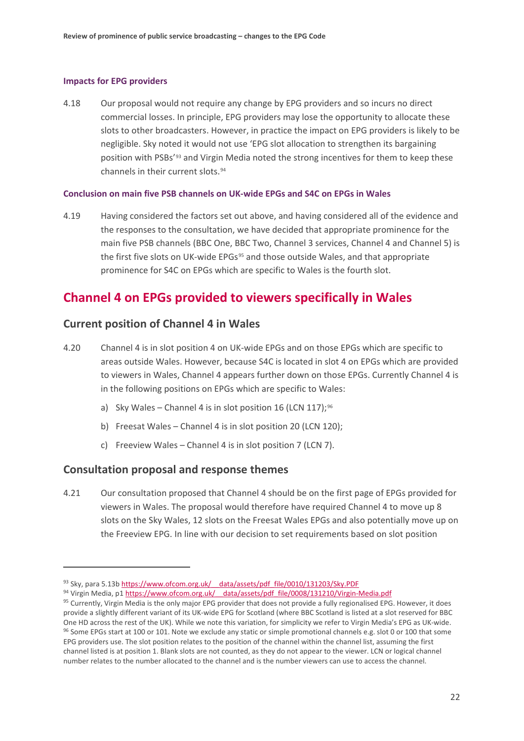#### **Impacts for EPG providers**

4.18 Our proposal would not require any change by EPG providers and so incurs no direct commercial losses. In principle, EPG providers may lose the opportunity to allocate these slots to other broadcasters. However, in practice the impact on EPG providers is likely to be negligible. Sky noted it would not use 'EPG slot allocation to strengthen its bargaining position with PSBs'[93](#page-23-0) and Virgin Media noted the strong incentives for them to keep these channels in their current slots.[94](#page-23-1)

### **Conclusion on main five PSB channels on UK-wide EPGs and S4C on EPGs in Wales**

<span id="page-23-4"></span>4.19 Having considered the factors set out above, and having considered all of the evidence and the responses to the consultation, we have decided that appropriate prominence for the main five PSB channels (BBC One, BBC Two, Channel 3 services, Channel 4 and Channel 5) is the first five slots on UK-wide EPGs<sup>[95](#page-23-2)</sup> and those outside Wales, and that appropriate prominence for S4C on EPGs which are specific to Wales is the fourth slot.

## **Channel 4 on EPGs provided to viewers specifically in Wales**

### **Current position of Channel 4 in Wales**

- 4.20 Channel 4 is in slot position 4 on UK-wide EPGs and on those EPGs which are specific to areas outside Wales. However, because S4C is located in slot 4 on EPGs which are provided to viewers in Wales, Channel 4 appears further down on those EPGs. Currently Channel 4 is in the following positions on EPGs which are specific to Wales:
	- a) Sky Wales Channel 4 is in slot position 16 (LCN 117);<sup>[96](#page-23-3)</sup>
	- b) Freesat Wales Channel 4 is in slot position 20 (LCN 120);
	- c) Freeview Wales Channel 4 is in slot position 7 (LCN 7).

## **Consultation proposal and response themes**

 $\overline{a}$ 

4.21 Our consultation proposed that Channel 4 should be on the first page of EPGs provided for viewers in Wales. The proposal would therefore have required Channel 4 to move up 8 slots on the Sky Wales, 12 slots on the Freesat Wales EPGs and also potentially move up on the Freeview EPG. In line with our decision to set requirements based on slot position

<span id="page-23-0"></span><sup>93</sup> Sky, para 5.13b https://www.ofcom.org.uk/ data/assets/pdf file/0010/131203/Sky.PDF

<sup>94</sup> Virgin Media, p1 https://www.ofcom.org.uk/ data/assets/pdf file/0008/131210/Virgin-Media.pdf

<span id="page-23-3"></span><span id="page-23-2"></span><span id="page-23-1"></span><sup>95</sup> Currently, Virgin Media is the only major EPG provider that does not provide a fully regionalised EPG. However, it does provide a slightly different variant of its UK-wide EPG for Scotland (where BBC Scotland is listed at a slot reserved for BBC One HD across the rest of the UK). While we note this variation, for simplicity we refer to Virgin Media's EPG as UK-wide.<br><sup>96</sup> Some EPGs start at 100 or 101. Note we exclude any static or simple promotional channels e.g. EPG providers use. The slot position relates to the position of the channel within the channel list, assuming the first channel listed is at position 1. Blank slots are not counted, as they do not appear to the viewer. LCN or logical channel number relates to the number allocated to the channel and is the number viewers can use to access the channel.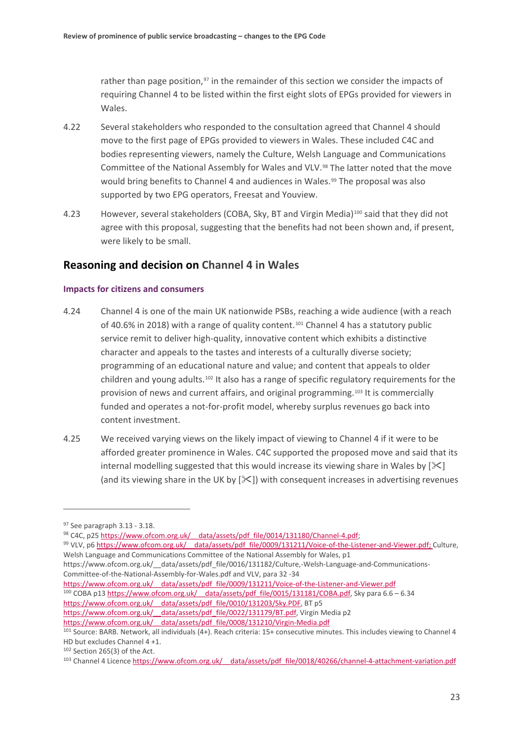rather than page position,<sup>[97](#page-24-0)</sup> in the remainder of this section we consider the impacts of requiring Channel 4 to be listed within the first eight slots of EPGs provided for viewers in Wales.

- 4.22 Several stakeholders who responded to the consultation agreed that Channel 4 should move to the first page of EPGs provided to viewers in Wales. These included C4C and bodies representing viewers, namely the Culture, Welsh Language and Communications Committee of the National Assembly for Wales and VLV.[98](#page-24-1) The latter noted that the move would bring benefits to Channel 4 and audiences in Wales.<sup>[99](#page-24-2)</sup> The proposal was also supported by two EPG operators, Freesat and Youview.
- 4.23 However, several stakeholders (COBA, Sky, BT and Virgin Media)[100](#page-24-3) said that they did not agree with this proposal, suggesting that the benefits had not been shown and, if present, were likely to be small.

## **Reasoning and decision on Channel 4 in Wales**

#### **Impacts for citizens and consumers**

- 4.24 Channel 4 is one of the main UK nationwide PSBs, reaching a wide audience (with a reach of 40.6% in 2018) with a range of quality content.[101](#page-24-4) Channel 4 has a statutory public service remit to deliver high-quality, innovative content which exhibits a distinctive character and appeals to the tastes and interests of a culturally diverse society; programming of an educational nature and value; and content that appeals to older children and young adults.[102](#page-24-5) It also has a range of specific regulatory requirements for the provision of news and current affairs, and original programming.[103](#page-24-6) It is commercially funded and operates a not-for-profit model, whereby surplus revenues go back into content investment.
- 4.25 We received varying views on the likely impact of viewing to Channel 4 if it were to be afforded greater prominence in Wales. C4C supported the proposed move and said that its internal modelling suggested that this would increase its viewing share in Wales by  $[\times]$ (and its viewing share in the UK by  $[\frac{1}{2}]$ ) with consequent increases in advertising revenues

<u>.</u>

<span id="page-24-2"></span>99 VLV, p6 https://www.ofcom.org.uk/ data/assets/pdf\_file/0009/131211/Voice-of-the-Listener-and-Viewer.pdf; Culture, Welsh Language and Communications Committee of the National Assembly for Wales, p1

https://www.ofcom.org.uk/ data/assets/pdf file/0016/131182/Culture,-Welsh-Language-and-Communications-Committee-of-the-National-Assembly-for-Wales.pdf and VLV, para 32 -34

<span id="page-24-3"></span>https://www.ofcom.org.uk/ data/assets/pdf file/0009/131211/Voice-of-the-Listener-and-Viewer.pdf <sup>100</sup> COBA p13 https://www.ofcom.org.uk/ data/assets/pdf file/0015/131181/COBA.pdf, Sky para 6.6 – 6.34 https://www.ofcom.org.uk/ data/assets/pdf\_file/0010/131203/Sky.PDF, BT p5 https://www.ofcom.org.uk/ data/assets/pdf file/0022/131179/BT.pdf, Virgin Media p2 https://www.ofcom.org.uk/ data/assets/pdf\_file/0008/131210/Virgin-Media.pdf

<span id="page-24-1"></span><span id="page-24-0"></span><sup>&</sup>lt;sup>97</sup> See paragraph [3.13](#page-13-10) - [3.18.](#page-14-7)<br><sup>98</sup> C4C, p25 https://www.ofcom.org.uk/ data/assets/pdf file/0014/131180/Channel-4.pdf;

<span id="page-24-4"></span><sup>101</sup> Source: BARB. Network, all individuals (4+). Reach criteria: 15+ consecutive minutes. This includes viewing to Channel 4 HD but excludes Channel 4 +1.

<span id="page-24-5"></span><sup>102</sup> Section 265(3) of the Act.

<span id="page-24-6"></span><sup>103</sup> Channel 4 Licence [https://www.ofcom.org.uk/\\_\\_data/assets/pdf\\_file/0018/40266/channel-4-attachment-variation.pdf](https://www.ofcom.org.uk/__data/assets/pdf_file/0018/40266/channel-4-attachment-variation.pdf)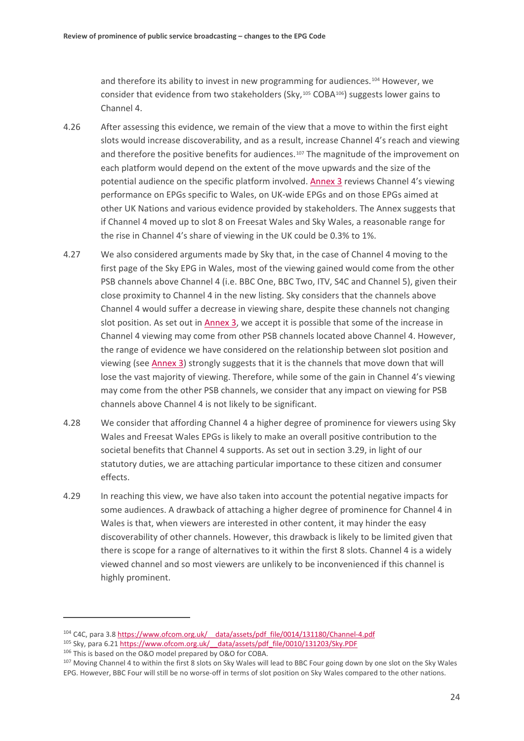and therefore its ability to invest in new programming for audiences.[104](#page-25-0) However, we consider that evidence from two stakeholders  $(Sky, <sup>105</sup> COBA<sup>106</sup>)$  $(Sky, <sup>105</sup> COBA<sup>106</sup>)$  $(Sky, <sup>105</sup> COBA<sup>106</sup>)$  suggests lower gains to Channel 4.

- 4.26 After assessing this evidence, we remain of the view that a move to within the first eight slots would increase discoverability, and as a result, increase Channel 4's reach and viewing and therefore the positive benefits for audiences.<sup>[107](#page-25-3)</sup> The magnitude of the improvement on each platform would depend on the extent of the move upwards and the size of the potential audience on the specific platform involved[. Annex 3](https://www.ofcom.org.uk/__data/assets/pdf_file/0021/154380/annex-3-ofcoms-assessment-of-evidence-base.pdf) reviews Channel 4's viewing performance on EPGs specific to Wales, on UK-wide EPGs and on those EPGs aimed at other UK Nations and various evidence provided by stakeholders. The Annex suggests that if Channel 4 moved up to slot 8 on Freesat Wales and Sky Wales, a reasonable range for the rise in Channel 4's share of viewing in the UK could be 0.3% to 1%.
- 4.27 We also considered arguments made by Sky that, in the case of Channel 4 moving to the first page of the Sky EPG in Wales, most of the viewing gained would come from the other PSB channels above Channel 4 (i.e. BBC One, BBC Two, ITV, S4C and Channel 5), given their close proximity to Channel 4 in the new listing. Sky considers that the channels above Channel 4 would suffer a decrease in viewing share, despite these channels not changing slot position. As set out in [Annex 3,](https://www.ofcom.org.uk/__data/assets/pdf_file/0021/154380/annex-3-ofcoms-assessment-of-evidence-base.pdf) we accept it is possible that some of the increase in Channel 4 viewing may come from other PSB channels located above Channel 4. However, the range of evidence we have considered on the relationship between slot position and viewing (see [Annex 3\)](https://www.ofcom.org.uk/__data/assets/pdf_file/0021/154380/annex-3-ofcoms-assessment-of-evidence-base.pdf) strongly suggests that it is the channels that move down that will lose the vast majority of viewing. Therefore, while some of the gain in Channel 4's viewing may come from the other PSB channels, we consider that any impact on viewing for PSB channels above Channel 4 is not likely to be significant.
- 4.28 We consider that affording Channel 4 a higher degree of prominence for viewers using Sky Wales and Freesat Wales EPGs is likely to make an overall positive contribution to the societal benefits that Channel 4 supports. As set out in section [3.29,](#page-16-3) in light of our statutory duties, we are attaching particular importance to these citizen and consumer effects.
- 4.29 In reaching this view, we have also taken into account the potential negative impacts for some audiences. A drawback of attaching a higher degree of prominence for Channel 4 in Wales is that, when viewers are interested in other content, it may hinder the easy discoverability of other channels. However, this drawback is likely to be limited given that there is scope for a range of alternatives to it within the first 8 slots. Channel 4 is a widely viewed channel and so most viewers are unlikely to be inconvenienced if this channel is highly prominent.

<span id="page-25-0"></span><sup>104</sup> C4C, para 3.[8 https://www.ofcom.org.uk/\\_\\_data/assets/pdf\\_file/0014/131180/Channel-4.pdf](https://www.ofcom.org.uk/__data/assets/pdf_file/0014/131180/Channel-4.pdf)

<span id="page-25-1"></span><sup>105</sup> Sky, para 6.21 https://www.ofcom.org.uk/ data/assets/pdf\_file/0010/131203/Sky.PDF

<span id="page-25-3"></span><span id="page-25-2"></span><sup>&</sup>lt;sup>106</sup> This is based on the O&O model prepared by O&O for COBA.<br><sup>107</sup> Moving Channel 4 to within the first 8 slots on Sky Wales will lead to BBC Four going down by one slot on the Sky Wales EPG. However, BBC Four will still be no worse-off in terms of slot position on Sky Wales compared to the other nations.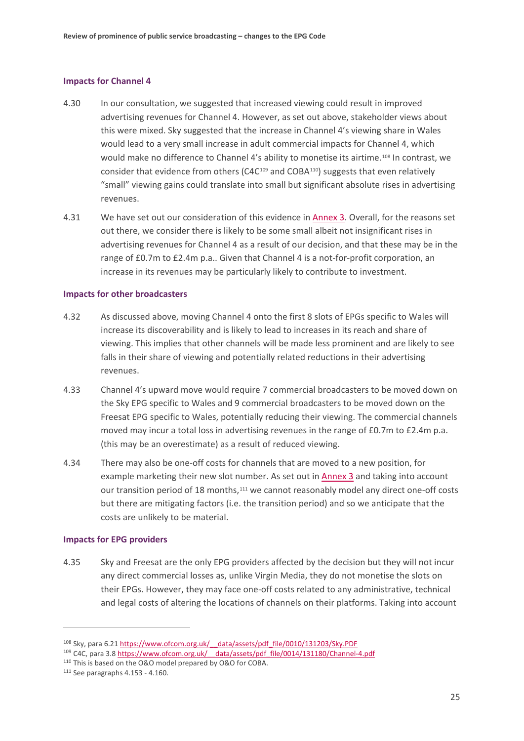#### **Impacts for Channel 4**

- 4.30 In our consultation, we suggested that increased viewing could result in improved advertising revenues for Channel 4. However, as set out above, stakeholder views about this were mixed. Sky suggested that the increase in Channel 4's viewing share in Wales would lead to a very small increase in adult commercial impacts for Channel 4, which would make no difference to Channel 4's ability to monetise its airtime.[108](#page-26-0) In contrast, we consider that evidence from others (C4C[109](#page-26-1) and COBA[110\)](#page-26-2) suggests that even relatively "small" viewing gains could translate into small but significant absolute rises in advertising revenues.
- 4.31 We have set out our consideration of this evidence in [Annex 3.](https://www.ofcom.org.uk/__data/assets/pdf_file/0021/154380/annex-3-ofcoms-assessment-of-evidence-base.pdf) Overall, for the reasons set out there, we consider there is likely to be some small albeit not insignificant rises in advertising revenues for Channel 4 as a result of our decision, and that these may be in the range of £0.7m to £2.4m p.a.. Given that Channel 4 is a not-for-profit corporation, an increase in its revenues may be particularly likely to contribute to investment.

#### **Impacts for other broadcasters**

- 4.32 As discussed above, moving Channel 4 onto the first 8 slots of EPGs specific to Wales will increase its discoverability and is likely to lead to increases in its reach and share of viewing. This implies that other channels will be made less prominent and are likely to see falls in their share of viewing and potentially related reductions in their advertising revenues.
- 4.33 Channel 4's upward move would require 7 commercial broadcasters to be moved down on the Sky EPG specific to Wales and 9 commercial broadcasters to be moved down on the Freesat EPG specific to Wales, potentially reducing their viewing. The commercial channels moved may incur a total loss in advertising revenues in the range of £0.7m to £2.4m p.a. (this may be an overestimate) as a result of reduced viewing.
- 4.34 There may also be one-off costs for channels that are moved to a new position, for example marketing their new slot number. As set out i[n Annex 3](https://www.ofcom.org.uk/__data/assets/pdf_file/0021/154380/annex-3-ofcoms-assessment-of-evidence-base.pdf) and taking into account our transition period of 18 months,<sup>[111](#page-26-3)</sup> we cannot reasonably model any direct one-off costs but there are mitigating factors (i.e. the transition period) and so we anticipate that the costs are unlikely to be material.

#### **Impacts for EPG providers**

4.35 Sky and Freesat are the only EPG providers affected by the decision but they will not incur any direct commercial losses as, unlike Virgin Media, they do not monetise the slots on their EPGs. However, they may face one-off costs related to any administrative, technical and legal costs of altering the locations of channels on their platforms. Taking into account

<u>.</u>

<span id="page-26-0"></span><sup>108</sup> Sky, para 6.2[1 https://www.ofcom.org.uk/\\_\\_data/assets/pdf\\_file/0010/131203/Sky.PDF](https://www.ofcom.org.uk/__data/assets/pdf_file/0010/131203/Sky.PDF)

<span id="page-26-1"></span><sup>109</sup> C4C, para 3.[8 https://www.ofcom.org.uk/\\_\\_data/assets/pdf\\_file/0014/131180/Channel-4.pdf](https://www.ofcom.org.uk/__data/assets/pdf_file/0014/131180/Channel-4.pdf)

<span id="page-26-2"></span><sup>110</sup> This is based on the O&O model prepared by O&O for COBA.

<span id="page-26-3"></span><sup>111</sup> See paragraph[s 4.153](#page-53-0) - [4.160.](#page-55-0)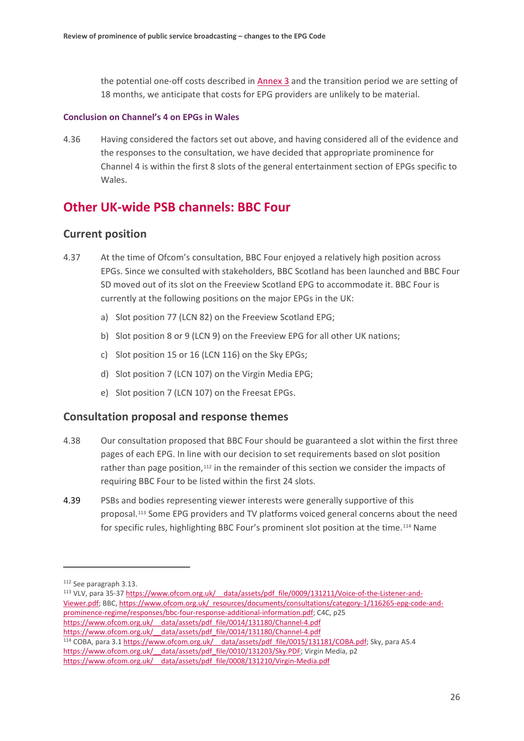the potential one-off costs described in [Annex 3](https://www.ofcom.org.uk/__data/assets/pdf_file/0021/154380/annex-3-ofcoms-assessment-of-evidence-base.pdf) and the transition period we are setting of 18 months, we anticipate that costs for EPG providers are unlikely to be material.

#### **Conclusion on Channel's 4 on EPGs in Wales**

4.36 Having considered the factors set out above, and having considered all of the evidence and the responses to the consultation, we have decided that appropriate prominence for Channel 4 is within the first 8 slots of the general entertainment section of EPGs specific to Wales.

# **Other UK-wide PSB channels: BBC Four**

## **Current position**

- 4.37 At the time of Ofcom's consultation, BBC Four enjoyed a relatively high position across EPGs. Since we consulted with stakeholders, BBC Scotland has been launched and BBC Four SD moved out of its slot on the Freeview Scotland EPG to accommodate it. BBC Four is currently at the following positions on the major EPGs in the UK:
	- a) Slot position 77 (LCN 82) on the Freeview Scotland EPG;
	- b) Slot position 8 or 9 (LCN 9) on the Freeview EPG for all other UK nations;
	- c) Slot position 15 or 16 (LCN 116) on the Sky EPGs;
	- d) Slot position 7 (LCN 107) on the Virgin Media EPG;
	- e) Slot position 7 (LCN 107) on the Freesat EPGs.

## **Consultation proposal and response themes**

- 4.38 Our consultation proposed that BBC Four should be guaranteed a slot within the first three pages of each EPG. In line with our decision to set requirements based on slot position rather than page position, $112$  in the remainder of this section we consider the impacts of requiring BBC Four to be listed within the first 24 slots.
- 4.39 PSBs and bodies representing viewer interests were generally supportive of this proposal.[113](#page-27-1) Some EPG providers and TV platforms voiced general concerns about the need for specific rules, highlighting BBC Four's prominent slot position at the time.[114](#page-27-2) Name

 $\overline{a}$ 

<span id="page-27-1"></span><span id="page-27-0"></span>113 VLV, para 35-37 https://www.ofcom.org.uk/ data/assets/pdf\_file/0009/131211/Voice-of-the-Listener-and-[Viewer.pdf;](https://www.ofcom.org.uk/__data/assets/pdf_file/0009/131211/Voice-of-the-Listener-and-Viewer.pdf) BBC[, https://www.ofcom.org.uk/\\_resources/documents/consultations/category-1/116265-epg-code-and](https://www.ofcom.org.uk/_resources/documents/consultations/category-1/116265-epg-code-and-prominence-regime/responses/bbc-four-response-additional-information.pdf)[prominence-regime/responses/bbc-four-response-additional-information.pdf;](https://www.ofcom.org.uk/_resources/documents/consultations/category-1/116265-epg-code-and-prominence-regime/responses/bbc-four-response-additional-information.pdf) C4C, p25 [https://www.ofcom.org.uk/\\_\\_data/assets/pdf\\_file/0014/131180/Channel-4.pdf](https://www.ofcom.org.uk/__data/assets/pdf_file/0014/131180/Channel-4.pdf) https://www.ofcom.org.uk/ data/assets/pdf file/0014/131180/Channel-4.pdf

<span id="page-27-2"></span><sup>114</sup> COBA, para 3.[1 https://www.ofcom.org.uk/\\_\\_data/assets/pdf\\_file/0015/131181/COBA.pdf;](https://www.ofcom.org.uk/__data/assets/pdf_file/0015/131181/COBA.pdf) Sky, para A5.4 https://www.ofcom.org.uk/ data/assets/pdf file/0010/131203/Sky.PDF; Virgin Media, p2 https://www.ofcom.org.uk/ data/assets/pdf\_file/0008/131210/Virgin-Media.pdf

<sup>112</sup> See paragrap[h 3.13.](#page-13-10)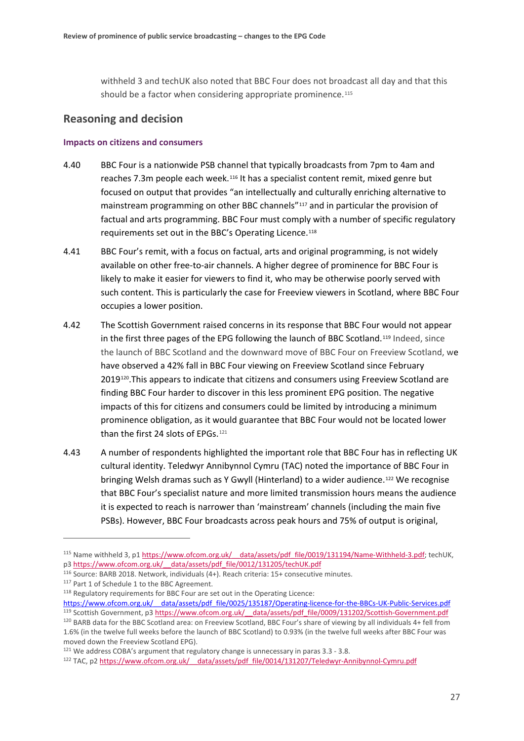withheld 3 and techUK also noted that BBC Four does not broadcast all day and that this should be a factor when considering appropriate prominence.<sup>[115](#page-28-0)</sup>

## **Reasoning and decision**

#### **Impacts on citizens and consumers**

- 4.40 BBC Four is a nationwide PSB channel that typically broadcasts from 7pm to 4am and reaches 7.3m people each week.<sup>[116](#page-28-1)</sup> It has a specialist content remit, mixed genre but focused on output that provides "an intellectually and culturally enriching alternative to mainstream programming on other BBC channels"[117](#page-28-2) and in particular the provision of factual and arts programming. BBC Four must comply with a number of specific regulatory requirements set out in the BBC's Operating Licence.[118](#page-28-3)
- 4.41 BBC Four's remit, with a focus on factual, arts and original programming, is not widely available on other free-to-air channels. A higher degree of prominence for BBC Four is likely to make it easier for viewers to find it, who may be otherwise poorly served with such content. This is particularly the case for Freeview viewers in Scotland, where BBC Four occupies a lower position.
- 4.42 The Scottish Government raised concerns in its response that BBC Four would not appear in the first three pages of the EPG following the launch of BBC Scotland.[119](#page-28-4) Indeed, since the launch of BBC Scotland and the downward move of BBC Four on Freeview Scotland, we have observed a 42% fall in BBC Four viewing on Freeview Scotland since February 2019<sup>120</sup>. This appears to indicate that citizens and consumers using Freeview Scotland are finding BBC Four harder to discover in this less prominent EPG position. The negative impacts of this for citizens and consumers could be limited by introducing a minimum prominence obligation, as it would guarantee that BBC Four would not be located lower than the first 24 slots of EPGs.<sup>[121](#page-28-6)</sup>
- 4.43 A number of respondents highlighted the important role that BBC Four has in reflecting UK cultural identity. Teledwyr Annibynnol Cymru (TAC) noted the importance of BBC Four in bringing Welsh dramas such as Y Gwyll (Hinterland) to a wider audience.[122](#page-28-7) We recognise that BBC Four's specialist nature and more limited transmission hours means the audience it is expected to reach is narrower than 'mainstream' channels (including the main five PSBs). However, BBC Four broadcasts across peak hours and 75% of output is original,

<span id="page-28-0"></span><sup>&</sup>lt;sup>115</sup> Name withheld 3, p1 https://www.ofcom.org.uk/ data/assets/pdf file/0019/131194/Name-Withheld-3.pdf; techUK, p[3 https://www.ofcom.org.uk/\\_\\_data/assets/pdf\\_file/0012/131205/techUK.pdf](https://www.ofcom.org.uk/__data/assets/pdf_file/0012/131205/techUK.pdf)

<span id="page-28-1"></span><sup>116</sup> Source: BARB 2018. Network, individuals (4+). Reach criteria: 15+ consecutive minutes.

<span id="page-28-2"></span><sup>117</sup> Part 1 of Schedule 1 to the BBC Agreement.

<span id="page-28-3"></span><sup>118</sup> Regulatory requirements for BBC Four are set out in the Operating Licence:

<span id="page-28-5"></span><span id="page-28-4"></span>https://www.ofcom.org.uk/ data/assets/pdf file/0025/135187/Operating-licence-for-the-BBCs-UK-Public-Services.pdf 119 Scottish Government, p3 https://www.ofcom.org.uk/ data/assets/pdf file/0009/131202/Scottish-Government.pdf <sup>120</sup> BARB data for the BBC Scotland area: on Freeview Scotland, BBC Four's share of viewing by all individuals 4+ fell from 1.6% (in the twelve full weeks before the launch of BBC Scotland) to 0.93% (in the twelve full weeks after BBC Four was moved down the Freeview Scotland EPG).

<span id="page-28-6"></span> $121$  We address COBA's argument that regulatory change is unnecessary in para[s 3.3](#page-10-6) - [3.8.](#page-12-5)

<span id="page-28-7"></span><sup>122</sup> TAC, p2 https://www.ofcom.org.uk/ data/assets/pdf file/0014/131207/Teledwyr-Annibynnol-Cymru.pdf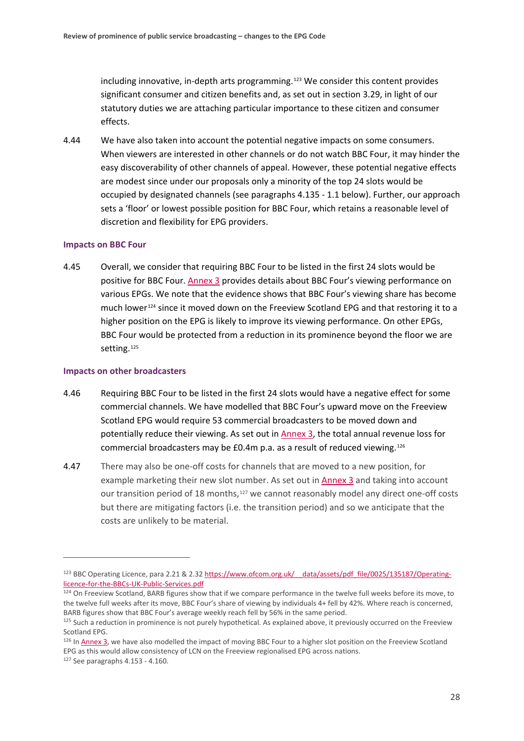including innovative, in-depth arts programming.[123](#page-29-0) We consider this content provides significant consumer and citizen benefits and, as set out in section [3.29,](#page-16-3) in light of our statutory duties we are attaching particular importance to these citizen and consumer effects.

4.44 We have also taken into account the potential negative impacts on some consumers. When viewers are interested in other channels or do not watch BBC Four, it may hinder the easy discoverability of other channels of appeal. However, these potential negative effects are modest since under our proposals only a minority of the top 24 slots would be occupied by designated channels (see paragraphs [4.135](#page-48-0) - 1.1 below). Further, our approach sets a 'floor' or lowest possible position for BBC Four, which retains a reasonable level of discretion and flexibility for EPG providers.

#### **Impacts on BBC Four**

4.45 Overall, we consider that requiring BBC Four to be listed in the first 24 slots would be positive for BBC Four[. Annex 3](https://www.ofcom.org.uk/__data/assets/pdf_file/0021/154380/annex-3-ofcoms-assessment-of-evidence-base.pdf) provides details about BBC Four's viewing performance on various EPGs. We note that the evidence shows that BBC Four's viewing share has become much lower[124](#page-29-1) since it moved down on the Freeview Scotland EPG and that restoring it to a higher position on the EPG is likely to improve its viewing performance. On other EPGs, BBC Four would be protected from a reduction in its prominence beyond the floor we are setting.<sup>[125](#page-29-2)</sup>

#### **Impacts on other broadcasters**

- 4.46 Requiring BBC Four to be listed in the first 24 slots would have a negative effect for some commercial channels. We have modelled that BBC Four's upward move on the Freeview Scotland EPG would require 53 commercial broadcasters to be moved down and potentially reduce their viewing. As set out in [Annex 3,](https://www.ofcom.org.uk/__data/assets/pdf_file/0021/154380/annex-3-ofcoms-assessment-of-evidence-base.pdf) the total annual revenue loss for commercial broadcasters may be £0.4m p.a. as a result of reduced viewing.[126](#page-29-3)
- 4.47 There may also be one-off costs for channels that are moved to a new position, for example marketing their new slot number. As set out i[n Annex 3](https://www.ofcom.org.uk/__data/assets/pdf_file/0021/154380/annex-3-ofcoms-assessment-of-evidence-base.pdf) and taking into account our transition period of 18 months,<sup>[127](#page-29-4)</sup> we cannot reasonably model any direct one-off costs but there are mitigating factors (i.e. the transition period) and so we anticipate that the costs are unlikely to be material.

<span id="page-29-0"></span><sup>&</sup>lt;sup>123</sup> BBC Operating Licence, para 2.21 & 2.32 https://www.ofcom.org.uk/ data/assets/pdf\_file/0025/135187/Operating[licence-for-the-BBCs-UK-Public-Services.pdf](https://www.ofcom.org.uk/__data/assets/pdf_file/0025/135187/Operating-licence-for-the-BBCs-UK-Public-Services.pdf)

<span id="page-29-1"></span><sup>&</sup>lt;sup>124</sup> On Freeview Scotland, BARB figures show that if we compare performance in the twelve full weeks before its move, to the twelve full weeks after its move, BBC Four's share of viewing by individuals 4+ fell by 42%. Where reach is concerned, BARB figures show that BBC Four's average weekly reach fell by 56% in the same period.

<span id="page-29-2"></span><sup>&</sup>lt;sup>125</sup> Such a reduction in prominence is not purely hypothetical. As explained above, it previously occurred on the Freeview Scotland EPG.

<span id="page-29-3"></span><sup>&</sup>lt;sup>126</sup> I[n Annex 3,](https://www.ofcom.org.uk/__data/assets/pdf_file/0021/154380/annex-3-ofcoms-assessment-of-evidence-base.pdf) we have also modelled the impact of moving BBC Four to a higher slot position on the Freeview Scotland EPG as this would allow consistency of LCN on the Freeview regionalised EPG across nations.

<span id="page-29-4"></span><sup>127</sup> See paragraph[s 4.153](#page-53-0) - [4.160.](#page-55-0)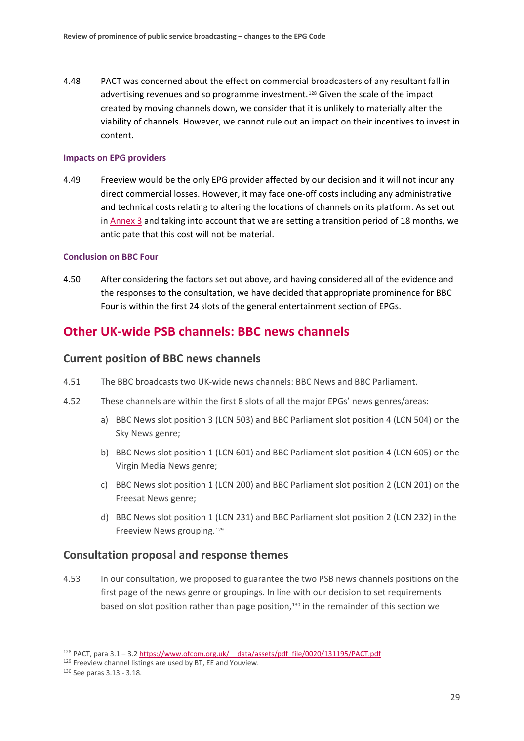4.48 PACT was concerned about the effect on commercial broadcasters of any resultant fall in advertising revenues and so programme investment.[128](#page-30-0) Given the scale of the impact created by moving channels down, we consider that it is unlikely to materially alter the viability of channels. However, we cannot rule out an impact on their incentives to invest in content.

#### **Impacts on EPG providers**

4.49 Freeview would be the only EPG provider affected by our decision and it will not incur any direct commercial losses. However, it may face one-off costs including any administrative and technical costs relating to altering the locations of channels on its platform. As set out in [Annex 3](https://www.ofcom.org.uk/__data/assets/pdf_file/0021/154380/annex-3-ofcoms-assessment-of-evidence-base.pdf) and taking into account that we are setting a transition period of 18 months, we anticipate that this cost will not be material.

#### **Conclusion on BBC Four**

4.50 After considering the factors set out above, and having considered all of the evidence and the responses to the consultation, we have decided that appropriate prominence for BBC Four is within the first 24 slots of the general entertainment section of EPGs.

## **Other UK-wide PSB channels: BBC news channels**

### **Current position of BBC news channels**

- 4.51 The BBC broadcasts two UK-wide news channels: BBC News and BBC Parliament.
- 4.52 These channels are within the first 8 slots of all the major EPGs' news genres/areas:
	- a) BBC News slot position 3 (LCN 503) and BBC Parliament slot position 4 (LCN 504) on the Sky News genre;
	- b) BBC News slot position 1 (LCN 601) and BBC Parliament slot position 4 (LCN 605) on the Virgin Media News genre;
	- c) BBC News slot position 1 (LCN 200) and BBC Parliament slot position 2 (LCN 201) on the Freesat News genre;
	- d) BBC News slot position 1 (LCN 231) and BBC Parliament slot position 2 (LCN 232) in the Freeview News grouping.[129](#page-30-1)

## **Consultation proposal and response themes**

4.53 In our consultation, we proposed to guarantee the two PSB news channels positions on the first page of the news genre or groupings. In line with our decision to set requirements based on slot position rather than page position,[130](#page-30-2) in the remainder of this section we

<span id="page-30-0"></span><sup>128</sup> PACT, para 3.1 – 3.[2 https://www.ofcom.org.uk/\\_\\_data/assets/pdf\\_file/0020/131195/PACT.pdf](https://www.ofcom.org.uk/__data/assets/pdf_file/0020/131195/PACT.pdf)

<span id="page-30-2"></span><span id="page-30-1"></span> $129$  Freeview channel listings are used by BT, EE and Youview.<br> $130$  See paras 3.13 - [3.18.](#page-14-7)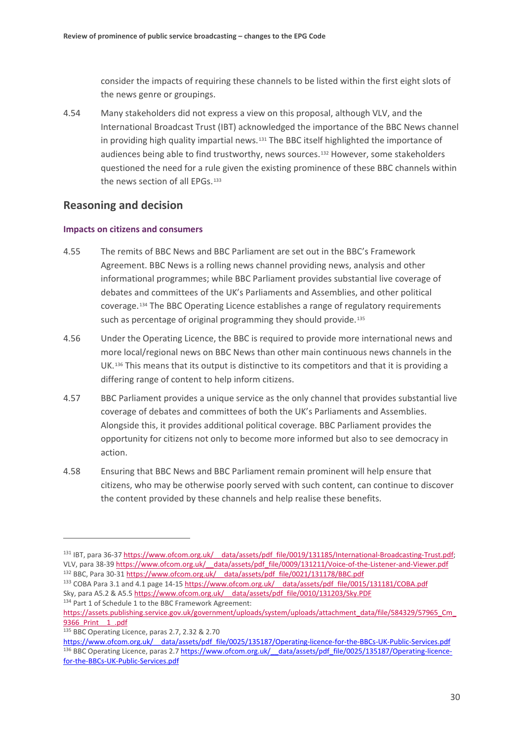consider the impacts of requiring these channels to be listed within the first eight slots of the news genre or groupings.

4.54 Many stakeholders did not express a view on this proposal, although VLV, and the International Broadcast Trust (IBT) acknowledged the importance of the BBC News channel in providing high quality impartial news.<sup>[131](#page-31-0)</sup> The BBC itself highlighted the importance of audiences being able to find trustworthy, news sources.[132](#page-31-1) However, some stakeholders questioned the need for a rule given the existing prominence of these BBC channels within the news section of all EPGs.<sup>[133](#page-31-2)</sup>

## **Reasoning and decision**

### **Impacts on citizens and consumers**

- 4.55 The remits of BBC News and BBC Parliament are set out in the BBC's Framework Agreement. BBC News is a rolling news channel providing news, analysis and other informational programmes; while BBC Parliament provides substantial live coverage of debates and committees of the UK's Parliaments and Assemblies, and other political coverage.[134](#page-31-3) The BBC Operating Licence establishes a range of regulatory requirements such as percentage of original programming they should provide.<sup>[135](#page-31-4)</sup>
- 4.56 Under the Operating Licence, the BBC is required to provide more international news and more local/regional news on BBC News than other main continuous news channels in the UK.[136](#page-31-5) This means that its output is distinctive to its competitors and that it is providing a differing range of content to help inform citizens.
- 4.57 BBC Parliament provides a unique service as the only channel that provides substantial live coverage of debates and committees of both the UK's Parliaments and Assemblies. Alongside this, it provides additional political coverage. BBC Parliament provides the opportunity for citizens not only to become more informed but also to see democracy in action.
- 4.58 Ensuring that BBC News and BBC Parliament remain prominent will help ensure that citizens, who may be otherwise poorly served with such content, can continue to discover the content provided by these channels and help realise these benefits.

<span id="page-31-4"></span>

<span id="page-31-0"></span><sup>131</sup> IBT, para 36-37 https://www.ofcom.org.uk/ data/assets/pdf file/0019/131185/International-Broadcasting-Trust.pdf; VLV, para 38-39 https://www.ofcom.org.uk/ data/assets/pdf file/0009/131211/Voice-of-the-Listener-and-Viewer.pdf <sup>132</sup> BBC, Para 30-31 https://www.ofcom.org.uk/ data/assets/pdf\_file/0021/131178/BBC.pdf

<span id="page-31-2"></span><span id="page-31-1"></span><sup>133</sup> COBA Para 3.1 and 4.1 page 14-15 https://www.ofcom.org.uk/ data/assets/pdf file/0015/131181/COBA.pdf Sky, para A5.2 & A5.5 https://www.ofcom.org.uk/ data/assets/pdf file/0010/131203/Sky.PDF <sup>134</sup> Part 1 of Schedule 1 to the BBC Framework Agreement:

<span id="page-31-3"></span>[https://assets.publishing.service.gov.uk/government/uploads/system/uploads/attachment\\_data/file/584329/57965\\_Cm\\_](https://assets.publishing.service.gov.uk/government/uploads/system/uploads/attachment_data/file/584329/57965_Cm_9366_Print__1_.pdf) 9366 Print 1 .pdf<br>
<sup>135</sup> BBC Operating Licence, paras 2.7, 2.32 & 2.70

<span id="page-31-5"></span>https://www.ofcom.org.uk/ data/assets/pdf file/0025/135187/Operating-licence-for-the-BBCs-UK-Public-Services.pdf 136 BBC Operating Licence, paras 2.7 https://www.ofcom.org.uk/ data/assets/pdf file/0025/135187/Operating-licence[for-the-BBCs-UK-Public-Services.pdf](https://www.ofcom.org.uk/__data/assets/pdf_file/0025/135187/Operating-licence-for-the-BBCs-UK-Public-Services.pdf)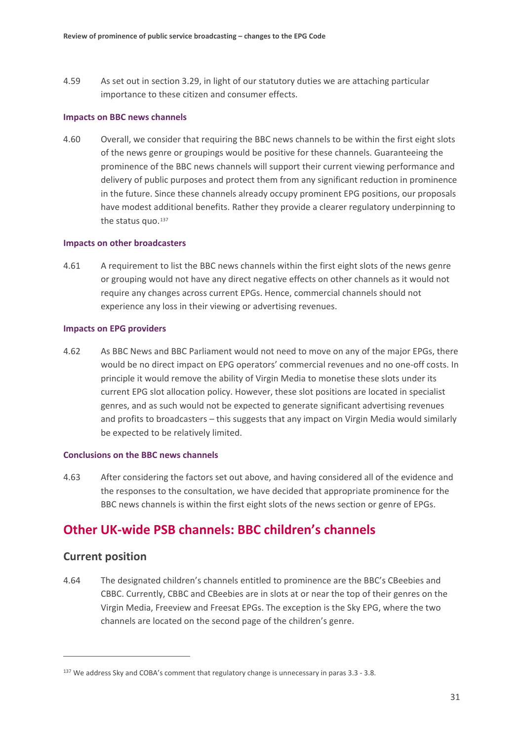4.59 As set out in section [3.29,](#page-16-3) in light of our statutory duties we are attaching particular importance to these citizen and consumer effects.

#### **Impacts on BBC news channels**

4.60 Overall, we consider that requiring the BBC news channels to be within the first eight slots of the news genre or groupings would be positive for these channels. Guaranteeing the prominence of the BBC news channels will support their current viewing performance and delivery of public purposes and protect them from any significant reduction in prominence in the future. Since these channels already occupy prominent EPG positions, our proposals have modest additional benefits. Rather they provide a clearer regulatory underpinning to the status quo.<sup>[137](#page-32-1)</sup>

#### **Impacts on other broadcasters**

4.61 A requirement to list the BBC news channels within the first eight slots of the news genre or grouping would not have any direct negative effects on other channels as it would not require any changes across current EPGs. Hence, commercial channels should not experience any loss in their viewing or advertising revenues.

#### **Impacts on EPG providers**

4.62 As BBC News and BBC Parliament would not need to move on any of the major EPGs, there would be no direct impact on EPG operators' commercial revenues and no one-off costs. In principle it would remove the ability of Virgin Media to monetise these slots under its current EPG slot allocation policy. However, these slot positions are located in specialist genres, and as such would not be expected to generate significant advertising revenues and profits to broadcasters – this suggests that any impact on Virgin Media would similarly be expected to be relatively limited.

#### **Conclusions on the BBC news channels**

4.63 After considering the factors set out above, and having considered all of the evidence and the responses to the consultation, we have decided that appropriate prominence for the BBC news channels is within the first eight slots of the news section or genre of EPGs.

## **Other UK-wide PSB channels: BBC children's channels**

## **Current position**

<u>.</u>

<span id="page-32-0"></span>4.64 The designated children's channels entitled to prominence are the BBC's CBeebies and CBBC. Currently, CBBC and CBeebies are in slots at or near the top of their genres on the Virgin Media, Freeview and Freesat EPGs. The exception is the Sky EPG, where the two channels are located on the second page of the children's genre.

<span id="page-32-1"></span><sup>&</sup>lt;sup>137</sup> We address Sky and COBA's comment that regulatory change is unnecessary in para[s 3.3](#page-10-6) - [3.8.](#page-12-5)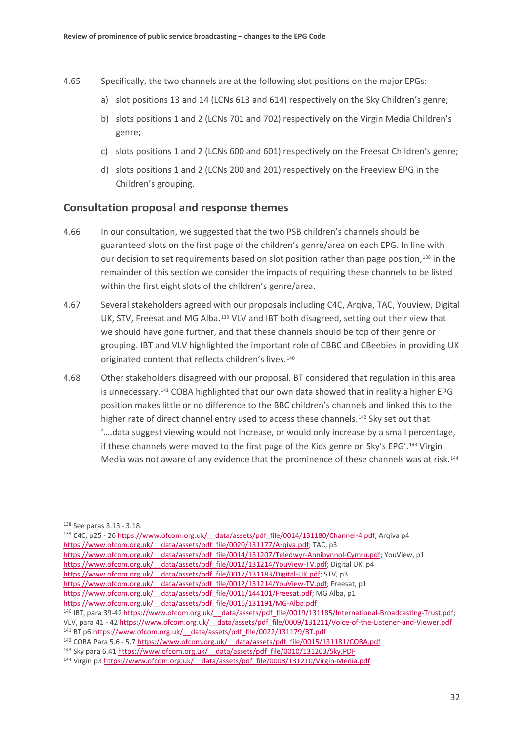- 4.65 Specifically, the two channels are at the following slot positions on the major EPGs:
	- a) slot positions 13 and 14 (LCNs 613 and 614) respectively on the Sky Children's genre;
	- b) slots positions 1 and 2 (LCNs 701 and 702) respectively on the Virgin Media Children's genre;
	- c) slots positions 1 and 2 (LCNs 600 and 601) respectively on the Freesat Children's genre;
	- d) slots positions 1 and 2 (LCNs 200 and 201) respectively on the Freeview EPG in the Children's grouping.

## **Consultation proposal and response themes**

- 4.66 In our consultation, we suggested that the two PSB children's channels should be guaranteed slots on the first page of the children's genre/area on each EPG. In line with our decision to set requirements based on slot position rather than page position,[138](#page-33-0) in the remainder of this section we consider the impacts of requiring these channels to be listed within the first eight slots of the children's genre/area.
- 4.67 Several stakeholders agreed with our proposals including C4C, Arqiva, TAC, Youview, Digital UK, STV, Freesat and MG Alba.[139](#page-33-1) VLV and IBT both disagreed, setting out their view that we should have gone further, and that these channels should be top of their genre or grouping. IBT and VLV highlighted the important role of CBBC and CBeebies in providing UK originated content that reflects children's lives.<sup>[140](#page-33-2)</sup>
- 4.68 Other stakeholders disagreed with our proposal. BT considered that regulation in this area is unnecessary.[141](#page-33-3) COBA highlighted that our own data showed that in reality a higher EPG position makes little or no difference to the BBC children's channels and linked this to the higher rate of direct channel entry used to access these channels.<sup>[142](#page-33-4)</sup> Sky set out that '….data suggest viewing would not increase, or would only increase by a small percentage, if these channels were moved to the first page of the Kids genre on Sky's EPG'.[143](#page-33-5) Virgin Media was not aware of any evidence that the prominence of these channels was at risk.[144](#page-33-6)

<u>.</u>

<span id="page-33-0"></span><sup>138</sup> See paras [3.13](#page-13-10) - [3.18.](#page-14-7)

<span id="page-33-1"></span><sup>&</sup>lt;sup>139</sup> C4C, p25 - 26 https://www.ofcom.org.uk/ data/assets/pdf\_file/0014/131180/Channel-4.pdf; Arqiva p4 https://www.ofcom.org.uk/ data/assets/pdf file/0020/131177/Arqiva.pdf; TAC, p3

https://www.ofcom.org.uk/ data/assets/pdf file/0014/131207/Teledwyr-Annibynnol-Cymru.pdf; YouView, p1

https://www.ofcom.org.uk/ data/assets/pdf\_file/0012/131214/YouView-TV.pdf; Digital UK, p4

https://www.ofcom.org.uk/ data/assets/pdf\_file/0017/131183/Digital-UK.pdf; STV, p3

https://www.ofcom.org.uk/ data/assets/pdf file/0012/131214/YouView-TV.pdf; Freesat, p1 https://www.ofcom.org.uk/ data/assets/pdf\_file/0011/144101/Freesat.pdf; MG Alba, p1

https://www.ofcom.org.uk/ data/assets/pdf\_file/0016/131191/MG-Alba.pdf

<span id="page-33-2"></span><sup>140</sup> IBT, para 39-42 https://www.ofcom.org.uk/ data/assets/pdf file/0019/131185/International-Broadcasting-Trust.pdf;

VLV, para 41 - 42 https://www.ofcom.org.uk/ data/assets/pdf\_file/0009/131211/Voice-of-the-Listener-and-Viewer.pdf <sup>141</sup> BT p6 https://www.ofcom.org.uk/ data/assets/pdf\_file/0022/131179/BT.pdf

<span id="page-33-4"></span><span id="page-33-3"></span><sup>&</sup>lt;sup>142</sup> COBA Para 5.6 - 5.7 https://www.ofcom.org.uk/ data/assets/pdf\_file/0015/131181/COBA.pdf

<span id="page-33-5"></span><sup>143</sup> Sky para 6.41 https://www.ofcom.org.uk/ data/assets/pdf file/0010/131203/Sky.PDF

<span id="page-33-6"></span><sup>144</sup> Virgin p3 [https://www.ofcom.org.uk/\\_\\_data/assets/pdf\\_file/0008/131210/Virgin-Media.pdf](https://www.ofcom.org.uk/__data/assets/pdf_file/0008/131210/Virgin-Media.pdf)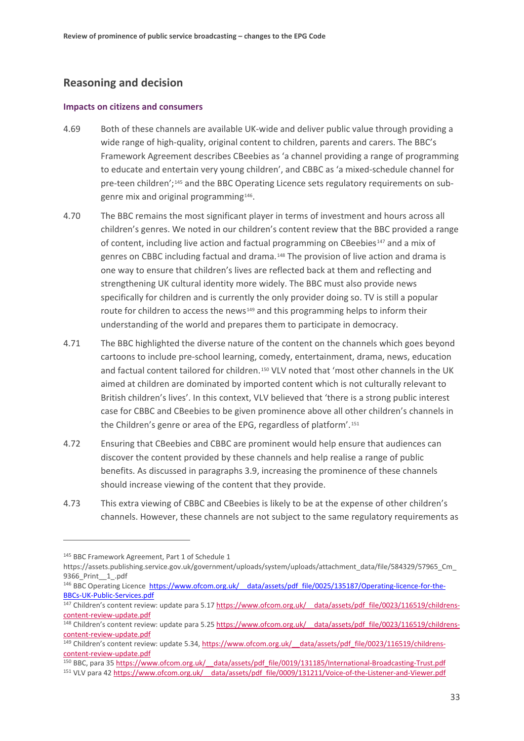## **Reasoning and decision**

#### **Impacts on citizens and consumers**

- 4.69 Both of these channels are available UK-wide and deliver public value through providing a wide range of high-quality, original content to children, parents and carers. The BBC's Framework Agreement describes CBeebies as 'a channel providing a range of programming to educate and entertain very young children', and CBBC as 'a mixed-schedule channel for pre-teen children';[145](#page-34-0) and the BBC Operating Licence sets regulatory requirements on subgenre mix and original programming[146.](#page-34-1)
- 4.70 The BBC remains the most significant player in terms of investment and hours across all children's genres. We noted in our children's content review that the BBC provided a range of content, including live action and factual programming on CBeebies<sup>[147](#page-34-2)</sup> and a mix of genres on CBBC including factual and drama.[148](#page-34-3) The provision of live action and drama is one way to ensure that children's lives are reflected back at them and reflecting and strengthening UK cultural identity more widely. The BBC must also provide news specifically for children and is currently the only provider doing so. TV is still a popular route for children to access the news<sup>[149](#page-34-4)</sup> and this programming helps to inform their understanding of the world and prepares them to participate in democracy.
- 4.71 The BBC highlighted the diverse nature of the content on the channels which goes beyond cartoons to include pre-school learning, comedy, entertainment, drama, news, education and factual content tailored for children.[150](#page-34-5) VLV noted that 'most other channels in the UK aimed at children are dominated by imported content which is not culturally relevant to British children's lives'. In this context, VLV believed that 'there is a strong public interest case for CBBC and CBeebies to be given prominence above all other children's channels in the Children's genre or area of the EPG, regardless of platform'.[151](#page-34-6)
- 4.72 Ensuring that CBeebies and CBBC are prominent would help ensure that audiences can discover the content provided by these channels and help realise a range of public benefits. As discussed in paragraphs [3.9,](#page-12-6) increasing the prominence of these channels should increase viewing of the content that they provide.
- 4.73 This extra viewing of CBBC and CBeebies is likely to be at the expense of other children's channels. However, these channels are not subject to the same regulatory requirements as

<u>.</u>

<span id="page-34-0"></span><sup>145</sup> BBC Framework Agreement, Part 1 of Schedule 1

https://assets.publishing.service.gov.uk/government/uploads/system/uploads/attachment\_data/file/584329/57965\_Cm\_ 9366\_Print\_\_1\_.pdf

<span id="page-34-1"></span><sup>&</sup>lt;sup>146</sup> BBC Operating Licence https://www.ofcom.org.uk/ data/assets/pdf file/0025/135187/Operating-licence-for-the-[BBCs-UK-Public-Services.pdf](https://www.ofcom.org.uk/__data/assets/pdf_file/0025/135187/Operating-licence-for-the-BBCs-UK-Public-Services.pdf)

<span id="page-34-2"></span><sup>147</sup> Children's content review: update para 5.17 https://www.ofcom.org.uk/ data/assets/pdf file/0023/116519/childrens[content-review-update.pdf](https://www.ofcom.org.uk/__data/assets/pdf_file/0023/116519/childrens-content-review-update.pdf)

<span id="page-34-3"></span><sup>&</sup>lt;sup>148</sup> Children's content review: update para 5.25 https://www.ofcom.org.uk/ data/assets/pdf file/0023/116519/childrens[content-review-update.pdf](https://www.ofcom.org.uk/__data/assets/pdf_file/0023/116519/childrens-content-review-update.pdf)

<span id="page-34-4"></span><sup>&</sup>lt;sup>149</sup> Children's content review: update 5.34, https://www.ofcom.org.uk/ data/assets/pdf file/0023/116519/childrens[content-review-update.pdf](https://www.ofcom.org.uk/__data/assets/pdf_file/0023/116519/childrens-content-review-update.pdf)

<span id="page-34-5"></span><sup>150</sup> BBC, para 3[5 https://www.ofcom.org.uk/\\_\\_data/assets/pdf\\_file/0019/131185/International-Broadcasting-Trust.pdf](https://www.ofcom.org.uk/__data/assets/pdf_file/0019/131185/International-Broadcasting-Trust.pdf)

<span id="page-34-6"></span><sup>151</sup> VLV para 42 [https://www.ofcom.org.uk/\\_\\_data/assets/pdf\\_file/0009/131211/Voice-of-the-Listener-and-Viewer.pdf](https://www.ofcom.org.uk/__data/assets/pdf_file/0009/131211/Voice-of-the-Listener-and-Viewer.pdf)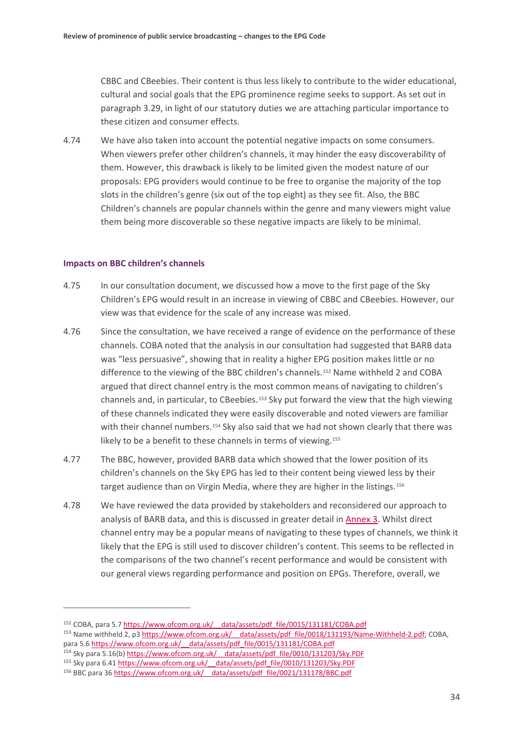CBBC and CBeebies. Their content is thus less likely to contribute to the wider educational, cultural and social goals that the EPG prominence regime seeks to support. As set out in paragraph [3.29,](#page-16-3) in light of our statutory duties we are attaching particular importance to these citizen and consumer effects.

4.74 We have also taken into account the potential negative impacts on some consumers. When viewers prefer other children's channels, it may hinder the easy discoverability of them. However, this drawback is likely to be limited given the modest nature of our proposals: EPG providers would continue to be free to organise the majority of the top slots in the children's genre (six out of the top eight) as they see fit. Also, the BBC Children's channels are popular channels within the genre and many viewers might value them being more discoverable so these negative impacts are likely to be minimal.

#### **Impacts on BBC children's channels**

- 4.75 In our consultation document, we discussed how a move to the first page of the Sky Children's EPG would result in an increase in viewing of CBBC and CBeebies. However, our view was that evidence for the scale of any increase was mixed.
- 4.76 Since the consultation, we have received a range of evidence on the performance of these channels. COBA noted that the analysis in our consultation had suggested that BARB data was "less persuasive", showing that in reality a higher EPG position makes little or no difference to the viewing of the BBC children's channels.<sup>[152](#page-35-0)</sup> Name withheld 2 and COBA argued that direct channel entry is the most common means of navigating to children's channels and, in particular, to CBeebies.<sup>[153](#page-35-1)</sup> Sky put forward the view that the high viewing of these channels indicated they were easily discoverable and noted viewers are familiar with their channel numbers.<sup>[154](#page-35-2)</sup> Sky also said that we had not shown clearly that there was likely to be a benefit to these channels in terms of viewing.<sup>[155](#page-35-3)</sup>
- 4.77 The BBC, however, provided BARB data which showed that the lower position of its children's channels on the Sky EPG has led to their content being viewed less by their target audience than on Virgin Media, where they are higher in the listings.[156](#page-35-4)
- 4.78 We have reviewed the data provided by stakeholders and reconsidered our approach to analysis of BARB data, and this is discussed in greater detail in [Annex 3.](https://www.ofcom.org.uk/__data/assets/pdf_file/0021/154380/annex-3-ofcoms-assessment-of-evidence-base.pdf) Whilst direct channel entry may be a popular means of navigating to these types of channels, we think it likely that the EPG is still used to discover children's content. This seems to be reflected in the comparisons of the two channel's recent performance and would be consistent with our general views regarding performance and position on EPGs. Therefore, overall, we

<span id="page-35-0"></span><sup>152</sup> COBA, para 5.[7 https://www.ofcom.org.uk/\\_\\_data/assets/pdf\\_file/0015/131181/COBA.pdf](https://www.ofcom.org.uk/__data/assets/pdf_file/0015/131181/COBA.pdf)

<span id="page-35-1"></span><sup>153</sup> Name withheld 2, p[3 https://www.ofcom.org.uk/\\_\\_data/assets/pdf\\_file/0018/131193/Name-Withheld-2.pdf;](https://www.ofcom.org.uk/__data/assets/pdf_file/0018/131193/Name-Withheld-2.pdf) COBA, para 5.6 https://www.ofcom.org.uk/ data/assets/pdf\_file/0015/131181/COBA.pdf

<span id="page-35-2"></span><sup>154</sup> Sky para 5.16(b) https://www.ofcom.org.uk/ data/assets/pdf file/0010/131203/Sky.PDF

<span id="page-35-3"></span><sup>155</sup> Sky para 6.41 https://www.ofcom.org.uk/ data/assets/pdf file/0010/131203/Sky.PDF

<span id="page-35-4"></span><sup>156</sup> BBC para 3[6 https://www.ofcom.org.uk/\\_\\_data/assets/pdf\\_file/0021/131178/BBC.pdf](https://www.ofcom.org.uk/__data/assets/pdf_file/0021/131178/BBC.pdf)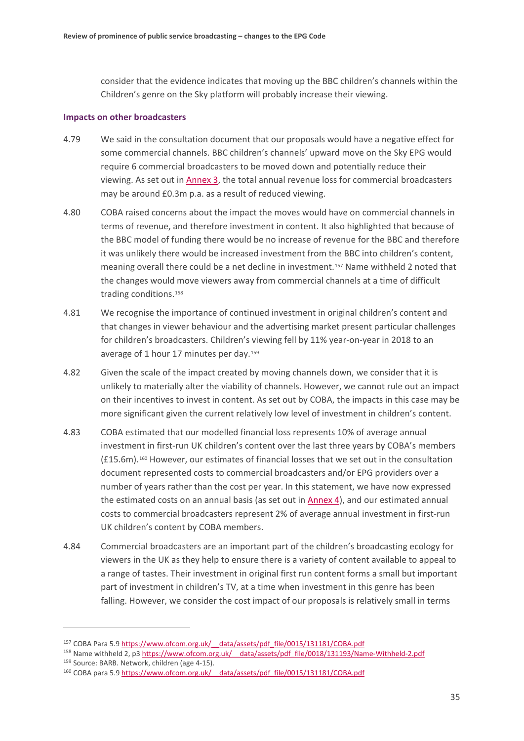consider that the evidence indicates that moving up the BBC children's channels within the Children's genre on the Sky platform will probably increase their viewing.

#### **Impacts on other broadcasters**

- 4.79 We said in the consultation document that our proposals would have a negative effect for some commercial channels. BBC children's channels' upward move on the Sky EPG would require 6 commercial broadcasters to be moved down and potentially reduce their viewing. As set out in [Annex 3,](https://www.ofcom.org.uk/__data/assets/pdf_file/0021/154380/annex-3-ofcoms-assessment-of-evidence-base.pdf) the total annual revenue loss for commercial broadcasters may be around £0.3m p.a. as a result of reduced viewing.
- 4.80 COBA raised concerns about the impact the moves would have on commercial channels in terms of revenue, and therefore investment in content. It also highlighted that because of the BBC model of funding there would be no increase of revenue for the BBC and therefore it was unlikely there would be increased investment from the BBC into children's content, meaning overall there could be a net decline in investment.[157](#page-36-0) Name withheld 2 noted that the changes would move viewers away from commercial channels at a time of difficult trading conditions.<sup>[158](#page-36-1)</sup>
- 4.81 We recognise the importance of continued investment in original children's content and that changes in viewer behaviour and the advertising market present particular challenges for children's broadcasters. Children's viewing fell by 11% year-on-year in 2018 to an average of 1 hour 17 minutes per day.[159](#page-36-2)
- 4.82 Given the scale of the impact created by moving channels down, we consider that it is unlikely to materially alter the viability of channels. However, we cannot rule out an impact on their incentives to invest in content. As set out by COBA, the impacts in this case may be more significant given the current relatively low level of investment in children's content.
- 4.83 COBA estimated that our modelled financial loss represents 10% of average annual investment in first-run UK children's content over the last three years by COBA's members (£15.6m).[160](#page-36-3) However, our estimates of financial losses that we set out in the consultation document represented costs to commercial broadcasters and/or EPG providers over a number of years rather than the cost per year. In this statement, we have now expressed the estimated costs on an annual basis (as set out i[n Annex 4\)](https://www.ofcom.org.uk/__data/assets/pdf_file/0023/154382/annex-4-epg-slot-price-modelling-and-interpretation.pdf), and our estimated annual costs to commercial broadcasters represent 2% of average annual investment in first-run UK children's content by COBA members.
- 4.84 Commercial broadcasters are an important part of the children's broadcasting ecology for viewers in the UK as they help to ensure there is a variety of content available to appeal to a range of tastes. Their investment in original first run content forms a small but important part of investment in children's TV, at a time when investment in this genre has been falling. However, we consider the cost impact of our proposals is relatively small in terms

<u>.</u>

<span id="page-36-0"></span><sup>&</sup>lt;sup>157</sup> COBA Para 5.9 https://www.ofcom.org.uk/ data/assets/pdf\_file/0015/131181/COBA.pdf

<span id="page-36-1"></span><sup>158</sup> Name withheld 2, p3 https://www.ofcom.org.uk/ data/assets/pdf file/0018/131193/Name-Withheld-2.pdf

<span id="page-36-3"></span><span id="page-36-2"></span><sup>&</sup>lt;sup>159</sup> Source: BARB. Network, children (age 4-15).<br><sup>160</sup> COBA para 5.9 https://www.ofcom.org.uk/ data/assets/pdf\_file/0015/131181/COBA.pdf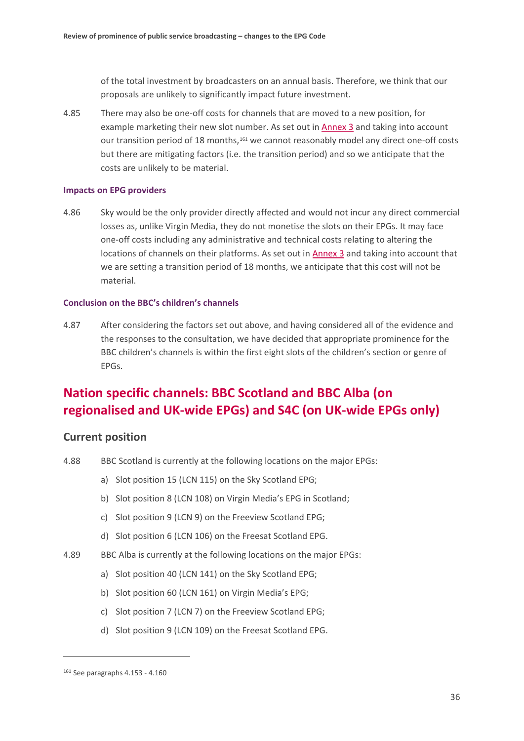of the total investment by broadcasters on an annual basis. Therefore, we think that our proposals are unlikely to significantly impact future investment.

4.85 There may also be one-off costs for channels that are moved to a new position, for example marketing their new slot number. As set out i[n Annex 3](https://www.ofcom.org.uk/__data/assets/pdf_file/0021/154380/annex-3-ofcoms-assessment-of-evidence-base.pdf) and taking into account our transition period of 18 months,<sup>[161](#page-37-1)</sup> we cannot reasonably model any direct one-off costs but there are mitigating factors (i.e. the transition period) and so we anticipate that the costs are unlikely to be material.

#### **Impacts on EPG providers**

4.86 Sky would be the only provider directly affected and would not incur any direct commercial losses as, unlike Virgin Media, they do not monetise the slots on their EPGs. It may face one-off costs including any administrative and technical costs relating to altering the locations of channels on their platforms. As set out in [Annex 3](https://www.ofcom.org.uk/__data/assets/pdf_file/0021/154380/annex-3-ofcoms-assessment-of-evidence-base.pdf) and taking into account that we are setting a transition period of 18 months, we anticipate that this cost will not be material.

#### **Conclusion on the BBC's children's channels**

<span id="page-37-0"></span>4.87 After considering the factors set out above, and having considered all of the evidence and the responses to the consultation, we have decided that appropriate prominence for the BBC children's channels is within the first eight slots of the children's section or genre of EPGs.

# **Nation specific channels: BBC Scotland and BBC Alba (on regionalised and UK-wide EPGs) and S4C (on UK-wide EPGs only)**

## **Current position**

- 4.88 BBC Scotland is currently at the following locations on the major EPGs:
	- a) Slot position 15 (LCN 115) on the Sky Scotland EPG;
	- b) Slot position 8 (LCN 108) on Virgin Media's EPG in Scotland;
	- c) Slot position 9 (LCN 9) on the Freeview Scotland EPG;
	- d) Slot position 6 (LCN 106) on the Freesat Scotland EPG.
- 4.89 BBC Alba is currently at the following locations on the major EPGs:
	- a) Slot position 40 (LCN 141) on the Sky Scotland EPG;
	- b) Slot position 60 (LCN 161) on Virgin Media's EPG;
	- c) Slot position 7 (LCN 7) on the Freeview Scotland EPG;
	- d) Slot position 9 (LCN 109) on the Freesat Scotland EPG.

<u>.</u>

<span id="page-37-1"></span><sup>161</sup> See paragraph[s 4.153](#page-53-0) - [4.160](#page-55-0)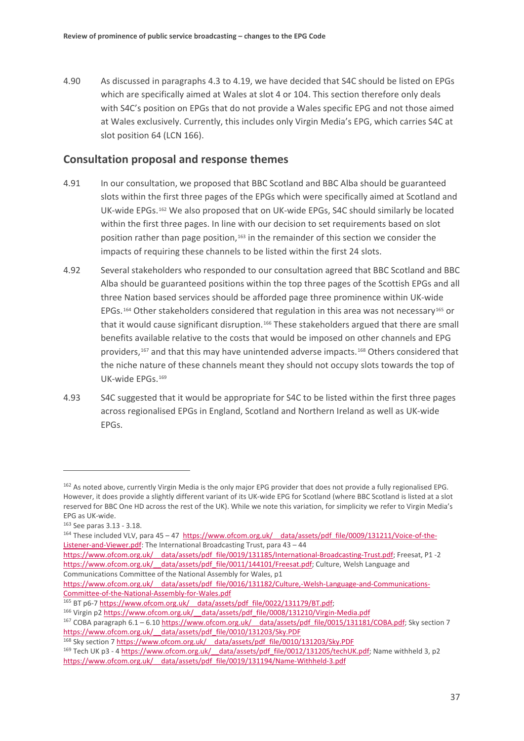4.90 As discussed in paragraph[s 4.3](#page-19-6) to [4.19,](#page-23-4) we have decided that S4C should be listed on EPGs which are specifically aimed at Wales at slot 4 or 104. This section therefore only deals with S4C's position on EPGs that do not provide a Wales specific EPG and not those aimed at Wales exclusively. Currently, this includes only Virgin Media's EPG, which carries S4C at slot position 64 (LCN 166).

## **Consultation proposal and response themes**

- 4.91 In our consultation, we proposed that BBC Scotland and BBC Alba should be guaranteed slots within the first three pages of the EPGs which were specifically aimed at Scotland and UK-wide EPGs.[162](#page-38-0) We also proposed that on UK-wide EPGs, S4C should similarly be located within the first three pages. In line with our decision to set requirements based on slot position rather than page position,<sup>[163](#page-38-1)</sup> in the remainder of this section we consider the impacts of requiring these channels to be listed within the first 24 slots.
- 4.92 Several stakeholders who responded to our consultation agreed that BBC Scotland and BBC Alba should be guaranteed positions within the top three pages of the Scottish EPGs and all three Nation based services should be afforded page three prominence within UK-wide EPGs.<sup>[164](#page-38-2)</sup> Other stakeholders considered that regulation in this area was not necessary<sup>[165](#page-38-3)</sup> or that it would cause significant disruption.[166](#page-38-4) These stakeholders argued that there are small benefits available relative to the costs that would be imposed on other channels and EPG providers,<sup>[167](#page-38-5)</sup> and that this may have unintended adverse impacts.<sup>[168](#page-38-6)</sup> Others considered that the niche nature of these channels meant they should not occupy slots towards the top of UK-wide EPGs.[169](#page-38-7)
- 4.93 S4C suggested that it would be appropriate for S4C to be listed within the first three pages across regionalised EPGs in England, Scotland and Northern Ireland as well as UK-wide EPGs.

 $\overline{a}$ 

https://www.ofcom.org.uk/ data/assets/pdf file/0016/131182/Culture,-Welsh-Language-and-Communications-[Committee-of-the-National-Assembly-for-Wales.pdf](https://www.ofcom.org.uk/__data/assets/pdf_file/0016/131182/Culture,-Welsh-Language-and-Communications-Committee-of-the-National-Assembly-for-Wales.pdf)

<span id="page-38-0"></span><sup>162</sup> As noted above, currently Virgin Media is the only major EPG provider that does not provide a fully regionalised EPG. However, it does provide a slightly different variant of its UK-wide EPG for Scotland (where BBC Scotland is listed at a slot reserved for BBC One HD across the rest of the UK). While we note this variation, for simplicity we refer to Virgin Media's

<span id="page-38-1"></span>EPG as UK-wide.<br> $163$  See paras  $3.13 - 3.18$ .

<span id="page-38-2"></span><sup>164</sup> These included VLV, para 45 – 47 https://www.ofcom.org.uk/ data/assets/pdf file/0009/131211/Voice-of-the-[Listener-and-Viewer.pdf:](https://www.ofcom.org.uk/__data/assets/pdf_file/0009/131211/Voice-of-the-Listener-and-Viewer.pdf) The International Broadcasting Trust, para 43 – 44

https://www.ofcom.org.uk/ data/assets/pdf file/0019/131185/International-Broadcasting-Trust.pdf; Freesat, P1 -2 https://www.ofcom.org.uk/ data/assets/pdf\_file/0011/144101/Freesat.pdf; Culture, Welsh Language and Communications Committee of the National Assembly for Wales, p1

<span id="page-38-4"></span><span id="page-38-3"></span><sup>165</sup> BT p6-7 https://www.ofcom.org.uk/ data/assets/pdf\_file/0022/131179/BT.pdf; 166 Virgin p2 https://www.ofcom.org.uk/ data/assets/pdf\_file/0008/131210/Virgin-Media.pdf

<span id="page-38-5"></span><sup>&</sup>lt;sup>167</sup> COBA paragraph 6.1 – 6.10 https://www.ofcom.org.uk/ data/assets/pdf file/0015/131181/COBA.pdf; Sky section 7 [https://www.ofcom.org.uk/\\_\\_data/assets/pdf\\_file/0010/131203/Sky.PDF](https://www.ofcom.org.uk/__data/assets/pdf_file/0010/131203/Sky.PDF)

<span id="page-38-7"></span><span id="page-38-6"></span><sup>168</sup> Sky section [7 https://www.ofcom.org.uk/\\_\\_data/assets/pdf\\_file/0010/131203/Sky.PDF](https://www.ofcom.org.uk/__data/assets/pdf_file/0010/131203/Sky.PDF) 169 Tech UK p3 - 4 https://www.ofcom.org.uk/ data/assets/pdf file/0012/131205/techUK.pdf; Name withheld 3, p2 [https://www.ofcom.org.uk/\\_\\_data/assets/pdf\\_file/0019/131194/Name-Withheld-3.pdf](https://www.ofcom.org.uk/__data/assets/pdf_file/0019/131194/Name-Withheld-3.pdf)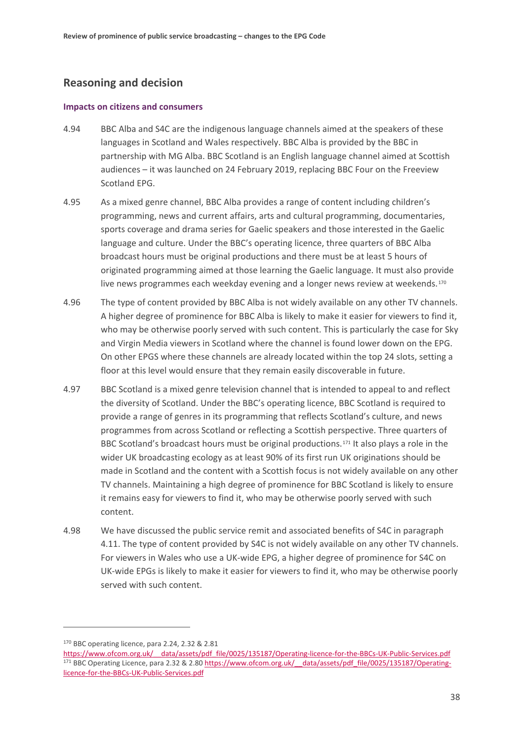## **Reasoning and decision**

#### **Impacts on citizens and consumers**

- 4.94 BBC Alba and S4C are the indigenous language channels aimed at the speakers of these languages in Scotland and Wales respectively. BBC Alba is provided by the BBC in partnership with MG Alba. BBC Scotland is an English language channel aimed at Scottish audiences – it was launched on 24 February 2019, replacing BBC Four on the Freeview Scotland EPG.
- 4.95 As a mixed genre channel, BBC Alba provides a range of content including children's programming, news and current affairs, arts and cultural programming, documentaries, sports coverage and drama series for Gaelic speakers and those interested in the Gaelic language and culture. Under the BBC's operating licence, three quarters of BBC Alba broadcast hours must be original productions and there must be at least 5 hours of originated programming aimed at those learning the Gaelic language. It must also provide live news programmes each weekday evening and a longer news review at weekends.<sup>[170](#page-39-0)</sup>
- 4.96 The type of content provided by BBC Alba is not widely available on any other TV channels. A higher degree of prominence for BBC Alba is likely to make it easier for viewers to find it, who may be otherwise poorly served with such content. This is particularly the case for Sky and Virgin Media viewers in Scotland where the channel is found lower down on the EPG. On other EPGS where these channels are already located within the top 24 slots, setting a floor at this level would ensure that they remain easily discoverable in future.
- 4.97 BBC Scotland is a mixed genre television channel that is intended to appeal to and reflect the diversity of Scotland. Under the BBC's operating licence, BBC Scotland is required to provide a range of genres in its programming that reflects Scotland's culture, and news programmes from across Scotland or reflecting a Scottish perspective. Three quarters of BBC Scotland's broadcast hours must be original productions.[171](#page-39-1) It also plays a role in the wider UK broadcasting ecology as at least 90% of its first run UK originations should be made in Scotland and the content with a Scottish focus is not widely available on any other TV channels. Maintaining a high degree of prominence for BBC Scotland is likely to ensure it remains easy for viewers to find it, who may be otherwise poorly served with such content.
- 4.98 We have discussed the public service remit and associated benefits of S4C in paragraph [4.11.](#page-21-9) The type of content provided by S4C is not widely available on any other TV channels. For viewers in Wales who use a UK-wide EPG, a higher degree of prominence for S4C on UK-wide EPGs is likely to make it easier for viewers to find it, who may be otherwise poorly served with such content.

<u>.</u>

<span id="page-39-0"></span><sup>170</sup> BBC operating licence, para 2.24, 2.32 & 2.81

<span id="page-39-1"></span>[https://www.ofcom.org.uk/\\_\\_data/assets/pdf\\_file/0025/135187/Operating-licence-for-the-BBCs-UK-Public-Services.pdf](https://www.ofcom.org.uk/__data/assets/pdf_file/0025/135187/Operating-licence-for-the-BBCs-UK-Public-Services.pdf) 171 BBC Operating Licence, para 2.32 & 2.80 https://www.ofcom.org.uk/ data/assets/pdf\_file/0025/135187/Operating[licence-for-the-BBCs-UK-Public-Services.pdf](https://www.ofcom.org.uk/__data/assets/pdf_file/0025/135187/Operating-licence-for-the-BBCs-UK-Public-Services.pdf)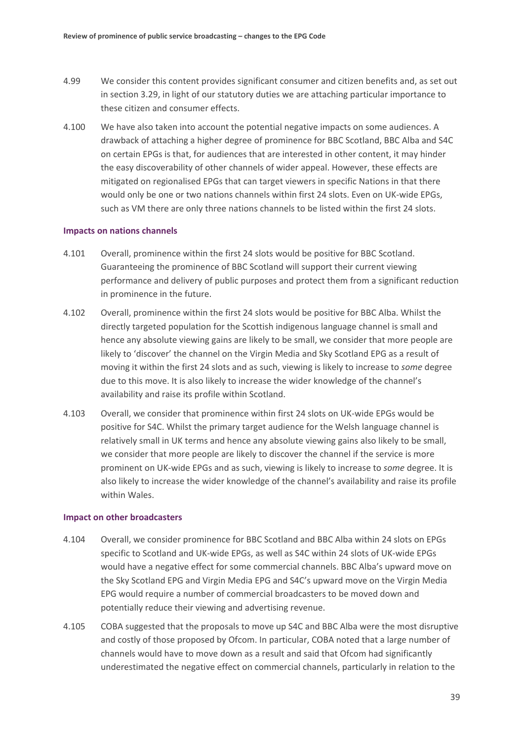- 4.99 We consider this content provides significant consumer and citizen benefits and, as set out in section 3.29, in light of our statutory duties we are attaching particular importance to these citizen and consumer effects.
- 4.100 We have also taken into account the potential negative impacts on some audiences. A drawback of attaching a higher degree of prominence for BBC Scotland, BBC Alba and S4C on certain EPGs is that, for audiences that are interested in other content, it may hinder the easy discoverability of other channels of wider appeal. However, these effects are mitigated on regionalised EPGs that can target viewers in specific Nations in that there would only be one or two nations channels within first 24 slots. Even on UK-wide EPGs, such as VM there are only three nations channels to be listed within the first 24 slots.

#### **Impacts on nations channels**

- 4.101 Overall, prominence within the first 24 slots would be positive for BBC Scotland. Guaranteeing the prominence of BBC Scotland will support their current viewing performance and delivery of public purposes and protect them from a significant reduction in prominence in the future.
- 4.102 Overall, prominence within the first 24 slots would be positive for BBC Alba. Whilst the directly targeted population for the Scottish indigenous language channel is small and hence any absolute viewing gains are likely to be small, we consider that more people are likely to 'discover' the channel on the Virgin Media and Sky Scotland EPG as a result of moving it within the first 24 slots and as such, viewing is likely to increase to *some* degree due to this move. It is also likely to increase the wider knowledge of the channel's availability and raise its profile within Scotland.
- 4.103 Overall, we consider that prominence within first 24 slots on UK-wide EPGs would be positive for S4C. Whilst the primary target audience for the Welsh language channel is relatively small in UK terms and hence any absolute viewing gains also likely to be small, we consider that more people are likely to discover the channel if the service is more prominent on UK-wide EPGs and as such, viewing is likely to increase to *some* degree. It is also likely to increase the wider knowledge of the channel's availability and raise its profile within Wales.

#### **Impact on other broadcasters**

- 4.104 Overall, we consider prominence for BBC Scotland and BBC Alba within 24 slots on EPGs specific to Scotland and UK-wide EPGs, as well as S4C within 24 slots of UK-wide EPGs would have a negative effect for some commercial channels. BBC Alba's upward move on the Sky Scotland EPG and Virgin Media EPG and S4C's upward move on the Virgin Media EPG would require a number of commercial broadcasters to be moved down and potentially reduce their viewing and advertising revenue.
- 4.105 COBA suggested that the proposals to move up S4C and BBC Alba were the most disruptive and costly of those proposed by Ofcom. In particular, COBA noted that a large number of channels would have to move down as a result and said that Ofcom had significantly underestimated the negative effect on commercial channels, particularly in relation to the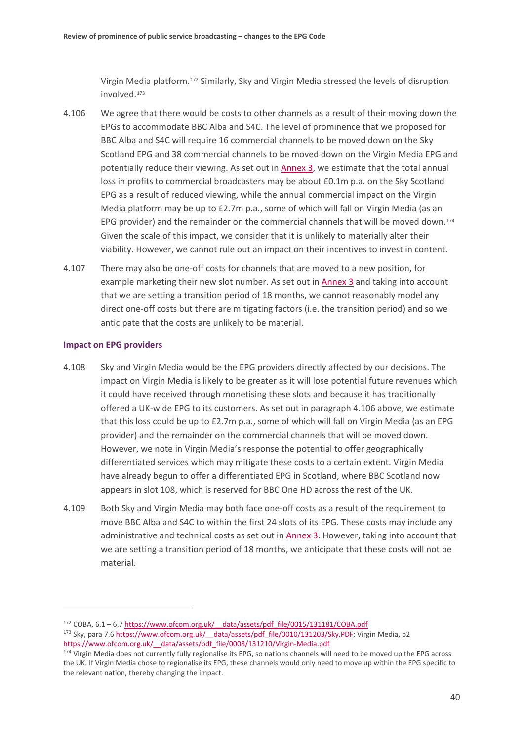Virgin Media platform.[172](#page-41-1) Similarly, Sky and Virgin Media stressed the levels of disruption involved.[173](#page-41-2)

- <span id="page-41-0"></span>4.106 We agree that there would be costs to other channels as a result of their moving down the EPGs to accommodate BBC Alba and S4C. The level of prominence that we proposed for BBC Alba and S4C will require 16 commercial channels to be moved down on the Sky Scotland EPG and 38 commercial channels to be moved down on the Virgin Media EPG and potentially reduce their viewing. As set out in **Annex 3**, we estimate that the total annual loss in profits to commercial broadcasters may be about £0.1m p.a. on the Sky Scotland EPG as a result of reduced viewing, while the annual commercial impact on the Virgin Media platform may be up to £2.7m p.a., some of which will fall on Virgin Media (as an EPG provider) and the remainder on the commercial channels that will be moved down.<sup>[174](#page-41-3)</sup> Given the scale of this impact, we consider that it is unlikely to materially alter their viability. However, we cannot rule out an impact on their incentives to invest in content.
- 4.107 There may also be one-off costs for channels that are moved to a new position, for example marketing their new slot number. As set out i[n Annex 3](https://www.ofcom.org.uk/__data/assets/pdf_file/0021/154380/annex-3-ofcoms-assessment-of-evidence-base.pdf) and taking into account that we are setting a transition period of 18 months, we cannot reasonably model any direct one-off costs but there are mitigating factors (i.e. the transition period) and so we anticipate that the costs are unlikely to be material.

#### **Impact on EPG providers**

- 4.108 Sky and Virgin Media would be the EPG providers directly affected by our decisions. The impact on Virgin Media is likely to be greater as it will lose potential future revenues which it could have received through monetising these slots and because it has traditionally offered a UK-wide EPG to its customers. As set out in paragrap[h 4.106](#page-41-0) above, we estimate that this loss could be up to £2.7m p.a., some of which will fall on Virgin Media (as an EPG provider) and the remainder on the commercial channels that will be moved down. However, we note in Virgin Media's response the potential to offer geographically differentiated services which may mitigate these costs to a certain extent. Virgin Media have already begun to offer a differentiated EPG in Scotland, where BBC Scotland now appears in slot 108, which is reserved for BBC One HD across the rest of the UK.
- 4.109 Both Sky and Virgin Media may both face one-off costs as a result of the requirement to move BBC Alba and S4C to within the first 24 slots of its EPG. These costs may include any administrative and technical costs as set out in [Annex 3.](https://www.ofcom.org.uk/__data/assets/pdf_file/0021/154380/annex-3-ofcoms-assessment-of-evidence-base.pdf) However, taking into account that we are setting a transition period of 18 months, we anticipate that these costs will not be material.

<span id="page-41-2"></span><span id="page-41-1"></span> $172$  COBA, 6.1 – 6.7 https://www.ofcom.org.uk/ data/assets/pdf file/0015/131181/COBA.pdf 173 Sky, para 7.6 https://www.ofcom.org.uk/ data/assets/pdf file/0010/131203/Sky.PDF; Virgin Media, p2 https://www.ofcom.org.uk/ data/assets/pdf file/0008/131210/Virgin-Media.pdf

<span id="page-41-3"></span><sup>&</sup>lt;sup>174</sup> Virgin Media does not currently fully regionalise its EPG, so nations channels will need to be moved up the EPG across the UK. If Virgin Media chose to regionalise its EPG, these channels would only need to move up within the EPG specific to the relevant nation, thereby changing the impact.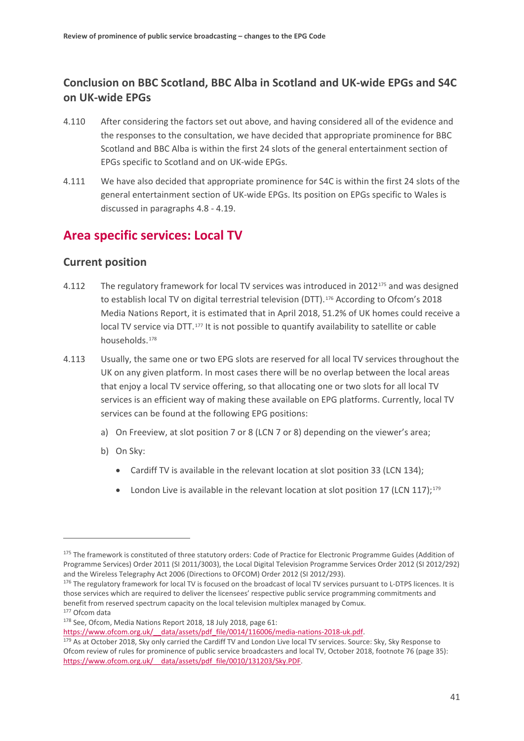# **Conclusion on BBC Scotland, BBC Alba in Scotland and UK-wide EPGs and S4C on UK-wide EPGs**

- 4.110 After considering the factors set out above, and having considered all of the evidence and the responses to the consultation, we have decided that appropriate prominence for BBC Scotland and BBC Alba is within the first 24 slots of the general entertainment section of EPGs specific to Scotland and on UK-wide EPGs.
- 4.111 We have also decided that appropriate prominence for S4C is within the first 24 slots of the general entertainment section of UK-wide EPGs. Its position on EPGs specific to Wales is discussed in paragraphs [4.8](#page-20-8) - [4.19.](#page-23-4)

# **Area specific services: Local TV**

## **Current position**

- 4.112 The regulatory framework for local TV services was introduced in 2012[175](#page-42-0) and was designed to establish local TV on digital terrestrial television (DTT).<sup>[176](#page-42-1)</sup> According to Ofcom's 2018 Media Nations Report, it is estimated that in April 2018, 51.2% of UK homes could receive a local TV service via DTT.<sup>[177](#page-42-2)</sup> It is not possible to quantify availability to satellite or cable households.[178](#page-42-3)
- 4.113 Usually, the same one or two EPG slots are reserved for all local TV services throughout the UK on any given platform. In most cases there will be no overlap between the local areas that enjoy a local TV service offering, so that allocating one or two slots for all local TV services is an efficient way of making these available on EPG platforms. Currently, local TV services can be found at the following EPG positions:
	- a) On Freeview, at slot position 7 or 8 (LCN 7 or 8) depending on the viewer's area;
	- b) On Sky:

- Cardiff TV is available in the relevant location at slot position 33 (LCN 134);
- London Live is available in the relevant location at slot position 17 (LCN 117): $179$

- <span id="page-42-1"></span>176 The regulatory framework for local TV is focused on the broadcast of local TV services pursuant to L-DTPS licences. It is those services which are required to deliver the licensees' respective public service programming commitments and benefit from reserved spectrum capacity on the local television multiplex managed by Comux.<br><sup>177</sup> Ofcom data<br><sup>178</sup> See, Ofcom, Media Nations Report 2018, 18 July 2018, page 61:
- <span id="page-42-2"></span>

<span id="page-42-0"></span><sup>175</sup> The framework is constituted of three statutory orders: Code of Practice for Electronic Programme Guides (Addition of Programme Services) Order 2011 (SI 2011/3003), the Local Digital Television Programme Services Order 2012 (SI 2012/292) and the Wireless Telegraphy Act 2006 (Directions to OFCOM) Order 2012 (SI 2012/293).

<span id="page-42-3"></span>[https://www.ofcom.org.uk/\\_\\_data/assets/pdf\\_file/0014/116006/media-nations-2018-uk.pdf.](https://www.ofcom.org.uk/__data/assets/pdf_file/0014/116006/media-nations-2018-uk.pdf)

<span id="page-42-4"></span><sup>179</sup> As at October 2018, Sky only carried the Cardiff TV and London Live local TV services. Source: Sky, Sky Response to Ofcom review of rules for prominence of public service broadcasters and local TV, October 2018, footnote 76 (page 35): [https://www.ofcom.org.uk/\\_\\_data/assets/pdf\\_file/0010/131203/Sky.PDF.](https://www.ofcom.org.uk/__data/assets/pdf_file/0010/131203/Sky.PDF)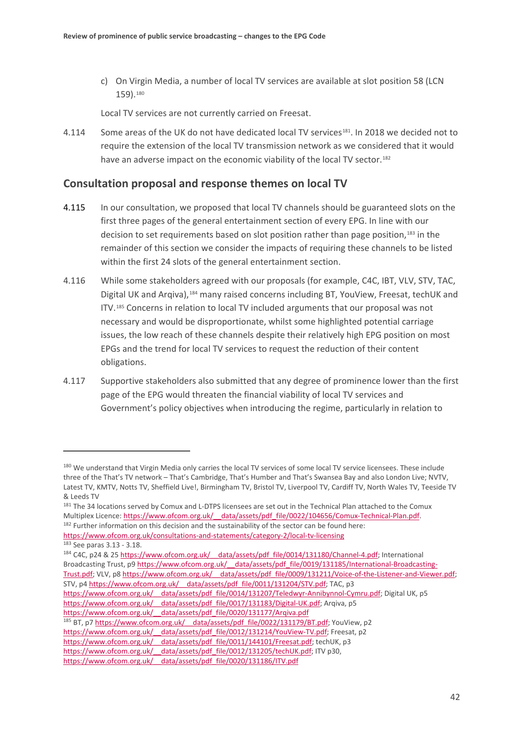c) On Virgin Media, a number of local TV services are available at slot position 58 (LCN 159).[180](#page-43-0)

Local TV services are not currently carried on Freesat.

4.114 Some areas of the UK do not have dedicated local TV services[181](#page-43-1). In 2018 we decided not to require the extension of the local TV transmission network as we considered that it would have an adverse impact on the economic viability of the local TV sector.<sup>[182](#page-43-2)</sup>

## **Consultation proposal and response themes on local TV**

- 4.115 In our consultation, we proposed that local TV channels should be guaranteed slots on the first three pages of the general entertainment section of every EPG. In line with our decision to set requirements based on slot position rather than page position,<sup>[183](#page-43-3)</sup> in the remainder of this section we consider the impacts of requiring these channels to be listed within the first 24 slots of the general entertainment section.
- 4.116 While some stakeholders agreed with our proposals (for example, C4C, IBT, VLV, STV, TAC, Digital UK and Arqiva),[184](#page-43-4) many raised concerns including BT, YouView, Freesat, techUK and ITV.[185](#page-43-5) Concerns in relation to local TV included arguments that our proposal was not necessary and would be disproportionate, whilst some highlighted potential carriage issues, the low reach of these channels despite their relatively high EPG position on most EPGs and the trend for local TV services to request the reduction of their content obligations.
- 4.117 Supportive stakeholders also submitted that any degree of prominence lower than the first page of the EPG would threaten the financial viability of local TV services and Government's policy objectives when introducing the regime, particularly in relation to

<span id="page-43-2"></span><span id="page-43-1"></span>Multiplex Licence: https://www.ofcom.org.uk/ data/assets/pdf file/0022/104656/Comux-Technical-Plan.pdf. 182 Further information on this decision and the sustainability of the sector can be found here: <https://www.ofcom.org.uk/consultations-and-statements/category-2/local-tv-licensing>

<u>.</u>

<span id="page-43-4"></span><span id="page-43-3"></span>184 C4C, p24 & 25 https://www.ofcom.org.uk/ data/assets/pdf file/0014/131180/Channel-4.pdf; International Broadcasting Trust, p9 https://www.ofcom.org.uk/ data/assets/pdf\_file/0019/131185/International-Broadcasting-[Trust.pdf;](https://www.ofcom.org.uk/__data/assets/pdf_file/0019/131185/International-Broadcasting-Trust.pdf) VLV, p[8 https://www.ofcom.org.uk/\\_\\_data/assets/pdf\\_file/0009/131211/Voice-of-the-Listener-and-Viewer.pdf;](https://www.ofcom.org.uk/__data/assets/pdf_file/0009/131211/Voice-of-the-Listener-and-Viewer.pdf) STV, p4 https://www.ofcom.org.uk/ data/assets/pdf file/0011/131204/STV.pdf; TAC, p3 https://www.ofcom.org.uk/ data/assets/pdf\_file/0014/131207/Teledwyr-Annibynnol-Cymru.pdf; Digital UK, p5 [https://www.ofcom.org.uk/\\_\\_data/assets/pdf\\_file/0017/131183/Digital-UK.pdf;](https://www.ofcom.org.uk/__data/assets/pdf_file/0017/131183/Digital-UK.pdf) Arqiva, p5 https://www.ofcom.org.uk/ data/assets/pdf file/0020/131177/Arqiva.pdf <sup>185</sup> BT, p7 https://www.ofcom.org.uk/ data/assets/pdf\_file/0022/131179/BT.pdf; YouView, p2 https://www.ofcom.org.uk/ data/assets/pdf\_file/0012/131214/YouView-TV.pdf; Freesat, p2 https://www.ofcom.org.uk/ data/assets/pdf file/0011/144101/Freesat.pdf; techUK, p3

<span id="page-43-0"></span><sup>180</sup> We understand that Virgin Media only carries the local TV services of some local TV service licensees. These include three of the That's TV network – That's Cambridge, That's Humber and That's Swansea Bay and also London Live; NVTV, Latest TV, KMTV, Notts TV, Sheffield Live!, Birmingham TV, Bristol TV, Liverpool TV, Cardiff TV, North Wales TV, Teeside TV & Leeds TV<br><sup>181</sup> The 34 locations served by Comux and L-DTPS licensees are set out in the Technical Plan attached to the Comux

<sup>183</sup> See para[s 3.13](#page-13-10) - [3.18.](#page-14-7)

<span id="page-43-5"></span>https://www.ofcom.org.uk/ data/assets/pdf file/0012/131205/techUK.pdf; ITV p30,

[https://www.ofcom.org.uk/\\_\\_data/assets/pdf\\_file/0020/131186/ITV.pdf](https://www.ofcom.org.uk/__data/assets/pdf_file/0020/131186/ITV.pdf)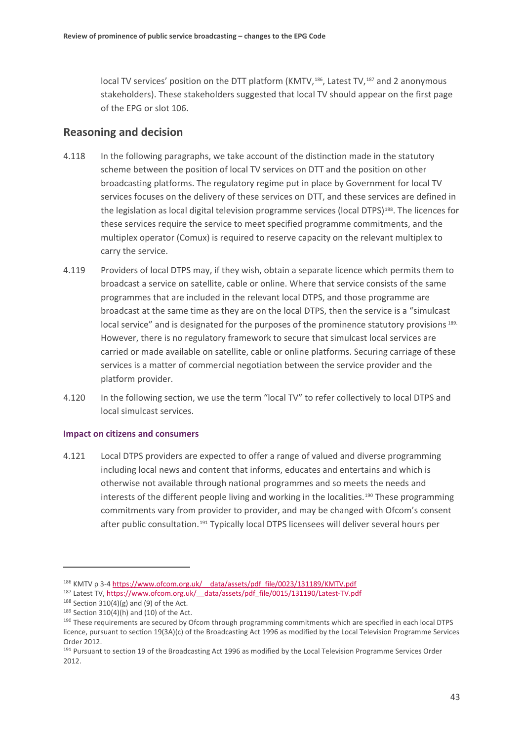local TV services' position on the DTT platform (KMTV,<sup>186</sup>, Latest TV,<sup>[187](#page-44-1)</sup> and 2 anonymous stakeholders). These stakeholders suggested that local TV should appear on the first page of the EPG or slot 106.

## **Reasoning and decision**

- 4.118 In the following paragraphs, we take account of the distinction made in the statutory scheme between the position of local TV services on DTT and the position on other broadcasting platforms. The regulatory regime put in place by Government for local TV services focuses on the delivery of these services on DTT, and these services are defined in the legislation as local digital television programme services (local DTPS)<sup>188</sup>. The licences for these services require the service to meet specified programme commitments, and the multiplex operator (Comux) is required to reserve capacity on the relevant multiplex to carry the service.
- 4.119 Providers of local DTPS may, if they wish, obtain a separate licence which permits them to broadcast a service on satellite, cable or online. Where that service consists of the same programmes that are included in the relevant local DTPS, and those programme are broadcast at the same time as they are on the local DTPS, then the service is a "simulcast local service" and is designated for the purposes of the prominence statutory provisions [189](#page-44-3). However, there is no regulatory framework to secure that simulcast local services are carried or made available on satellite, cable or online platforms. Securing carriage of these services is a matter of commercial negotiation between the service provider and the platform provider.
- 4.120 In the following section, we use the term "local TV" to refer collectively to local DTPS and local simulcast services.

#### **Impact on citizens and consumers**

4.121 Local DTPS providers are expected to offer a range of valued and diverse programming including local news and content that informs, educates and entertains and which is otherwise not available through national programmes and so meets the needs and interests of the different people living and working in the localities.<sup>[190](#page-44-4)</sup> These programming commitments vary from provider to provider, and may be changed with Ofcom's consent after public consultation.<sup>[191](#page-44-5)</sup> Typically local DTPS licensees will deliver several hours per

<span id="page-44-0"></span><sup>186</sup> KMTV p 3-4 https://www.ofcom.org.uk/ data/assets/pdf file/0023/131189/KMTV.pdf

<span id="page-44-1"></span><sup>187</sup> Latest TV[, https://www.ofcom.org.uk/\\_\\_data/assets/pdf\\_file/0015/131190/Latest-TV.pdf](https://www.ofcom.org.uk/__data/assets/pdf_file/0015/131190/Latest-TV.pdf)

<span id="page-44-2"></span> $188$  Section 310(4)(g) and (9) of the Act.

<span id="page-44-3"></span> $189$  Section 310(4)(h) and (10) of the Act.

<span id="page-44-4"></span><sup>&</sup>lt;sup>190</sup> These requirements are secured by Ofcom through programming commitments which are specified in each local DTPS licence, pursuant to section 19(3A)(c) of the Broadcasting Act 1996 as modified by the Local Television Programme Services Order 2012.

<span id="page-44-5"></span><sup>191</sup> Pursuant to section 19 of the Broadcasting Act 1996 as modified by the Local Television Programme Services Order 2012.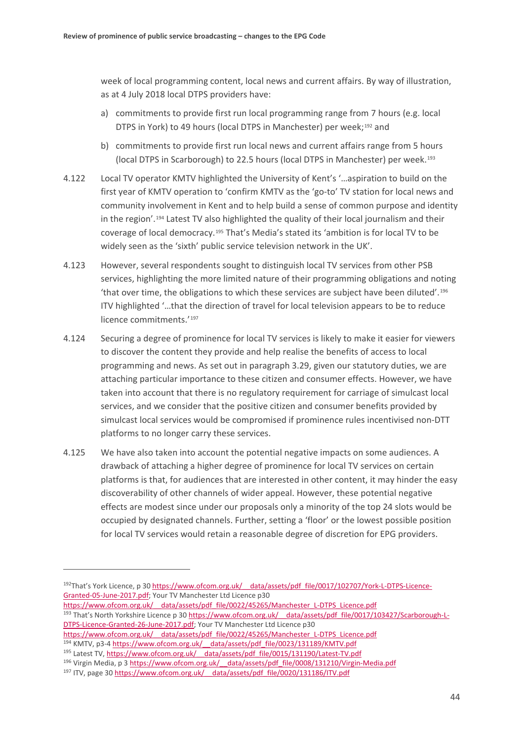week of local programming content, local news and current affairs. By way of illustration, as at 4 July 2018 local DTPS providers have:

- a) commitments to provide first run local programming range from 7 hours (e.g. local DTPS in York) to 49 hours (local DTPS in Manchester) per week;<sup>[192](#page-45-0)</sup> and
- b) commitments to provide first run local news and current affairs range from 5 hours (local DTPS in Scarborough) to 22.5 hours (local DTPS in Manchester) per week.[193](#page-45-1)
- 4.122 Local TV operator KMTV highlighted the University of Kent's '…aspiration to build on the first year of KMTV operation to 'confirm KMTV as the 'go-to' TV station for local news and community involvement in Kent and to help build a sense of common purpose and identity in the region'.[194](#page-45-2) Latest TV also highlighted the quality of their local journalism and their coverage of local democracy.[195](#page-45-3) That's Media's stated its 'ambition is for local TV to be widely seen as the 'sixth' public service television network in the UK'.
- 4.123 However, several respondents sought to distinguish local TV services from other PSB services, highlighting the more limited nature of their programming obligations and noting 'that over time, the obligations to which these services are subject have been diluted'.[196](#page-45-4) ITV highlighted '…that the direction of travel for local television appears to be to reduce licence commitments.'<sup>[197](#page-45-5)</sup>
- 4.124 Securing a degree of prominence for local TV services is likely to make it easier for viewers to discover the content they provide and help realise the benefits of access to local programming and news. As set out in paragraph [3.29,](#page-16-3) given our statutory duties, we are attaching particular importance to these citizen and consumer effects. However, we have taken into account that there is no regulatory requirement for carriage of simulcast local services, and we consider that the positive citizen and consumer benefits provided by simulcast local services would be compromised if prominence rules incentivised non-DTT platforms to no longer carry these services.
- 4.125 We have also taken into account the potential negative impacts on some audiences. A drawback of attaching a higher degree of prominence for local TV services on certain platforms is that, for audiences that are interested in other content, it may hinder the easy discoverability of other channels of wider appeal. However, these potential negative effects are modest since under our proposals only a minority of the top 24 slots would be occupied by designated channels. Further, setting a 'floor' or the lowest possible position for local TV services would retain a reasonable degree of discretion for EPG providers.

- <span id="page-45-1"></span>https://www.ofcom.org.uk/ data/assets/pdf file/0022/45265/Manchester\_L-DTPS\_Licence.pdf <sup>193</sup> That's North Yorkshire Licence p 30 https://www.ofcom.org.uk/ data/assets/pdf file/0017/103427/Scarborough-L-[DTPS-Licence-Granted-26-June-2017.pdf;](https://www.ofcom.org.uk/__data/assets/pdf_file/0017/103427/Scarborough-L-DTPS-Licence-Granted-26-June-2017.pdf) Your TV Manchester Ltd Licence p30
- <span id="page-45-2"></span>[https://www.ofcom.org.uk/\\_\\_data/assets/pdf\\_file/0022/45265/Manchester\\_L-DTPS\\_Licence.pdf](https://www.ofcom.org.uk/__data/assets/pdf_file/0022/45265/Manchester_L-DTPS_Licence.pdf) <sup>194</sup> KMTV, p3-4 [https://www.ofcom.org.uk/\\_\\_data/assets/pdf\\_file/0023/131189/KMTV.pdf](https://www.ofcom.org.uk/__data/assets/pdf_file/0023/131189/KMTV.pdf)

<u>.</u>

<span id="page-45-0"></span><sup>&</sup>lt;sup>192</sup>That's York Licence, p 30 https://www.ofcom.org.uk/ data/assets/pdf file/0017/102707/York-L-DTPS-Licence-[Granted-05-June-2017.pdf;](https://www.ofcom.org.uk/__data/assets/pdf_file/0017/102707/York-L-DTPS-Licence-Granted-05-June-2017.pdf) Your TV Manchester Ltd Licence p30

<span id="page-45-3"></span><sup>195</sup> Latest TV, https://www.ofcom.org.uk/ data/assets/pdf\_file/0015/131190/Latest-TV.pdf

<span id="page-45-4"></span><sup>196</sup> Virgin Media, p 3 https://www.ofcom.org.uk/ data/assets/pdf file/0008/131210/Virgin-Media.pdf

<span id="page-45-5"></span><sup>&</sup>lt;sup>197</sup> ITV, page 30 https://www.ofcom.org.uk/ data/assets/pdf\_file/0020/131186/ITV.pdf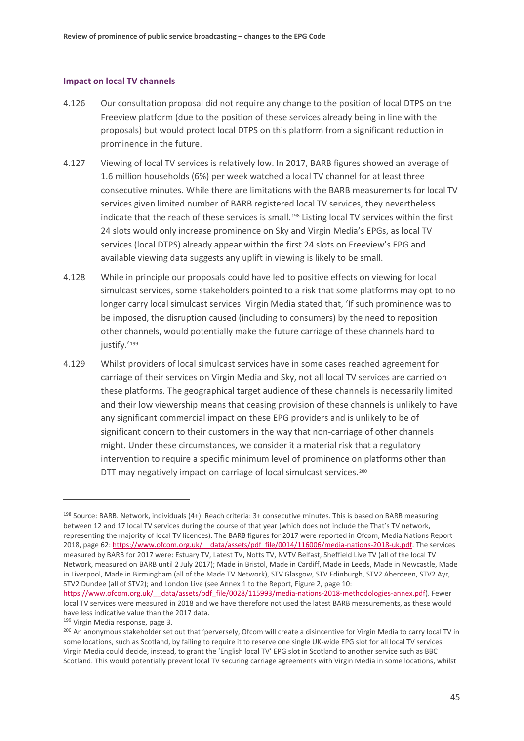#### **Impact on local TV channels**

- 4.126 Our consultation proposal did not require any change to the position of local DTPS on the Freeview platform (due to the position of these services already being in line with the proposals) but would protect local DTPS on this platform from a significant reduction in prominence in the future.
- 4.127 Viewing of local TV services is relatively low. In 2017, BARB figures showed an average of 1.6 million households (6%) per week watched a local TV channel for at least three consecutive minutes. While there are limitations with the BARB measurements for local TV services given limited number of BARB registered local TV services, they nevertheless indicate that the reach of these services is small.<sup>[198](#page-46-0)</sup> Listing local TV services within the first 24 slots would only increase prominence on Sky and Virgin Media's EPGs, as local TV services (local DTPS) already appear within the first 24 slots on Freeview's EPG and available viewing data suggests any uplift in viewing is likely to be small.
- 4.128 While in principle our proposals could have led to positive effects on viewing for local simulcast services, some stakeholders pointed to a risk that some platforms may opt to no longer carry local simulcast services. Virgin Media stated that, 'If such prominence was to be imposed, the disruption caused (including to consumers) by the need to reposition other channels, would potentially make the future carriage of these channels hard to justify.'<sup>[199](#page-46-1)</sup>
- 4.129 Whilst providers of local simulcast services have in some cases reached agreement for carriage of their services on Virgin Media and Sky, not all local TV services are carried on these platforms. The geographical target audience of these channels is necessarily limited and their low viewership means that ceasing provision of these channels is unlikely to have any significant commercial impact on these EPG providers and is unlikely to be of significant concern to their customers in the way that non-carriage of other channels might. Under these circumstances, we consider it a material risk that a regulatory intervention to require a specific minimum level of prominence on platforms other than DTT may negatively impact on carriage of local simulcast services.<sup>[200](#page-46-2)</sup>

<span id="page-46-0"></span> $198$  Source: BARB. Network, individuals (4+). Reach criteria:  $3+$  consecutive minutes. This is based on BARB measuring between 12 and 17 local TV services during the course of that year (which does not include the That's TV network, representing the majority of local TV licences). The BARB figures for 2017 were reported in Ofcom, Media Nations Report 2018, page 62: [https://www.ofcom.org.uk/\\_\\_data/assets/pdf\\_file/0014/116006/media-nations-2018-uk.pdf.](https://www.ofcom.org.uk/__data/assets/pdf_file/0014/116006/media-nations-2018-uk.pdf) The services measured by BARB for 2017 were: Estuary TV, Latest TV, Notts TV, NVTV Belfast, Sheffield Live TV (all of the local TV Network, measured on BARB until 2 July 2017); Made in Bristol, Made in Cardiff, Made in Leeds, Made in Newcastle, Made in Liverpool, Made in Birmingham (all of the Made TV Network), STV Glasgow, STV Edinburgh, STV2 Aberdeen, STV2 Ayr, STV2 Dundee (all of STV2); and London Live (see Annex 1 to the Report, Figure 2, page 10: [https://www.ofcom.org.uk/\\_\\_data/assets/pdf\\_file/0028/115993/media-nations-2018-methodologies-annex.pdf\)](https://www.ofcom.org.uk/__data/assets/pdf_file/0028/115993/media-nations-2018-methodologies-annex.pdf). Fewer

local TV services were measured in 2018 and we have therefore not used the latest BARB measurements, as these would have less indicative value than the 2017 data.

<span id="page-46-1"></span><sup>199</sup> Virgin Media response, page 3.

<span id="page-46-2"></span><sup>&</sup>lt;sup>200</sup> An anonymous stakeholder set out that 'perversely, Ofcom will create a disincentive for Virgin Media to carry local TV in some locations, such as Scotland, by failing to require it to reserve one single UK-wide EPG slot for all local TV services. Virgin Media could decide, instead, to grant the 'English local TV' EPG slot in Scotland to another service such as BBC Scotland. This would potentially prevent local TV securing carriage agreements with Virgin Media in some locations, whilst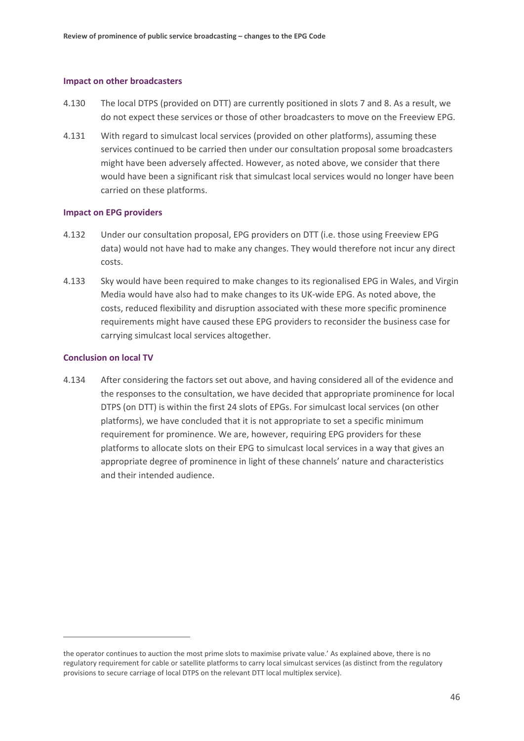#### **Impact on other broadcasters**

- 4.130 The local DTPS (provided on DTT) are currently positioned in slots 7 and 8. As a result, we do not expect these services or those of other broadcasters to move on the Freeview EPG.
- 4.131 With regard to simulcast local services (provided on other platforms), assuming these services continued to be carried then under our consultation proposal some broadcasters might have been adversely affected. However, as noted above, we consider that there would have been a significant risk that simulcast local services would no longer have been carried on these platforms.

#### **Impact on EPG providers**

- 4.132 Under our consultation proposal, EPG providers on DTT (i.e. those using Freeview EPG data) would not have had to make any changes. They would therefore not incur any direct costs.
- 4.133 Sky would have been required to make changes to its regionalised EPG in Wales, and Virgin Media would have also had to make changes to its UK-wide EPG. As noted above, the costs, reduced flexibility and disruption associated with these more specific prominence requirements might have caused these EPG providers to reconsider the business case for carrying simulcast local services altogether.

#### **Conclusion on local TV**

 $\overline{a}$ 

4.134 After considering the factors set out above, and having considered all of the evidence and the responses to the consultation, we have decided that appropriate prominence for local DTPS (on DTT) is within the first 24 slots of EPGs. For simulcast local services (on other platforms), we have concluded that it is not appropriate to set a specific minimum requirement for prominence. We are, however, requiring EPG providers for these platforms to allocate slots on their EPG to simulcast local services in a way that gives an appropriate degree of prominence in light of these channels' nature and characteristics and their intended audience.

the operator continues to auction the most prime slots to maximise private value.' As explained above, there is no regulatory requirement for cable or satellite platforms to carry local simulcast services (as distinct from the regulatory provisions to secure carriage of local DTPS on the relevant DTT local multiplex service).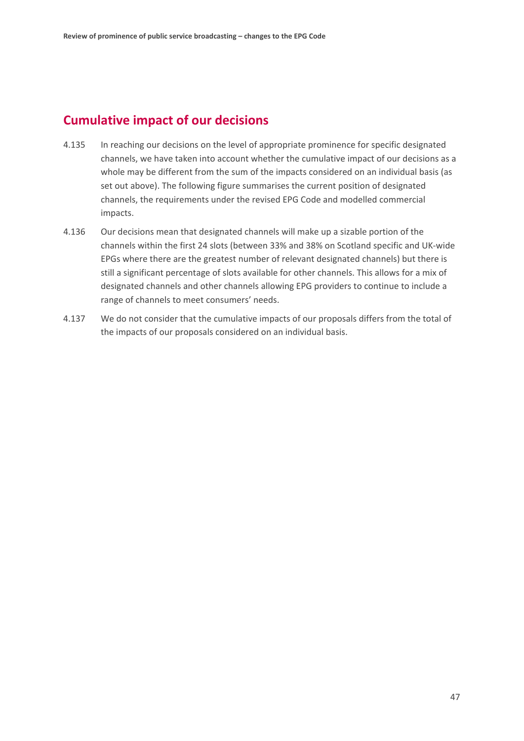# **Cumulative impact of our decisions**

- <span id="page-48-0"></span>4.135 In reaching our decisions on the level of appropriate prominence for specific designated channels, we have taken into account whether the cumulative impact of our decisions as a whole may be different from the sum of the impacts considered on an individual basis (as set out above). The following figure summarises the current position of designated channels, the requirements under the revised EPG Code and modelled commercial impacts.
- 4.136 Our decisions mean that designated channels will make up a sizable portion of the channels within the first 24 slots (between 33% and 38% on Scotland specific and UK-wide EPGs where there are the greatest number of relevant designated channels) but there is still a significant percentage of slots available for other channels. This allows for a mix of designated channels and other channels allowing EPG providers to continue to include a range of channels to meet consumers' needs.
- 4.137 We do not consider that the cumulative impacts of our proposals differs from the total of the impacts of our proposals considered on an individual basis.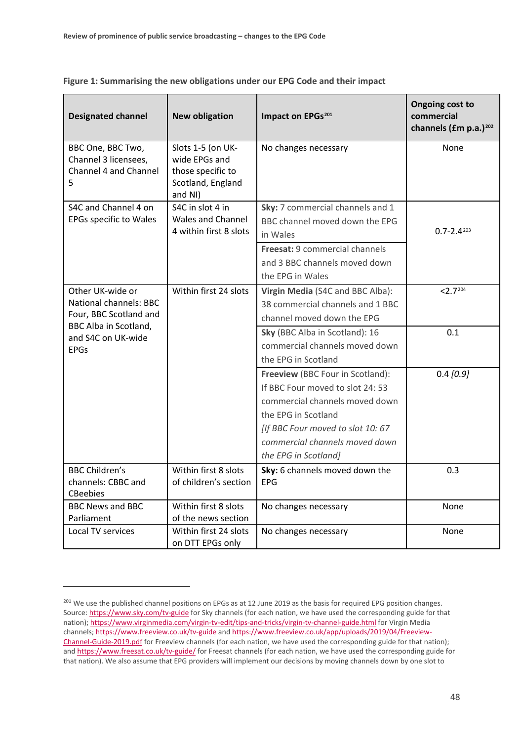| <b>Designated channel</b>                                                                                                                        | <b>New obligation</b>                                                                   | Impact on EPGs <sup>201</sup>                                                                                                                                                                                                | <b>Ongoing cost to</b><br>commercial<br>channels (£m p.a.) <sup>202</sup> |
|--------------------------------------------------------------------------------------------------------------------------------------------------|-----------------------------------------------------------------------------------------|------------------------------------------------------------------------------------------------------------------------------------------------------------------------------------------------------------------------------|---------------------------------------------------------------------------|
| BBC One, BBC Two,<br>Channel 3 licensees,<br>Channel 4 and Channel<br>5.                                                                         | Slots 1-5 (on UK-<br>wide EPGs and<br>those specific to<br>Scotland, England<br>and NI) | No changes necessary                                                                                                                                                                                                         | None                                                                      |
| S4C and Channel 4 on<br><b>EPGs specific to Wales</b>                                                                                            | S4C in slot 4 in<br><b>Wales and Channel</b><br>4 within first 8 slots                  | Sky: 7 commercial channels and 1<br>BBC channel moved down the EPG<br>in Wales                                                                                                                                               | $0.7 - 2.4203$                                                            |
|                                                                                                                                                  |                                                                                         | Freesat: 9 commercial channels<br>and 3 BBC channels moved down<br>the EPG in Wales                                                                                                                                          |                                                                           |
| Other UK-wide or<br><b>National channels: BBC</b><br>Four, BBC Scotland and<br><b>BBC Alba in Scotland,</b><br>and S4C on UK-wide<br><b>EPGs</b> | Within first 24 slots                                                                   | Virgin Media (S4C and BBC Alba):<br>38 commercial channels and 1 BBC<br>channel moved down the EPG                                                                                                                           | < 2.7204                                                                  |
|                                                                                                                                                  |                                                                                         | Sky (BBC Alba in Scotland): 16<br>commercial channels moved down<br>the EPG in Scotland                                                                                                                                      | 0.1                                                                       |
|                                                                                                                                                  |                                                                                         | Freeview (BBC Four in Scotland):<br>If BBC Four moved to slot 24: 53<br>commercial channels moved down<br>the EPG in Scotland<br>[If BBC Four moved to slot 10: 67<br>commercial channels moved down<br>the EPG in Scotland] | $0.4$ [0.9]                                                               |
| <b>BBC Children's</b><br>channels: CBBC and<br><b>CBeebies</b>                                                                                   | Within first 8 slots<br>of children's section                                           | Sky: 6 channels moved down the<br><b>EPG</b>                                                                                                                                                                                 | 0.3                                                                       |
| <b>BBC News and BBC</b><br>Parliament                                                                                                            | Within first 8 slots<br>of the news section                                             | No changes necessary                                                                                                                                                                                                         | None                                                                      |
| Local TV services                                                                                                                                | Within first 24 slots<br>on DTT EPGs only                                               | No changes necessary                                                                                                                                                                                                         | None                                                                      |

**Figure 1: Summarising the new obligations under our EPG Code and their impact**

<span id="page-49-3"></span><span id="page-49-2"></span><span id="page-49-1"></span><u>.</u>

<span id="page-49-0"></span><sup>&</sup>lt;sup>201</sup> We use the published channel positions on EPGs as at 12 June 2019 as the basis for required EPG position changes. Source[: https://www.sky.com/tv-guide](https://www.sky.com/tv-guide) for Sky channels (for each nation, we have used the corresponding guide for that nation);<https://www.virginmedia.com/virgin-tv-edit/tips-and-tricks/virgin-tv-channel-guide.html> for Virgin Media channels;<https://www.freeview.co.uk/tv-guide> and [https://www.freeview.co.uk/app/uploads/2019/04/Freeview-](https://www.freeview.co.uk/app/uploads/2019/04/Freeview-Channel-Guide-2019.pdf)[Channel-Guide-2019.pdf](https://www.freeview.co.uk/app/uploads/2019/04/Freeview-Channel-Guide-2019.pdf) for Freeview channels (for each nation, we have used the corresponding guide for that nation); and<https://www.freesat.co.uk/tv-guide/> for Freesat channels (for each nation, we have used the corresponding guide for that nation). We also assume that EPG providers will implement our decisions by moving channels down by one slot to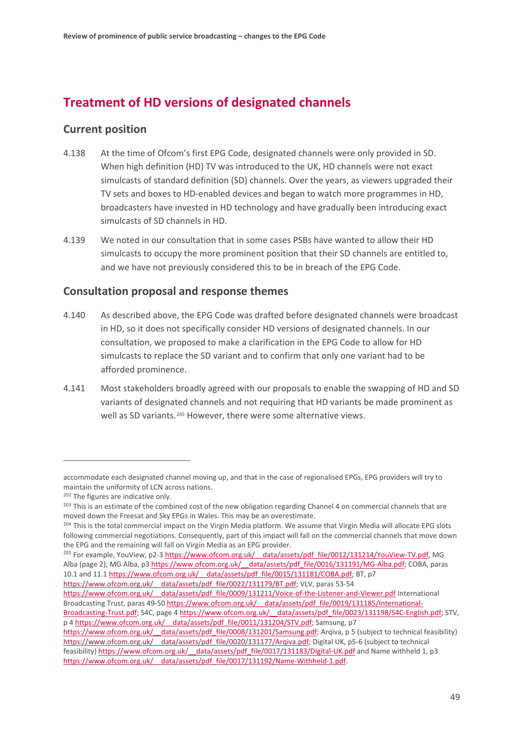# **Treatment of HD versions of designated channels**

## **Current position**

- 4.138 At the time of Ofcom's first EPG Code, designated channels were only provided in SD. When high definition (HD) TV was introduced to the UK, HD channels were not exact simulcasts of standard definition (SD) channels. Over the years, as viewers upgraded their TV sets and boxes to HD-enabled devices and began to watch more programmes in HD, broadcasters have invested in HD technology and have gradually been introducing exact simulcasts of SD channels in HD.
- 4.139 We noted in our consultation that in some cases PSBs have wanted to allow their HD simulcasts to occupy the more prominent position that their SD channels are entitled to, and we have not previously considered this to be in breach of the EPG Code.

## **Consultation proposal and response themes**

- 4.140 As described above, the EPG Code was drafted before designated channels were broadcast in HD, so it does not specifically consider HD versions of designated channels. In our consultation, we proposed to make a clarification in the EPG Code to allow for HD simulcasts to replace the SD variant and to confirm that only one variant had to be afforded prominence.
- 4.141 Most stakeholders broadly agreed with our proposals to enable the swapping of HD and SD variants of designated channels and not requiring that HD variants be made prominent as well as SD variants.<sup>[205](#page-50-0)</sup> However, there were some alternative views.

<u>.</u>

p [4 https://www.ofcom.org.uk/\\_\\_data/assets/pdf\\_file/0011/131204/STV.pdf;](https://www.ofcom.org.uk/__data/assets/pdf_file/0011/131204/STV.pdf) Samsung, p7

accommodate each designated channel moving up, and that in the case of regionalised EPGs, EPG providers will try to maintain the uniformity of LCN across nations.

<sup>&</sup>lt;sup>202</sup> The figures are indicative only.

<sup>&</sup>lt;sup>203</sup> This is an estimate of the combined cost of the new obligation regarding Channel 4 on commercial channels that are moved down the Freesat and Sky EPGs in Wales. This may be an overestimate.

<sup>&</sup>lt;sup>204</sup> This is the total commercial impact on the Virgin Media platform. We assume that Virgin Media will allocate EPG slots following commercial negotiations. Consequently, part of this impact will fall on the commercial channels that move down the EPG and the remaining will fall on Virgin Media as an EPG provider.

<span id="page-50-0"></span><sup>&</sup>lt;sup>205</sup> For example, YouView, p2-3 https://www.ofcom.org.uk/ data/assets/pdf file/0012/131214/YouView-TV.pdf, MG Alba (page 2); MG Alba, p3 [https://www.ofcom.org.uk/\\_\\_data/assets/pdf\\_file/0016/131191/MG-Alba.pdf;](https://www.ofcom.org.uk/__data/assets/pdf_file/0016/131191/MG-Alba.pdf) COBA, paras 10.1 and 11.1 https://www.ofcom.org.uk/ data/assets/pdf file/0015/131181/COBA.pdf; BT, p7 https://www.ofcom.org.uk/ data/assets/pdf file/0022/131179/BT.pdf; VLV, paras 53-54

https://www.ofcom.org.uk/ data/assets/pdf file/0009/131211/Voice-of-the-Listener-and-Viewer.pdf International Broadcasting Trust, paras 49-50 https://www.ofcom.org.uk/ data/assets/pdf file/0019/131185/International-[Broadcasting-Trust.pdf;](https://www.ofcom.org.uk/__data/assets/pdf_file/0019/131185/International-Broadcasting-Trust.pdf) S4C, page 4 https://www.ofcom.org.uk/ data/assets/pdf file/0023/131198/S4C-English.pdf; STV,

https://www.ofcom.org.uk/ data/assets/pdf file/0008/131201/Samsung.pdf; Arqiva, p 5 (subject to technical feasibility) [https://www.ofcom.org.uk/\\_\\_data/assets/pdf\\_file/0020/131177/Arqiva.pdf;](https://www.ofcom.org.uk/__data/assets/pdf_file/0020/131177/Arqiva.pdf) Digital UK, p5-6 (subject to technical feasibility) [https://www.ofcom.org.uk/\\_\\_data/assets/pdf\\_file/0017/131183/Digital-UK.pdf](https://www.ofcom.org.uk/__data/assets/pdf_file/0017/131183/Digital-UK.pdf) and Name withheld 1, p3 [https://www.ofcom.org.uk/\\_\\_data/assets/pdf\\_file/0017/131192/Name-Withheld-1.pdf.](https://www.ofcom.org.uk/__data/assets/pdf_file/0017/131192/Name-Withheld-1.pdf)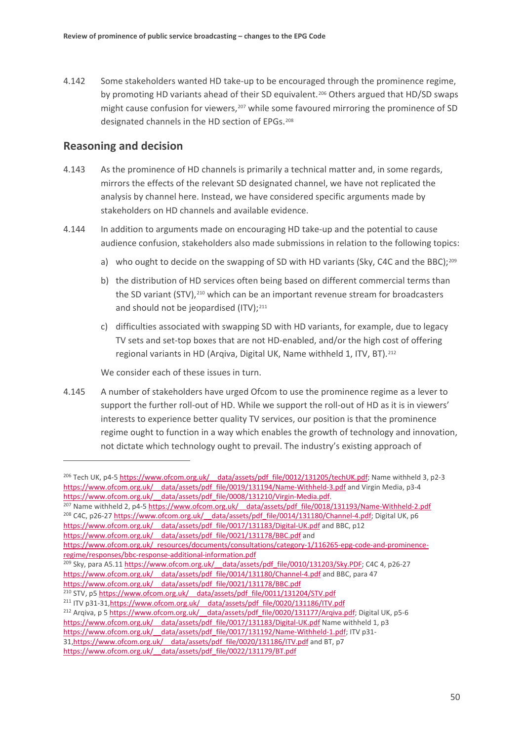4.142 Some stakeholders wanted HD take-up to be encouraged through the prominence regime, by promoting HD variants ahead of their SD equivalent.<sup>[206](#page-51-0)</sup> Others argued that HD/SD swaps might cause confusion for viewers, $207$  while some favoured mirroring the prominence of SD designated channels in the HD section of EPGs.[208](#page-51-2)

## **Reasoning and decision**

<u>.</u>

- 4.143 As the prominence of HD channels is primarily a technical matter and, in some regards, mirrors the effects of the relevant SD designated channel, we have not replicated the analysis by channel here. Instead, we have considered specific arguments made by stakeholders on HD channels and available evidence.
- 4.144 In addition to arguments made on encouraging HD take-up and the potential to cause audience confusion, stakeholders also made submissions in relation to the following topics:
	- a) who ought to decide on the swapping of SD with HD variants (Sky, C4C and the BBC);<sup>[209](#page-51-3)</sup>
	- b) the distribution of HD services often being based on different commercial terms than the SD variant (STV),<sup>[210](#page-51-4)</sup> which can be an important revenue stream for broadcasters and should not be jeopardised (ITV);<sup>[211](#page-51-5)</sup>
	- c) difficulties associated with swapping SD with HD variants, for example, due to legacy TV sets and set-top boxes that are not HD-enabled, and/or the high cost of offering regional variants in HD (Arqiva, Digital UK, Name withheld 1, ITV, BT).[212](#page-51-6)

We consider each of these issues in turn.

4.145 A number of stakeholders have urged Ofcom to use the prominence regime as a lever to support the further roll-out of HD. While we support the roll-out of HD as it is in viewers' interests to experience better quality TV services, our position is that the prominence regime ought to function in a way which enables the growth of technology and innovation, not dictate which technology ought to prevail. The industry's existing approach of

```
<sup>207</sup> Name withheld 2, p4-5 https://www.ofcom.org.uk/ data/assets/pdf_file/0018/131193/Name-Withheld-2.pdf
<sup>208</sup> C4C, p26-27 https://www.ofcom.org.uk/ data/assets/pdf_file/0014/131180/Channel-4.pdf; Digital UK, p6
https://www.ofcom.org.uk/__data/assets/pdf_file/0017/131183/Digital-UK.pdf and BBC, p12
```

```
https://www.ofcom.org.uk/__data/assets/pdf_file/0021/131178/BBC.pdf and
```
[https://www.ofcom.org.uk/\\_resources/documents/consultations/category-1/116265-epg-code-and-prominence](https://www.ofcom.org.uk/_resources/documents/consultations/category-1/116265-epg-code-and-prominence-regime/responses/bbc-response-additional-information.pdf)[regime/responses/bbc-response-additional-information.pdf](https://www.ofcom.org.uk/_resources/documents/consultations/category-1/116265-epg-code-and-prominence-regime/responses/bbc-response-additional-information.pdf)

[https://www.ofcom.org.uk/\\_\\_data/assets/pdf\\_file/0021/131178/BBC.pdf](https://www.ofcom.org.uk/__data/assets/pdf_file/0021/131178/BBC.pdf)

<span id="page-51-0"></span><sup>&</sup>lt;sup>206</sup> Tech UK, p4-5 https://www.ofcom.org.uk/ data/assets/pdf file/0012/131205/techUK.pdf; Name withheld 3, p2-3 [https://www.ofcom.org.uk/\\_\\_data/assets/pdf\\_file/0019/131194/Name-Withheld-3.pdf](https://www.ofcom.org.uk/__data/assets/pdf_file/0019/131194/Name-Withheld-3.pdf) and Virgin Media, p3-4 [https://www.ofcom.org.uk/\\_\\_data/assets/pdf\\_file/0008/131210/Virgin-Media.pdf.](https://www.ofcom.org.uk/__data/assets/pdf_file/0008/131210/Virgin-Media.pdf)

<span id="page-51-3"></span><sup>&</sup>lt;sup>209</sup> Sky, para A5.11 https://www.ofcom.org.uk/ data/assets/pdf file/0010/131203/Sky.PDF; C4C 4, p26-27 https://www.ofcom.org.uk/ data/assets/pdf file/0014/131180/Channel-4.pdf and BBC, para 47

<span id="page-51-4"></span><sup>&</sup>lt;sup>210</sup> STV, p5 https://www.ofcom.org.uk/ data/assets/pdf\_file/0011/131204/STV.pdf

<span id="page-51-6"></span><span id="page-51-5"></span><sup>&</sup>lt;sup>211</sup> ITV p31-31,https://www.ofcom.org.uk/ data/assets/pdf\_file/0020/131186/ITV.pdf <sup>212</sup> Arqiva, p 5 https://www.ofcom.org.uk/ data/assets/pdf file/0020/131177/Arqiva.pdf; Digital UK, p5-6 https://www.ofcom.org.uk/ data/assets/pdf file/0017/131183/Digital-UK.pdf Name withheld 1, p3 https://www.ofcom.org.uk/ data/assets/pdf\_file/0017/131192/Name-Withheld-1.pdf; ITV p31-31,https://www.ofcom.org.uk/ data/assets/pdf file/0020/131186/ITV.pdf and BT, p7 [https://www.ofcom.org.uk/\\_\\_data/assets/pdf\\_file/0022/131179/BT.pdf](https://www.ofcom.org.uk/__data/assets/pdf_file/0022/131179/BT.pdf)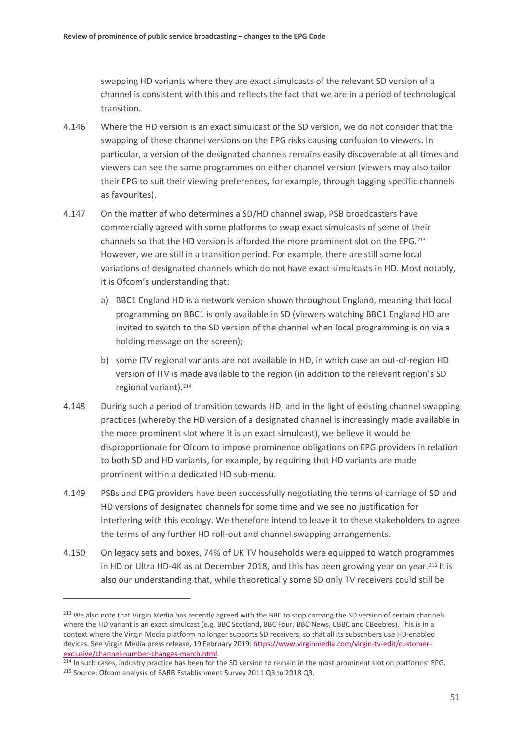swapping HD variants where they are exact simulcasts of the relevant SD version of a channel is consistent with this and reflects the fact that we are in a period of technological transition.

- 4.146 Where the HD version is an exact simulcast of the SD version, we do not consider that the swapping of these channel versions on the EPG risks causing confusion to viewers. In particular, a version of the designated channels remains easily discoverable at all times and viewers can see the same programmes on either channel version (viewers may also tailor their EPG to suit their viewing preferences, for example, through tagging specific channels as favourites).
- 4.147 On the matter of who determines a SD/HD channel swap, PSB broadcasters have commercially agreed with some platforms to swap exact simulcasts of some of their channels so that the HD version is afforded the more prominent slot on the EPG.[213](#page-52-0) However, we are still in a transition period. For example, there are still some local variations of designated channels which do not have exact simulcasts in HD. Most notably, it is Ofcom's understanding that:
	- a) BBC1 England HD is a network version shown throughout England, meaning that local programming on BBC1 is only available in SD (viewers watching BBC1 England HD are invited to switch to the SD version of the channel when local programming is on via a holding message on the screen);
	- b) some ITV regional variants are not available in HD, in which case an out-of-region HD version of ITV is made available to the region (in addition to the relevant region's SD regional variant).<sup>[214](#page-52-1)</sup>
- 4.148 During such a period of transition towards HD, and in the light of existing channel swapping practices (whereby the HD version of a designated channel is increasingly made available in the more prominent slot where it is an exact simulcast), we believe it would be disproportionate for Ofcom to impose prominence obligations on EPG providers in relation to both SD and HD variants, for example, by requiring that HD variants are made prominent within a dedicated HD sub-menu.
- 4.149 PSBs and EPG providers have been successfully negotiating the terms of carriage of SD and HD versions of designated channels for some time and we see no justification for interfering with this ecology. We therefore intend to leave it to these stakeholders to agree the terms of any further HD roll-out and channel swapping arrangements.
- 4.150 On legacy sets and boxes, 74% of UK TV households were equipped to watch programmes in HD or Ultra HD-4K as at December 2018, and this has been growing year on year.[215](#page-52-2) It is also our understanding that, while theoretically some SD only TV receivers could still be

<u>.</u>

<span id="page-52-0"></span><sup>&</sup>lt;sup>213</sup> We also note that Virgin Media has recently agreed with the BBC to stop carrying the SD version of certain channels where the HD variant is an exact simulcast (e.g. BBC Scotland, BBC Four, BBC News, CBBC and CBeebies). This is in a context where the Virgin Media platform no longer supports SD receivers, so that all its subscribers use HD-enabled devices. See Virgin Media press release, 19 February 2019[: https://www.virginmedia.com/virgin-tv-edit/customer](https://www.virginmedia.com/virgin-tv-edit/customer-exclusive/channel-number-changes-march.html)[exclusive/channel-number-changes-march.html.](https://www.virginmedia.com/virgin-tv-edit/customer-exclusive/channel-number-changes-march.html)<br><sup>214</sup> In such cases, industry practice has been for the SD version to remain in the most prominent slot on platforms' EPG.

<span id="page-52-2"></span><span id="page-52-1"></span><sup>&</sup>lt;sup>215</sup> Source: Ofcom analysis of BARB Establishment Survey 2011 Q3 to 2018 Q3.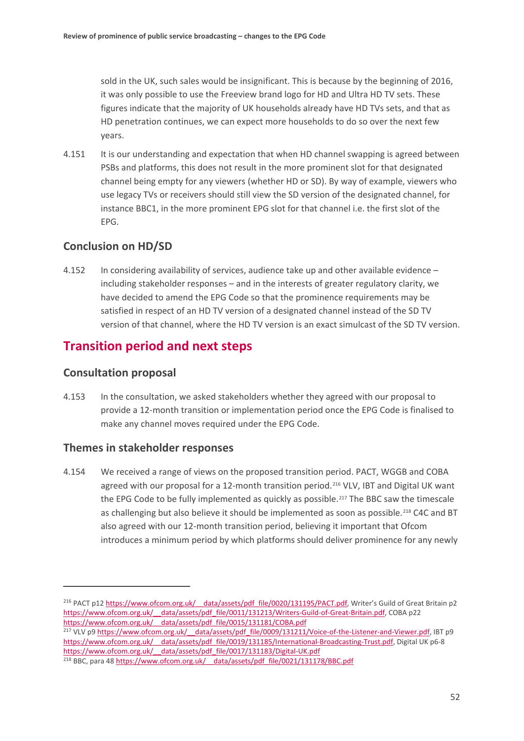sold in the UK, such sales would be insignificant. This is because by the beginning of 2016, it was only possible to use the Freeview brand logo for HD and Ultra HD TV sets. These figures indicate that the majority of UK households already have HD TVs sets, and that as HD penetration continues, we can expect more households to do so over the next few years.

4.151 It is our understanding and expectation that when HD channel swapping is agreed between PSBs and platforms, this does not result in the more prominent slot for that designated channel being empty for any viewers (whether HD or SD). By way of example, viewers who use legacy TVs or receivers should still view the SD version of the designated channel, for instance BBC1, in the more prominent EPG slot for that channel i.e. the first slot of the EPG.

## **Conclusion on HD/SD**

4.152 In considering availability of services, audience take up and other available evidence – including stakeholder responses – and in the interests of greater regulatory clarity, we have decided to amend the EPG Code so that the prominence requirements may be satisfied in respect of an HD TV version of a designated channel instead of the SD TV version of that channel, where the HD TV version is an exact simulcast of the SD TV version.

# **Transition period and next steps**

## **Consultation proposal**

<u>.</u>

<span id="page-53-0"></span>4.153 In the consultation, we asked stakeholders whether they agreed with our proposal to provide a 12-month transition or implementation period once the EPG Code is finalised to make any channel moves required under the EPG Code.

## **Themes in stakeholder responses**

4.154 We received a range of views on the proposed transition period. PACT, WGGB and COBA agreed with our proposal for a 12-month transition period.<sup>[216](#page-53-1)</sup> VLV, IBT and Digital UK want the EPG Code to be fully implemented as quickly as possible.<sup>[217](#page-53-2)</sup> The BBC saw the timescale as challenging but also believe it should be implemented as soon as possible.<sup>[218](#page-53-3)</sup> C4C and BT also agreed with our 12-month transition period, believing it important that Ofcom introduces a minimum period by which platforms should deliver prominence for any newly

<span id="page-53-1"></span><sup>&</sup>lt;sup>216</sup> PACT p12 https://www.ofcom.org.uk/ data/assets/pdf file/0020/131195/PACT.pdf, Writer's Guild of Great Britain p2 https://www.ofcom.org.uk/ data/assets/pdf\_file/0011/131213/Writers-Guild-of-Great-Britain.pdf, COBA p22 [https://www.ofcom.org.uk/\\_\\_data/assets/pdf\\_file/0015/131181/COBA.pdf](https://www.ofcom.org.uk/__data/assets/pdf_file/0015/131181/COBA.pdf)

<span id="page-53-2"></span><sup>&</sup>lt;sup>217</sup> VLV p9 https://www.ofcom.org.uk/ data/assets/pdf\_file/0009/131211/Voice-of-the-Listener-and-Viewer.pdf, IBT p9 https://www.ofcom.org.uk/ data/assets/pdf file/0019/131185/International-Broadcasting-Trust.pdf, Digital UK p6-8 https://www.ofcom.org.uk/ data/assets/pdf file/0017/131183/Digital-UK.pdf

<span id="page-53-3"></span><sup>&</sup>lt;sup>218</sup> BBC, para 48 https://www.ofcom.org.uk/ data/assets/pdf\_file/0021/131178/BBC.pdf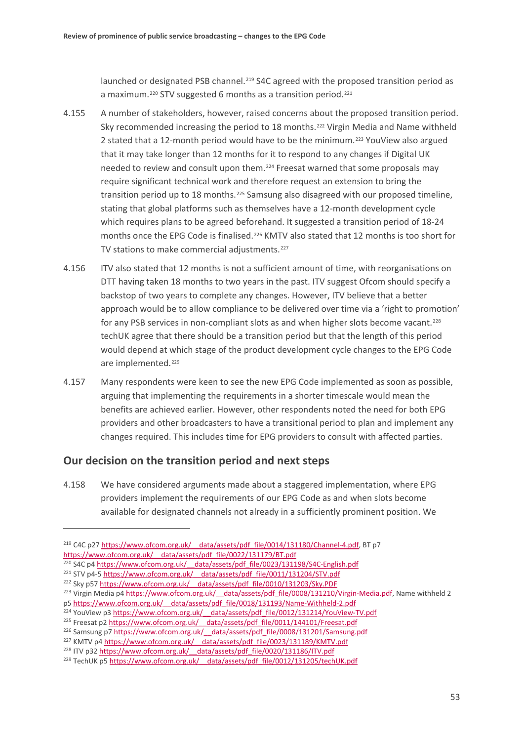launched or designated PSB channel.<sup>[219](#page-54-0)</sup> S4C agreed with the proposed transition period as a maximum.<sup>[220](#page-54-1)</sup> STV suggested 6 months as a transition period.<sup>[221](#page-54-2)</sup>

- 4.155 A number of stakeholders, however, raised concerns about the proposed transition period. Sky recommended increasing the period to 18 months.[222](#page-54-3) Virgin Media and Name withheld 2 stated that a 12-month period would have to be the minimum.[223](#page-54-4) YouView also argued that it may take longer than 12 months for it to respond to any changes if Digital UK needed to review and consult upon them.<sup>[224](#page-54-5)</sup> Freesat warned that some proposals may require significant technical work and therefore request an extension to bring the transition period up to 18 months.[225](#page-54-6) Samsung also disagreed with our proposed timeline, stating that global platforms such as themselves have a 12-month development cycle which requires plans to be agreed beforehand. It suggested a transition period of 18-24 months once the EPG Code is finalised.<sup>[226](#page-54-7)</sup> KMTV also stated that 12 months is too short for TV stations to make commercial adjustments.<sup>[227](#page-54-8)</sup>
- 4.156 ITV also stated that 12 months is not a sufficient amount of time, with reorganisations on DTT having taken 18 months to two years in the past. ITV suggest Ofcom should specify a backstop of two years to complete any changes. However, ITV believe that a better approach would be to allow compliance to be delivered over time via a 'right to promotion' for any PSB services in non-compliant slots as and when higher slots become vacant.[228](#page-54-9) techUK agree that there should be a transition period but that the length of this period would depend at which stage of the product development cycle changes to the EPG Code are implemented.[229](#page-54-10)
- 4.157 Many respondents were keen to see the new EPG Code implemented as soon as possible, arguing that implementing the requirements in a shorter timescale would mean the benefits are achieved earlier. However, other respondents noted the need for both EPG providers and other broadcasters to have a transitional period to plan and implement any changes required. This includes time for EPG providers to consult with affected parties.

## **Our decision on the transition period and next steps**

.<br>-

4.158 We have considered arguments made about a staggered implementation, where EPG providers implement the requirements of our EPG Code as and when slots become available for designated channels not already in a sufficiently prominent position. We

<span id="page-54-0"></span><sup>&</sup>lt;sup>219</sup> C4C p27 https://www.ofcom.org.uk/ data/assets/pdf file/0014/131180/Channel-4.pdf, BT p7 [https://www.ofcom.org.uk/\\_\\_data/assets/pdf\\_file/0022/131179/BT.pdf](https://www.ofcom.org.uk/__data/assets/pdf_file/0022/131179/BT.pdf)

<span id="page-54-1"></span><sup>&</sup>lt;sup>220</sup> S4C p4 https://www.ofcom.org.uk/ data/assets/pdf\_file/0023/131198/S4C-English.pdf

<span id="page-54-2"></span><sup>&</sup>lt;sup>221</sup> STV p4-5 https://www.ofcom.org.uk/ data/assets/pdf\_file/0011/131204/STV.pdf

<span id="page-54-3"></span><sup>&</sup>lt;sup>222</sup> Sky p57 https://www.ofcom.org.uk/ data/assets/pdf\_file/0010/131203/Sky.PDF

<span id="page-54-4"></span><sup>&</sup>lt;sup>223</sup> Virgin Media p4 https://www.ofcom.org.uk/ data/assets/pdf file/0008/131210/Virgin-Media.pdf, Name withheld 2 p[5 https://www.ofcom.org.uk/\\_\\_data/assets/pdf\\_file/0018/131193/Name-Withheld-2.pdf](https://www.ofcom.org.uk/__data/assets/pdf_file/0018/131193/Name-Withheld-2.pdf)

<span id="page-54-5"></span><sup>&</sup>lt;sup>224</sup> YouView p3 https://www.ofcom.org.uk/ data/assets/pdf file/0012/131214/YouView-TV.pdf

<span id="page-54-6"></span><sup>&</sup>lt;sup>225</sup> Freesat p2 https://www.ofcom.org.uk/ data/assets/pdf file/0011/144101/Freesat.pdf

<span id="page-54-7"></span><sup>&</sup>lt;sup>226</sup> Samsung p7 https://www.ofcom.org.uk/ data/assets/pdf file/0008/131201/Samsung.pdf

<span id="page-54-8"></span><sup>&</sup>lt;sup>227</sup> KMTV p4 https://www.ofcom.org.uk/ data/assets/pdf\_file/0023/131189/KMTV.pdf <sup>228</sup> ITV p32 https://www.ofcom.org.uk/ data/assets/pdf\_file/0020/131186/ITV.pdf

<span id="page-54-10"></span><span id="page-54-9"></span><sup>&</sup>lt;sup>229</sup> TechUK p5 https://www.ofcom.org.uk/ data/assets/pdf\_file/0012/131205/techUK.pdf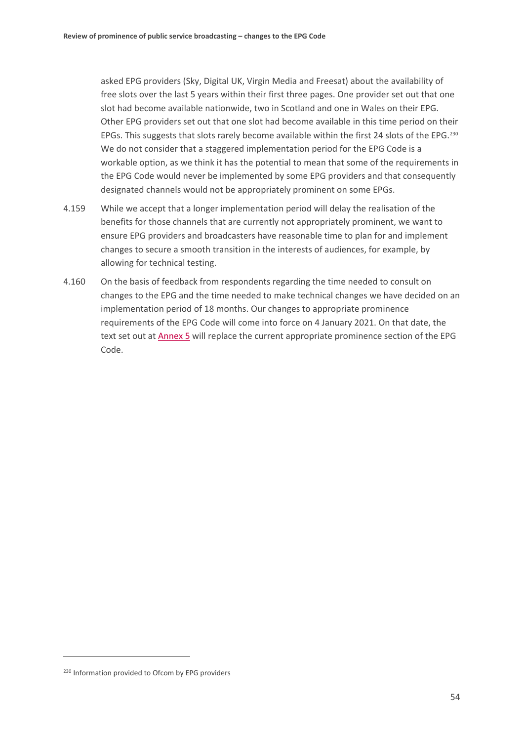asked EPG providers (Sky, Digital UK, Virgin Media and Freesat) about the availability of free slots over the last 5 years within their first three pages. One provider set out that one slot had become available nationwide, two in Scotland and one in Wales on their EPG. Other EPG providers set out that one slot had become available in this time period on their EPGs. This suggests that slots rarely become available within the first 24 slots of the EPG.<sup>[230](#page-55-1)</sup> We do not consider that a staggered implementation period for the EPG Code is a workable option, as we think it has the potential to mean that some of the requirements in the EPG Code would never be implemented by some EPG providers and that consequently designated channels would not be appropriately prominent on some EPGs.

- 4.159 While we accept that a longer implementation period will delay the realisation of the benefits for those channels that are currently not appropriately prominent, we want to ensure EPG providers and broadcasters have reasonable time to plan for and implement changes to secure a smooth transition in the interests of audiences, for example, by allowing for technical testing.
- <span id="page-55-0"></span>4.160 On the basis of feedback from respondents regarding the time needed to consult on changes to the EPG and the time needed to make technical changes we have decided on an implementation period of 18 months. Our changes to appropriate prominence requirements of the EPG Code will come into force on 4 January 2021. On that date, the text set out at [Annex 5](https://www.ofcom.org.uk/__data/assets/pdf_file/0025/154384/annex-5-epg-code-appropriate-prominence-provisions.pdf) will replace the current appropriate prominence section of the EPG Code.

<u>.</u>

<span id="page-55-1"></span><sup>&</sup>lt;sup>230</sup> Information provided to Ofcom by EPG providers